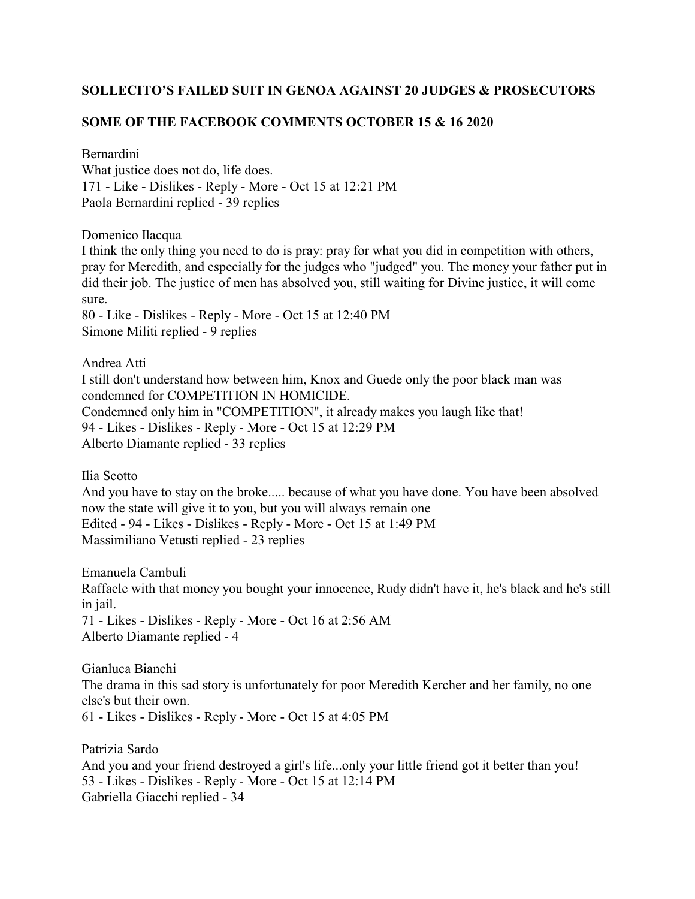## **SOLLECITO'S FAILED SUIT IN GENOA AGAINST 20 JUDGES & PROSECUTORS**

## **SOME OF THE FACEBOOK COMMENTS OCTOBER 15 & 16 2020**

Bernardini

What justice does not do, life does. 171 - Like - Dislikes - Reply - More - Oct 15 at 12:21 PM Paola Bernardini replied - 39 replies

Domenico Ilacqua

I think the only thing you need to do is pray: pray for what you did in competition with others, pray for Meredith, and especially for the judges who "judged" you. The money your father put in did their job. The justice of men has absolved you, still waiting for Divine justice, it will come sure.

80 - Like - Dislikes - Reply - More - Oct 15 at 12:40 PM Simone Militi replied - 9 replies

Andrea Atti I still don't understand how between him, Knox and Guede only the poor black man was condemned for COMPETITION IN HOMICIDE. Condemned only him in "COMPETITION", it already makes you laugh like that! 94 - Likes - Dislikes - Reply - More - Oct 15 at 12:29 PM Alberto Diamante replied - 33 replies

Ilia Scotto

And you have to stay on the broke..... because of what you have done. You have been absolved now the state will give it to you, but you will always remain one Edited - 94 - Likes - Dislikes - Reply - More - Oct 15 at 1:49 PM Massimiliano Vetusti replied - 23 replies

Emanuela Cambuli Raffaele with that money you bought your innocence, Rudy didn't have it, he's black and he's still in jail. 71 - Likes - Dislikes - Reply - More - Oct 16 at 2:56 AM Alberto Diamante replied - 4

Gianluca Bianchi The drama in this sad story is unfortunately for poor Meredith Kercher and her family, no one else's but their own. 61 - Likes - Dislikes - Reply - More - Oct 15 at 4:05 PM

Patrizia Sardo And you and your friend destroyed a girl's life...only your little friend got it better than you! 53 - Likes - Dislikes - Reply - More - Oct 15 at 12:14 PM Gabriella Giacchi replied - 34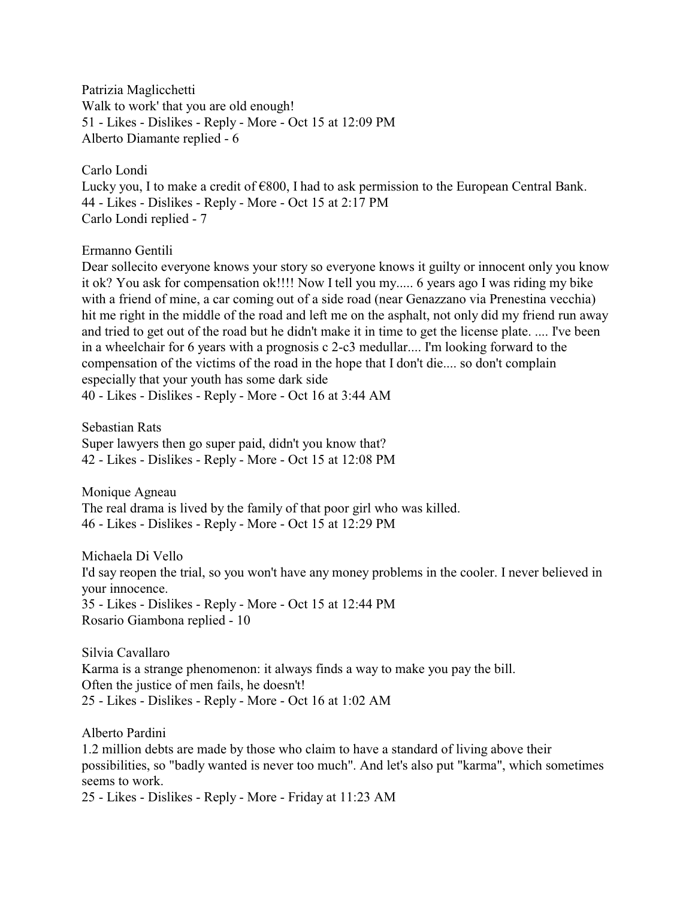Patrizia Maglicchetti Walk to work' that you are old enough! 51 - Likes - Dislikes - Reply - More - Oct 15 at 12:09 PM Alberto Diamante replied - 6

Carlo Londi Lucky you, I to make a credit of  $\epsilon$ 800, I had to ask permission to the European Central Bank. 44 - Likes - Dislikes - Reply - More - Oct 15 at 2:17 PM Carlo Londi replied - 7

Ermanno Gentili

Dear sollecito everyone knows your story so everyone knows it guilty or innocent only you know it ok? You ask for compensation ok!!!! Now I tell you my..... 6 years ago I was riding my bike with a friend of mine, a car coming out of a side road (near Genazzano via Prenestina vecchia) hit me right in the middle of the road and left me on the asphalt, not only did my friend run away and tried to get out of the road but he didn't make it in time to get the license plate. .... I've been in a wheelchair for 6 years with a prognosis c 2-c3 medullar.... I'm looking forward to the compensation of the victims of the road in the hope that I don't die.... so don't complain especially that your youth has some dark side 40 - Likes - Dislikes - Reply - More - Oct 16 at 3:44 AM

Sebastian Rats Super lawyers then go super paid, didn't you know that? 42 - Likes - Dislikes - Reply - More - Oct 15 at 12:08 PM

Monique Agneau The real drama is lived by the family of that poor girl who was killed. 46 - Likes - Dislikes - Reply - More - Oct 15 at 12:29 PM

Michaela Di Vello I'd say reopen the trial, so you won't have any money problems in the cooler. I never believed in your innocence. 35 - Likes - Dislikes - Reply - More - Oct 15 at 12:44 PM Rosario Giambona replied - 10

Silvia Cavallaro Karma is a strange phenomenon: it always finds a way to make you pay the bill. Often the justice of men fails, he doesn't! 25 - Likes - Dislikes - Reply - More - Oct 16 at 1:02 AM

Alberto Pardini 1.2 million debts are made by those who claim to have a standard of living above their possibilities, so "badly wanted is never too much". And let's also put "karma", which sometimes seems to work. 25 - Likes - Dislikes - Reply - More - Friday at 11:23 AM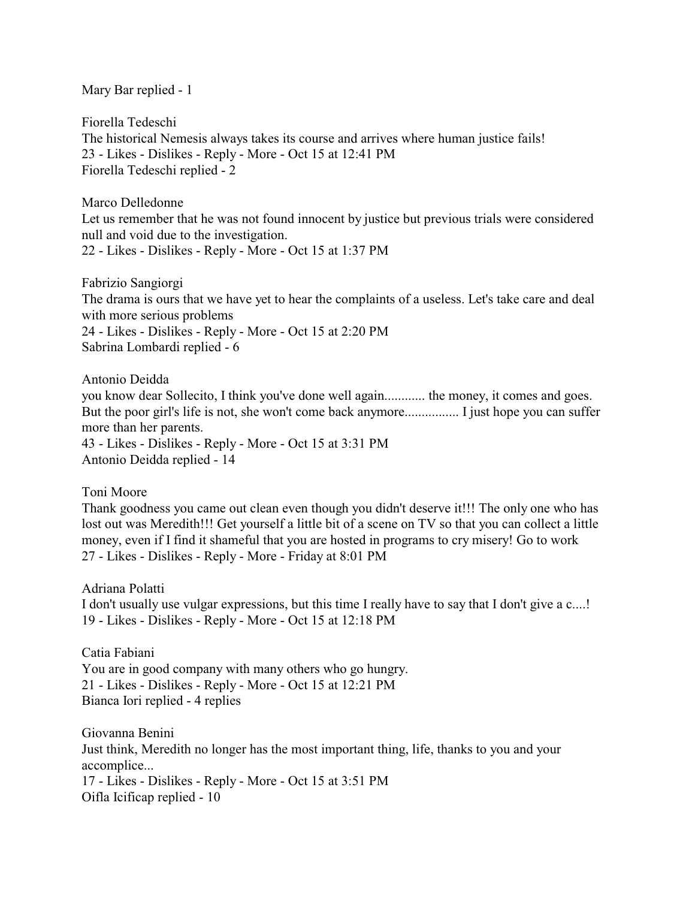Mary Bar replied - 1

Fiorella Tedeschi The historical Nemesis always takes its course and arrives where human justice fails! 23 - Likes - Dislikes - Reply - More - Oct 15 at 12:41 PM Fiorella Tedeschi replied - 2

Marco Delledonne

Let us remember that he was not found innocent by justice but previous trials were considered null and void due to the investigation.

22 - Likes - Dislikes - Reply - More - Oct 15 at 1:37 PM

Fabrizio Sangiorgi The drama is ours that we have yet to hear the complaints of a useless. Let's take care and deal with more serious problems 24 - Likes - Dislikes - Reply - More - Oct 15 at 2:20 PM Sabrina Lombardi replied - 6

Antonio Deidda you know dear Sollecito, I think you've done well again............ the money, it comes and goes. But the poor girl's life is not, she won't come back anymore................ I just hope you can suffer more than her parents. 43 - Likes - Dislikes - Reply - More - Oct 15 at 3:31 PM Antonio Deidda replied - 14

Toni Moore

Thank goodness you came out clean even though you didn't deserve it!!! The only one who has lost out was Meredith!!! Get yourself a little bit of a scene on TV so that you can collect a little money, even if I find it shameful that you are hosted in programs to cry misery! Go to work 27 - Likes - Dislikes - Reply - More - Friday at 8:01 PM

Adriana Polatti I don't usually use vulgar expressions, but this time I really have to say that I don't give a c....! 19 - Likes - Dislikes - Reply - More - Oct 15 at 12:18 PM

Catia Fabiani You are in good company with many others who go hungry. 21 - Likes - Dislikes - Reply - More - Oct 15 at 12:21 PM Bianca Iori replied - 4 replies

Giovanna Benini Just think, Meredith no longer has the most important thing, life, thanks to you and your accomplice... 17 - Likes - Dislikes - Reply - More - Oct 15 at 3:51 PM Oifla Icificap replied - 10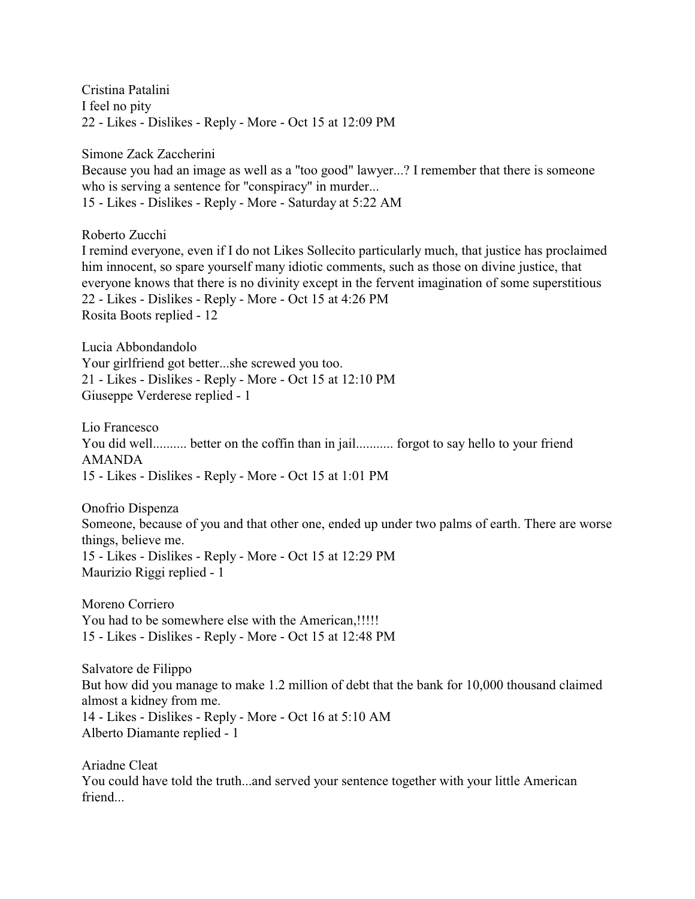Cristina Patalini I feel no pity 22 - Likes - Dislikes - Reply - More - Oct 15 at 12:09 PM

Simone Zack Zaccherini

Because you had an image as well as a "too good" lawyer...? I remember that there is someone who is serving a sentence for "conspiracy" in murder... 15 - Likes - Dislikes - Reply - More - Saturday at 5:22 AM

Roberto Zucchi

I remind everyone, even if I do not Likes Sollecito particularly much, that justice has proclaimed him innocent, so spare yourself many idiotic comments, such as those on divine justice, that everyone knows that there is no divinity except in the fervent imagination of some superstitious 22 - Likes - Dislikes - Reply - More - Oct 15 at 4:26 PM Rosita Boots replied - 12

Lucia Abbondandolo Your girlfriend got better...she screwed you too. 21 - Likes - Dislikes - Reply - More - Oct 15 at 12:10 PM Giuseppe Verderese replied - 1

Lio Francesco You did well.......... better on the coffin than in jail........... forgot to say hello to your friend AMANDA 15 - Likes - Dislikes - Reply - More - Oct 15 at 1:01 PM

Onofrio Dispenza Someone, because of you and that other one, ended up under two palms of earth. There are worse things, believe me. 15 - Likes - Dislikes - Reply - More - Oct 15 at 12:29 PM Maurizio Riggi replied - 1

Moreno Corriero You had to be somewhere else with the American,!!!!! 15 - Likes - Dislikes - Reply - More - Oct 15 at 12:48 PM

Salvatore de Filippo But how did you manage to make 1.2 million of debt that the bank for 10,000 thousand claimed almost a kidney from me. 14 - Likes - Dislikes - Reply - More - Oct 16 at 5:10 AM Alberto Diamante replied - 1

Ariadne Cleat You could have told the truth...and served your sentence together with your little American friend...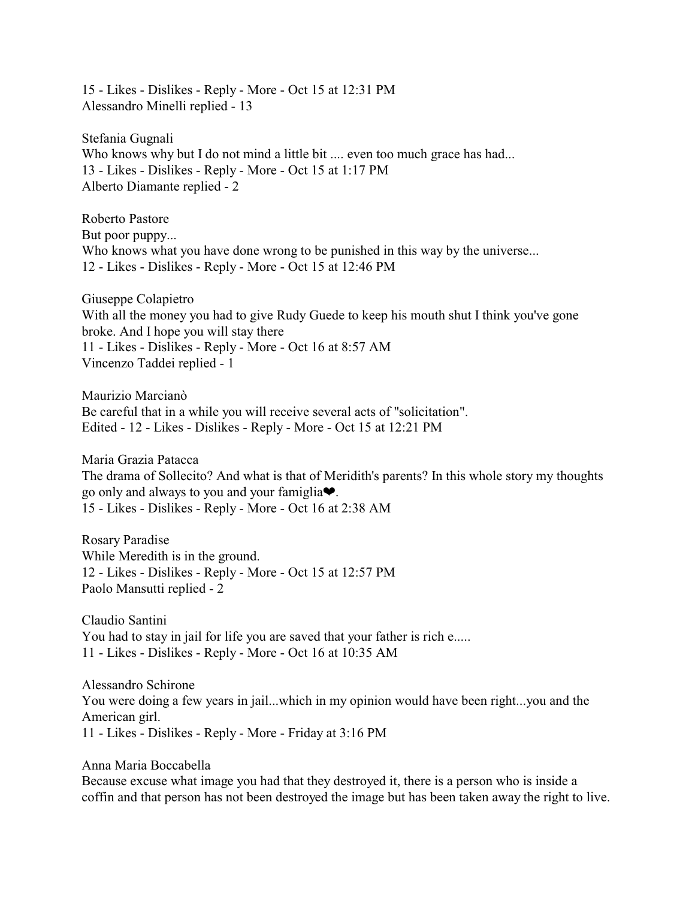15 - Likes - Dislikes - Reply - More - Oct 15 at 12:31 PM Alessandro Minelli replied - 13

Stefania Gugnali Who knows why but I do not mind a little bit .... even too much grace has had... 13 - Likes - Dislikes - Reply - More - Oct 15 at 1:17 PM Alberto Diamante replied - 2

Roberto Pastore But poor puppy... Who knows what you have done wrong to be punished in this way by the universe... 12 - Likes - Dislikes - Reply - More - Oct 15 at 12:46 PM

Giuseppe Colapietro With all the money you had to give Rudy Guede to keep his mouth shut I think you've gone broke. And I hope you will stay there 11 - Likes - Dislikes - Reply - More - Oct 16 at 8:57 AM Vincenzo Taddei replied - 1

Maurizio Marcianò Be careful that in a while you will receive several acts of "solicitation". Edited - 12 - Likes - Dislikes - Reply - More - Oct 15 at 12:21 PM

Maria Grazia Patacca The drama of Sollecito? And what is that of Meridith's parents? In this whole story my thoughts go only and always to you and your famiglia $\blacklozenge$ . 15 - Likes - Dislikes - Reply - More - Oct 16 at 2:38 AM

Rosary Paradise While Meredith is in the ground. 12 - Likes - Dislikes - Reply - More - Oct 15 at 12:57 PM Paolo Mansutti replied - 2

Claudio Santini You had to stay in jail for life you are saved that your father is rich e..... 11 - Likes - Dislikes - Reply - More - Oct 16 at 10:35 AM

Alessandro Schirone You were doing a few years in jail...which in my opinion would have been right...you and the American girl. 11 - Likes - Dislikes - Reply - More - Friday at 3:16 PM

Anna Maria Boccabella

Because excuse what image you had that they destroyed it, there is a person who is inside a coffin and that person has not been destroyed the image but has been taken away the right to live.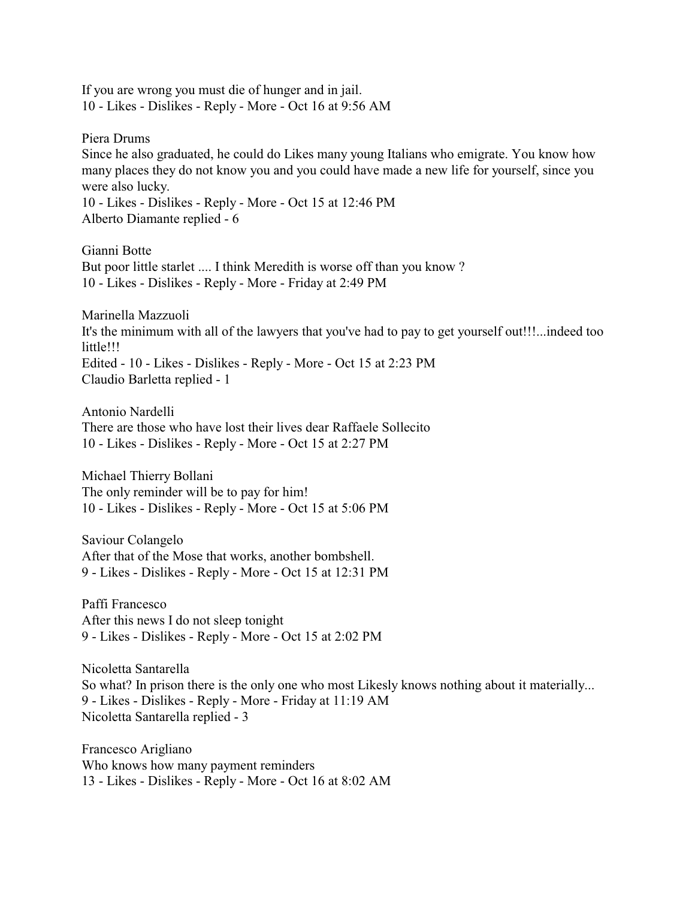If you are wrong you must die of hunger and in jail. 10 - Likes - Dislikes - Reply - More - Oct 16 at 9:56 AM

Piera Drums Since he also graduated, he could do Likes many young Italians who emigrate. You know how many places they do not know you and you could have made a new life for yourself, since you were also lucky. 10 - Likes - Dislikes - Reply - More - Oct 15 at 12:46 PM Alberto Diamante replied - 6

Gianni Botte But poor little starlet .... I think Meredith is worse off than you know ? 10 - Likes - Dislikes - Reply - More - Friday at 2:49 PM

Marinella Mazzuoli It's the minimum with all of the lawyers that you've had to pay to get yourself out!!!...indeed too little!!! Edited - 10 - Likes - Dislikes - Reply - More - Oct 15 at 2:23 PM Claudio Barletta replied - 1

Antonio Nardelli There are those who have lost their lives dear Raffaele Sollecito 10 - Likes - Dislikes - Reply - More - Oct 15 at 2:27 PM

Michael Thierry Bollani The only reminder will be to pay for him! 10 - Likes - Dislikes - Reply - More - Oct 15 at 5:06 PM

Saviour Colangelo After that of the Mose that works, another bombshell. 9 - Likes - Dislikes - Reply - More - Oct 15 at 12:31 PM

Paffi Francesco After this news I do not sleep tonight 9 - Likes - Dislikes - Reply - More - Oct 15 at 2:02 PM

Nicoletta Santarella So what? In prison there is the only one who most Likesly knows nothing about it materially... 9 - Likes - Dislikes - Reply - More - Friday at 11:19 AM Nicoletta Santarella replied - 3

Francesco Arigliano Who knows how many payment reminders 13 - Likes - Dislikes - Reply - More - Oct 16 at 8:02 AM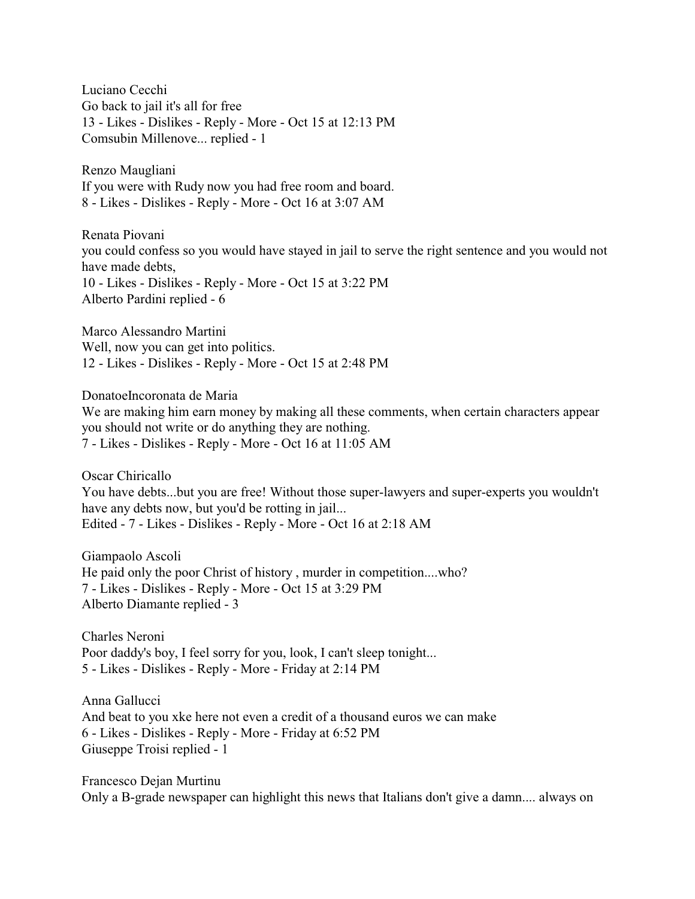Luciano Cecchi Go back to jail it's all for free 13 - Likes - Dislikes - Reply - More - Oct 15 at 12:13 PM Comsubin Millenove... replied - 1

Renzo Maugliani If you were with Rudy now you had free room and board. 8 - Likes - Dislikes - Reply - More - Oct 16 at 3:07 AM

Renata Piovani you could confess so you would have stayed in jail to serve the right sentence and you would not have made debts, 10 - Likes - Dislikes - Reply - More - Oct 15 at 3:22 PM Alberto Pardini replied - 6

Marco Alessandro Martini Well, now you can get into politics. 12 - Likes - Dislikes - Reply - More - Oct 15 at 2:48 PM

DonatoeIncoronata de Maria

We are making him earn money by making all these comments, when certain characters appear you should not write or do anything they are nothing. 7 - Likes - Dislikes - Reply - More - Oct 16 at 11:05 AM

Oscar Chiricallo You have debts...but you are free! Without those super-lawyers and super-experts you wouldn't have any debts now, but you'd be rotting in jail... Edited - 7 - Likes - Dislikes - Reply - More - Oct 16 at 2:18 AM

Giampaolo Ascoli He paid only the poor Christ of history , murder in competition....who? 7 - Likes - Dislikes - Reply - More - Oct 15 at 3:29 PM Alberto Diamante replied - 3

Charles Neroni Poor daddy's boy, I feel sorry for you, look, I can't sleep tonight... 5 - Likes - Dislikes - Reply - More - Friday at 2:14 PM

Anna Gallucci And beat to you xke here not even a credit of a thousand euros we can make 6 - Likes - Dislikes - Reply - More - Friday at 6:52 PM Giuseppe Troisi replied - 1

Francesco Dejan Murtinu Only a B-grade newspaper can highlight this news that Italians don't give a damn.... always on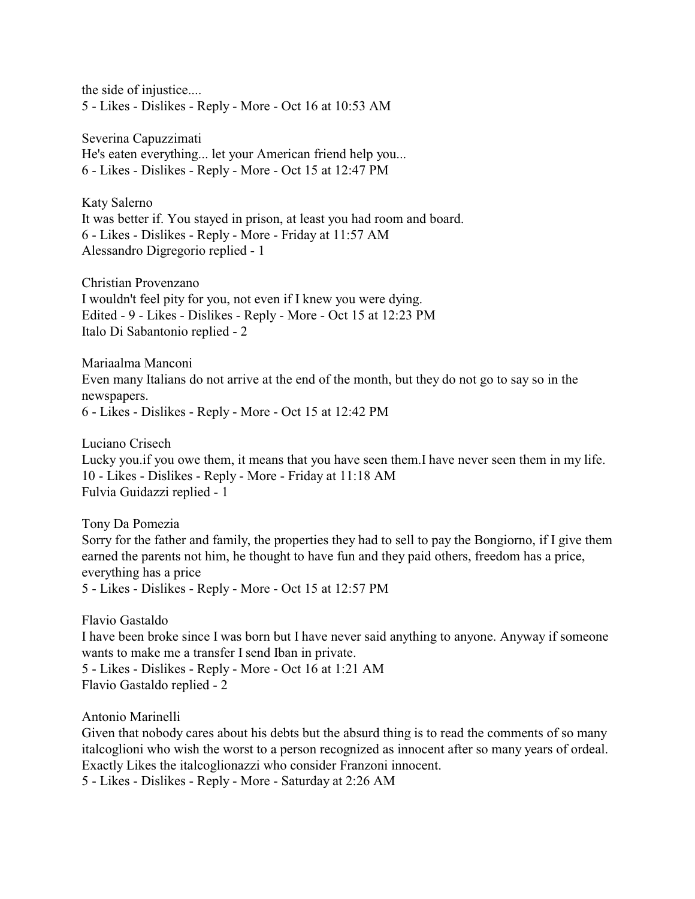the side of injustice.... 5 - Likes - Dislikes - Reply - More - Oct 16 at 10:53 AM

Severina Capuzzimati He's eaten everything... let your American friend help you... 6 - Likes - Dislikes - Reply - More - Oct 15 at 12:47 PM

Katy Salerno It was better if. You stayed in prison, at least you had room and board. 6 - Likes - Dislikes - Reply - More - Friday at 11:57 AM Alessandro Digregorio replied - 1

Christian Provenzano I wouldn't feel pity for you, not even if I knew you were dying. Edited - 9 - Likes - Dislikes - Reply - More - Oct 15 at 12:23 PM Italo Di Sabantonio replied - 2

Mariaalma Manconi Even many Italians do not arrive at the end of the month, but they do not go to say so in the newspapers. 6 - Likes - Dislikes - Reply - More - Oct 15 at 12:42 PM

Luciano Crisech Lucky you.if you owe them, it means that you have seen them.I have never seen them in my life. 10 - Likes - Dislikes - Reply - More - Friday at 11:18 AM Fulvia Guidazzi replied - 1

Tony Da Pomezia Sorry for the father and family, the properties they had to sell to pay the Bongiorno, if I give them earned the parents not him, he thought to have fun and they paid others, freedom has a price, everything has a price 5 - Likes - Dislikes - Reply - More - Oct 15 at 12:57 PM

Flavio Gastaldo I have been broke since I was born but I have never said anything to anyone. Anyway if someone wants to make me a transfer I send Iban in private. 5 - Likes - Dislikes - Reply - More - Oct 16 at 1:21 AM Flavio Gastaldo replied - 2

Antonio Marinelli

Given that nobody cares about his debts but the absurd thing is to read the comments of so many italcoglioni who wish the worst to a person recognized as innocent after so many years of ordeal. Exactly Likes the italcoglionazzi who consider Franzoni innocent. 5 - Likes - Dislikes - Reply - More - Saturday at 2:26 AM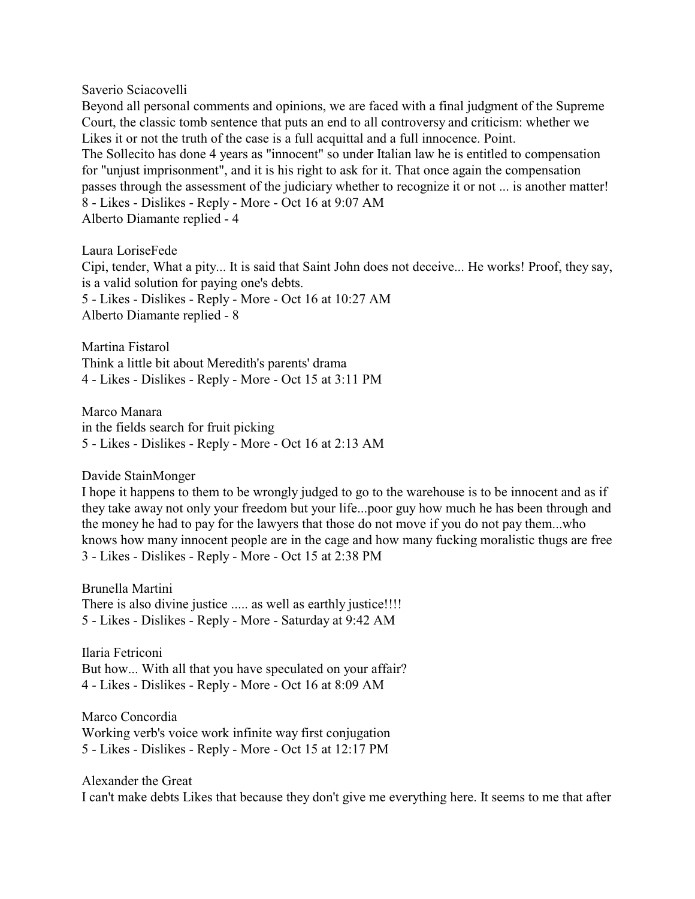Saverio Sciacovelli

Beyond all personal comments and opinions, we are faced with a final judgment of the Supreme Court, the classic tomb sentence that puts an end to all controversy and criticism: whether we Likes it or not the truth of the case is a full acquittal and a full innocence. Point. The Sollecito has done 4 years as "innocent" so under Italian law he is entitled to compensation for "unjust imprisonment", and it is his right to ask for it. That once again the compensation passes through the assessment of the judiciary whether to recognize it or not ... is another matter! 8 - Likes - Dislikes - Reply - More - Oct 16 at 9:07 AM Alberto Diamante replied - 4

Laura LoriseFede Cipi, tender, What a pity... It is said that Saint John does not deceive... He works! Proof, they say, is a valid solution for paying one's debts. 5 - Likes - Dislikes - Reply - More - Oct 16 at 10:27 AM Alberto Diamante replied - 8

Martina Fistarol Think a little bit about Meredith's parents' drama 4 - Likes - Dislikes - Reply - More - Oct 15 at 3:11 PM

Marco Manara in the fields search for fruit picking 5 - Likes - Dislikes - Reply - More - Oct 16 at 2:13 AM

Davide StainMonger

I hope it happens to them to be wrongly judged to go to the warehouse is to be innocent and as if they take away not only your freedom but your life...poor guy how much he has been through and the money he had to pay for the lawyers that those do not move if you do not pay them...who knows how many innocent people are in the cage and how many fucking moralistic thugs are free 3 - Likes - Dislikes - Reply - More - Oct 15 at 2:38 PM

Brunella Martini There is also divine justice ..... as well as earthly justice!!!! 5 - Likes - Dislikes - Reply - More - Saturday at 9:42 AM

Ilaria Fetriconi But how... With all that you have speculated on your affair? 4 - Likes - Dislikes - Reply - More - Oct 16 at 8:09 AM

Marco Concordia Working verb's voice work infinite way first conjugation 5 - Likes - Dislikes - Reply - More - Oct 15 at 12:17 PM

Alexander the Great I can't make debts Likes that because they don't give me everything here. It seems to me that after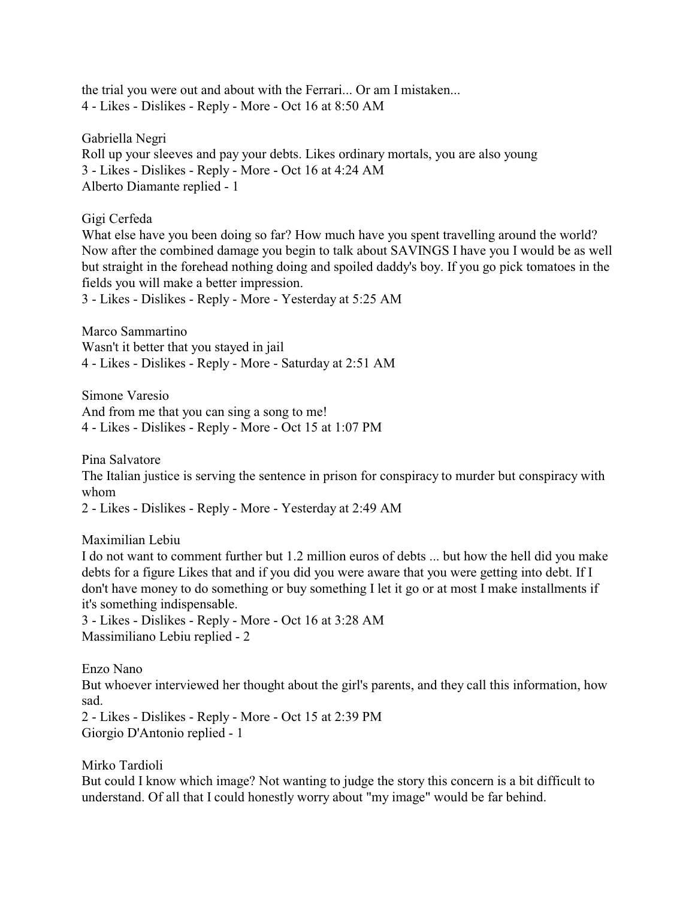the trial you were out and about with the Ferrari... Or am I mistaken... 4 - Likes - Dislikes - Reply - More - Oct 16 at 8:50 AM

Gabriella Negri Roll up your sleeves and pay your debts. Likes ordinary mortals, you are also young 3 - Likes - Dislikes - Reply - More - Oct 16 at 4:24 AM Alberto Diamante replied - 1

Gigi Cerfeda

What else have you been doing so far? How much have you spent travelling around the world? Now after the combined damage you begin to talk about SAVINGS I have you I would be as well but straight in the forehead nothing doing and spoiled daddy's boy. If you go pick tomatoes in the fields you will make a better impression. 3 - Likes - Dislikes - Reply - More - Yesterday at 5:25 AM

Marco Sammartino Wasn't it better that you stayed in jail 4 - Likes - Dislikes - Reply - More - Saturday at 2:51 AM

Simone Varesio And from me that you can sing a song to me! 4 - Likes - Dislikes - Reply - More - Oct 15 at 1:07 PM

Pina Salvatore

The Italian justice is serving the sentence in prison for conspiracy to murder but conspiracy with whom

2 - Likes - Dislikes - Reply - More - Yesterday at 2:49 AM

Maximilian Lebiu

I do not want to comment further but 1.2 million euros of debts ... but how the hell did you make debts for a figure Likes that and if you did you were aware that you were getting into debt. If I don't have money to do something or buy something I let it go or at most I make installments if it's something indispensable.

3 - Likes - Dislikes - Reply - More - Oct 16 at 3:28 AM Massimiliano Lebiu replied - 2

Enzo Nano But whoever interviewed her thought about the girl's parents, and they call this information, how sad. 2 - Likes - Dislikes - Reply - More - Oct 15 at 2:39 PM Giorgio D'Antonio replied - 1

Mirko Tardioli

But could I know which image? Not wanting to judge the story this concern is a bit difficult to understand. Of all that I could honestly worry about "my image" would be far behind.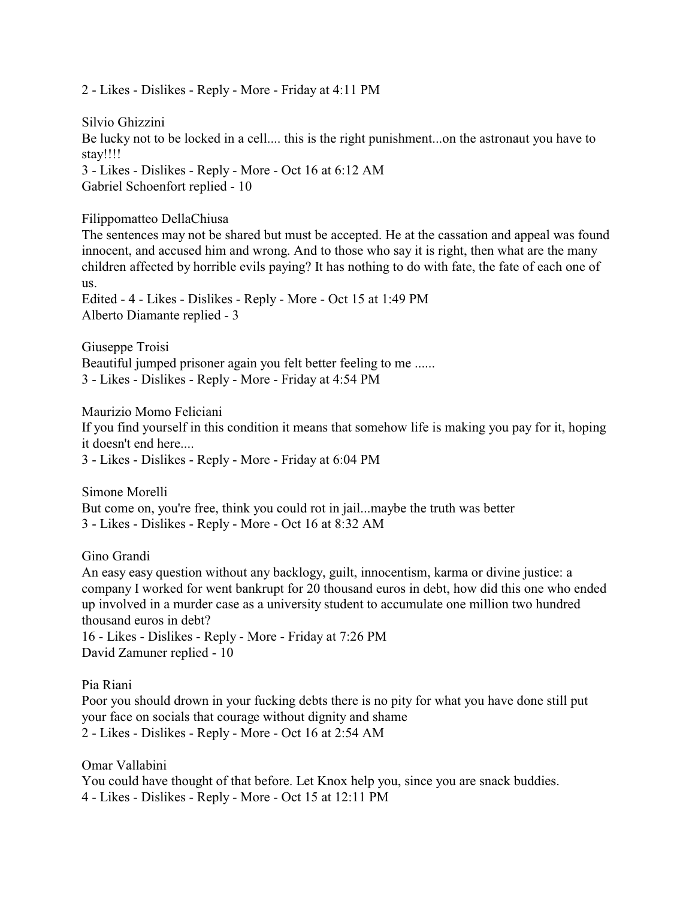2 - Likes - Dislikes - Reply - More - Friday at 4:11 PM

Silvio Ghizzini Be lucky not to be locked in a cell.... this is the right punishment...on the astronaut you have to stay!!!! 3 - Likes - Dislikes - Reply - More - Oct 16 at 6:12 AM Gabriel Schoenfort replied - 10

Filippomatteo DellaChiusa

The sentences may not be shared but must be accepted. He at the cassation and appeal was found innocent, and accused him and wrong. And to those who say it is right, then what are the many children affected by horrible evils paying? It has nothing to do with fate, the fate of each one of us.

Edited - 4 - Likes - Dislikes - Reply - More - Oct 15 at 1:49 PM Alberto Diamante replied - 3

Giuseppe Troisi Beautiful jumped prisoner again you felt better feeling to me ...... 3 - Likes - Dislikes - Reply - More - Friday at 4:54 PM

Maurizio Momo Feliciani If you find yourself in this condition it means that somehow life is making you pay for it, hoping it doesn't end here.... 3 - Likes - Dislikes - Reply - More - Friday at 6:04 PM

Simone Morelli But come on, you're free, think you could rot in jail...maybe the truth was better 3 - Likes - Dislikes - Reply - More - Oct 16 at 8:32 AM

Gino Grandi

An easy easy question without any backlogy, guilt, innocentism, karma or divine justice: a company I worked for went bankrupt for 20 thousand euros in debt, how did this one who ended up involved in a murder case as a university student to accumulate one million two hundred thousand euros in debt?

16 - Likes - Dislikes - Reply - More - Friday at 7:26 PM David Zamuner replied - 10

Pia Riani

Poor you should drown in your fucking debts there is no pity for what you have done still put your face on socials that courage without dignity and shame 2 - Likes - Dislikes - Reply - More - Oct 16 at 2:54 AM

Omar Vallabini You could have thought of that before. Let Knox help you, since you are snack buddies. 4 - Likes - Dislikes - Reply - More - Oct 15 at 12:11 PM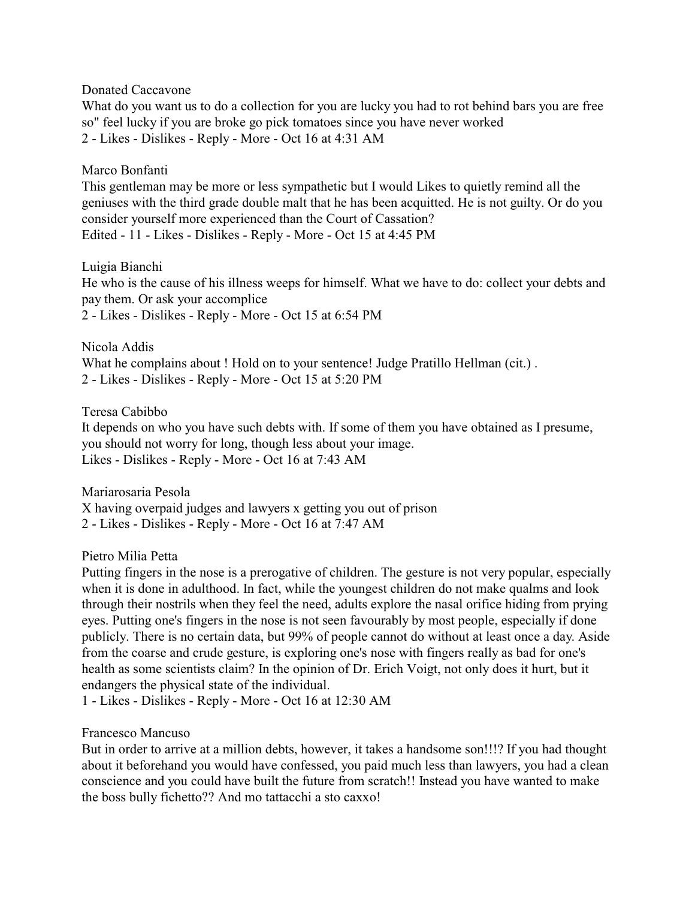Donated Caccavone

What do you want us to do a collection for you are lucky you had to rot behind bars you are free so" feel lucky if you are broke go pick tomatoes since you have never worked 2 - Likes - Dislikes - Reply - More - Oct 16 at 4:31 AM

Marco Bonfanti

This gentleman may be more or less sympathetic but I would Likes to quietly remind all the geniuses with the third grade double malt that he has been acquitted. He is not guilty. Or do you consider yourself more experienced than the Court of Cassation? Edited - 11 - Likes - Dislikes - Reply - More - Oct 15 at 4:45 PM

Luigia Bianchi He who is the cause of his illness weeps for himself. What we have to do: collect your debts and pay them. Or ask your accomplice 2 - Likes - Dislikes - Reply - More - Oct 15 at 6:54 PM

Nicola Addis What he complains about ! Hold on to your sentence! Judge Pratillo Hellman (cit.) . 2 - Likes - Dislikes - Reply - More - Oct 15 at 5:20 PM

Teresa Cabibbo It depends on who you have such debts with. If some of them you have obtained as I presume, you should not worry for long, though less about your image. Likes - Dislikes - Reply - More - Oct 16 at 7:43 AM

Mariarosaria Pesola X having overpaid judges and lawyers x getting you out of prison 2 - Likes - Dislikes - Reply - More - Oct 16 at 7:47 AM

Pietro Milia Petta

Putting fingers in the nose is a prerogative of children. The gesture is not very popular, especially when it is done in adulthood. In fact, while the youngest children do not make qualms and look through their nostrils when they feel the need, adults explore the nasal orifice hiding from prying eyes. Putting one's fingers in the nose is not seen favourably by most people, especially if done publicly. There is no certain data, but 99% of people cannot do without at least once a day. Aside from the coarse and crude gesture, is exploring one's nose with fingers really as bad for one's health as some scientists claim? In the opinion of Dr. Erich Voigt, not only does it hurt, but it endangers the physical state of the individual.

1 - Likes - Dislikes - Reply - More - Oct 16 at 12:30 AM

## Francesco Mancuso

But in order to arrive at a million debts, however, it takes a handsome son!!!? If you had thought about it beforehand you would have confessed, you paid much less than lawyers, you had a clean conscience and you could have built the future from scratch!! Instead you have wanted to make the boss bully fichetto?? And mo tattacchi a sto caxxo!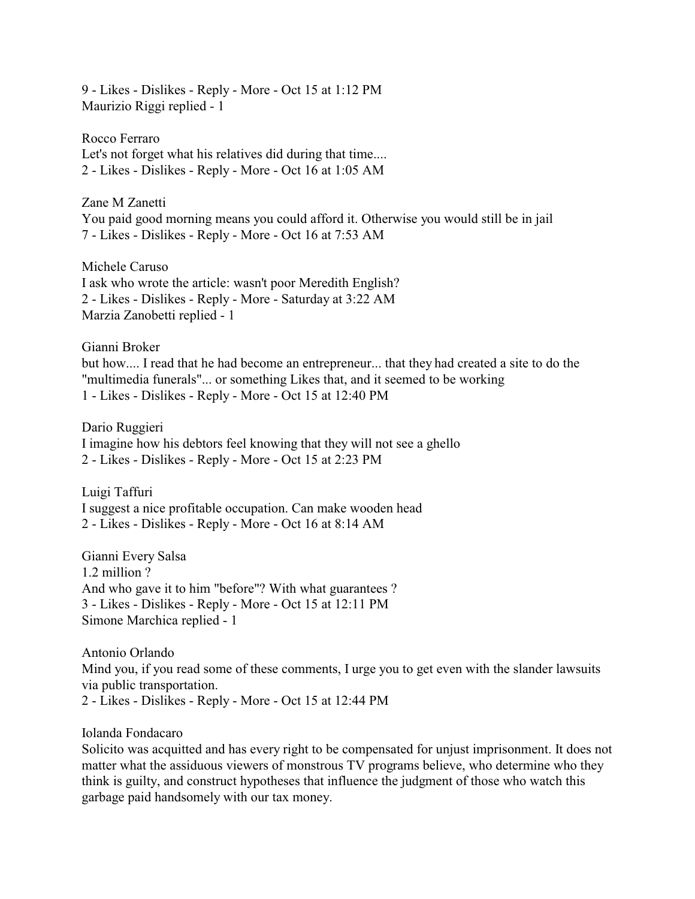9 - Likes - Dislikes - Reply - More - Oct 15 at 1:12 PM Maurizio Riggi replied - 1

Rocco Ferraro Let's not forget what his relatives did during that time.... 2 - Likes - Dislikes - Reply - More - Oct 16 at 1:05 AM

Zane M Zanetti You paid good morning means you could afford it. Otherwise you would still be in jail 7 - Likes - Dislikes - Reply - More - Oct 16 at 7:53 AM

Michele Caruso I ask who wrote the article: wasn't poor Meredith English? 2 - Likes - Dislikes - Reply - More - Saturday at 3:22 AM Marzia Zanobetti replied - 1

Gianni Broker but how.... I read that he had become an entrepreneur... that they had created a site to do the "multimedia funerals"... or something Likes that, and it seemed to be working 1 - Likes - Dislikes - Reply - More - Oct 15 at 12:40 PM

Dario Ruggieri I imagine how his debtors feel knowing that they will not see a ghello 2 - Likes - Dislikes - Reply - More - Oct 15 at 2:23 PM

Luigi Taffuri I suggest a nice profitable occupation. Can make wooden head 2 - Likes - Dislikes - Reply - More - Oct 16 at 8:14 AM

Gianni Every Salsa 1.2 million ? And who gave it to him "before"? With what guarantees ? 3 - Likes - Dislikes - Reply - More - Oct 15 at 12:11 PM Simone Marchica replied - 1

Antonio Orlando Mind you, if you read some of these comments, I urge you to get even with the slander lawsuits via public transportation. 2 - Likes - Dislikes - Reply - More - Oct 15 at 12:44 PM

Iolanda Fondacaro

Solicito was acquitted and has every right to be compensated for unjust imprisonment. It does not matter what the assiduous viewers of monstrous TV programs believe, who determine who they think is guilty, and construct hypotheses that influence the judgment of those who watch this garbage paid handsomely with our tax money.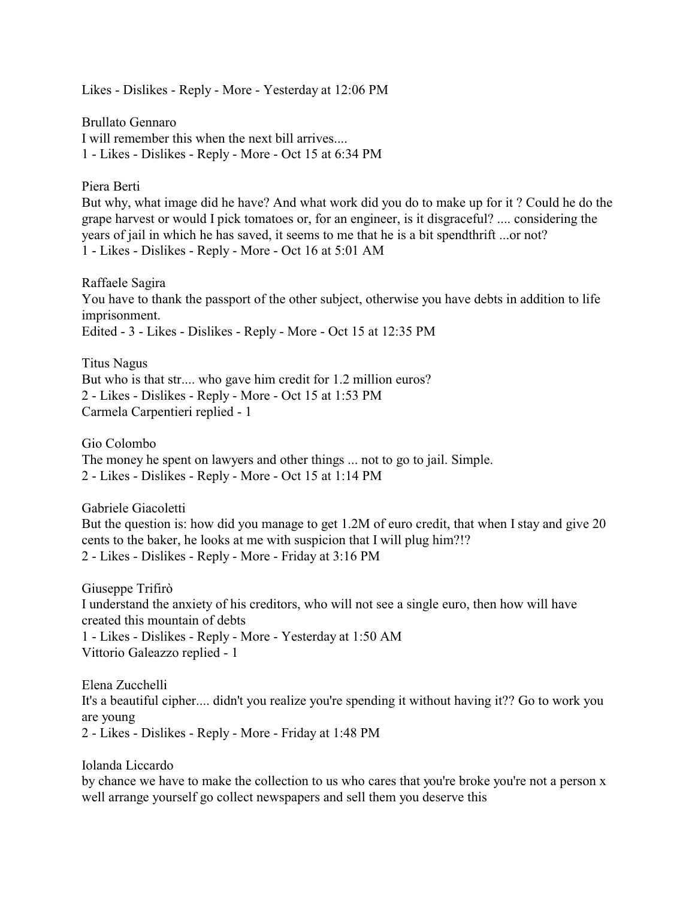Likes - Dislikes - Reply - More - Yesterday at 12:06 PM

Brullato Gennaro I will remember this when the next bill arrives.... 1 - Likes - Dislikes - Reply - More - Oct 15 at 6:34 PM

## Piera Berti

But why, what image did he have? And what work did you do to make up for it ? Could he do the grape harvest or would I pick tomatoes or, for an engineer, is it disgraceful? .... considering the years of jail in which he has saved, it seems to me that he is a bit spendthrift ...or not? 1 - Likes - Dislikes - Reply - More - Oct 16 at 5:01 AM

Raffaele Sagira You have to thank the passport of the other subject, otherwise you have debts in addition to life imprisonment. Edited - 3 - Likes - Dislikes - Reply - More - Oct 15 at 12:35 PM

Titus Nagus But who is that str.... who gave him credit for 1.2 million euros? 2 - Likes - Dislikes - Reply - More - Oct 15 at 1:53 PM Carmela Carpentieri replied - 1

Gio Colombo The money he spent on lawyers and other things ... not to go to jail. Simple. 2 - Likes - Dislikes - Reply - More - Oct 15 at 1:14 PM

Gabriele Giacoletti But the question is: how did you manage to get 1.2M of euro credit, that when I stay and give 20 cents to the baker, he looks at me with suspicion that I will plug him?!? 2 - Likes - Dislikes - Reply - More - Friday at 3:16 PM

Giuseppe Trifirò I understand the anxiety of his creditors, who will not see a single euro, then how will have created this mountain of debts 1 - Likes - Dislikes - Reply - More - Yesterday at 1:50 AM Vittorio Galeazzo replied - 1

Elena Zucchelli It's a beautiful cipher.... didn't you realize you're spending it without having it?? Go to work you are young 2 - Likes - Dislikes - Reply - More - Friday at 1:48 PM

Iolanda Liccardo

by chance we have to make the collection to us who cares that you're broke you're not a person x well arrange yourself go collect newspapers and sell them you deserve this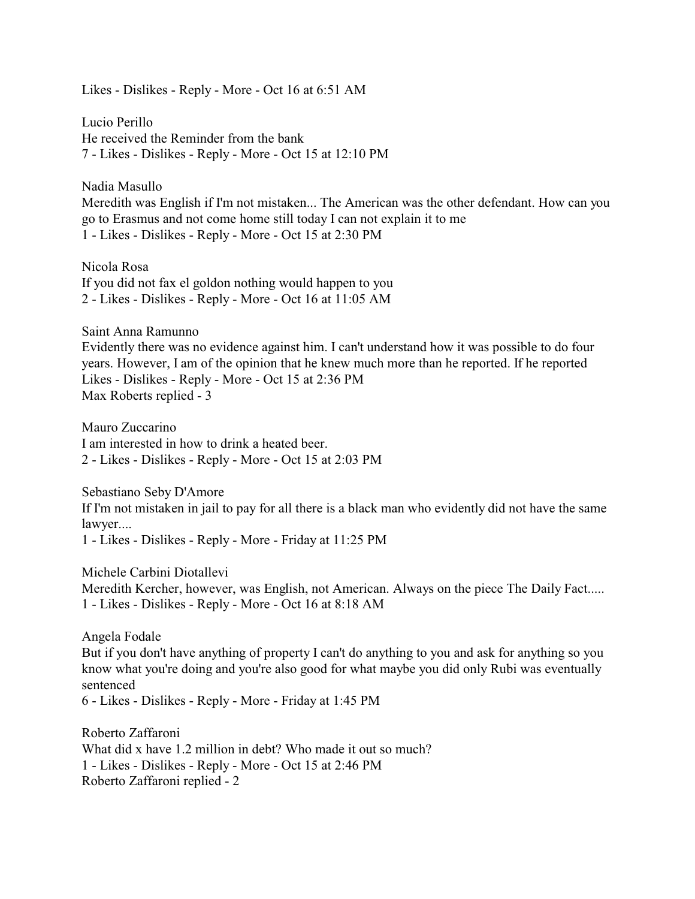Likes - Dislikes - Reply - More - Oct 16 at 6:51 AM

Lucio Perillo He received the Reminder from the bank 7 - Likes - Dislikes - Reply - More - Oct 15 at 12:10 PM

Nadia Masullo Meredith was English if I'm not mistaken... The American was the other defendant. How can you go to Erasmus and not come home still today I can not explain it to me 1 - Likes - Dislikes - Reply - More - Oct 15 at 2:30 PM

Nicola Rosa If you did not fax el goldon nothing would happen to you 2 - Likes - Dislikes - Reply - More - Oct 16 at 11:05 AM

Saint Anna Ramunno

Evidently there was no evidence against him. I can't understand how it was possible to do four years. However, I am of the opinion that he knew much more than he reported. If he reported Likes - Dislikes - Reply - More - Oct 15 at 2:36 PM Max Roberts replied - 3

Mauro Zuccarino I am interested in how to drink a heated beer. 2 - Likes - Dislikes - Reply - More - Oct 15 at 2:03 PM

Sebastiano Seby D'Amore If I'm not mistaken in jail to pay for all there is a black man who evidently did not have the same lawyer....

1 - Likes - Dislikes - Reply - More - Friday at 11:25 PM

Michele Carbini Diotallevi Meredith Kercher, however, was English, not American. Always on the piece The Daily Fact..... 1 - Likes - Dislikes - Reply - More - Oct 16 at 8:18 AM

Angela Fodale But if you don't have anything of property I can't do anything to you and ask for anything so you know what you're doing and you're also good for what maybe you did only Rubi was eventually sentenced 6 - Likes - Dislikes - Reply - More - Friday at 1:45 PM

Roberto Zaffaroni What did x have 1.2 million in debt? Who made it out so much? 1 - Likes - Dislikes - Reply - More - Oct 15 at 2:46 PM Roberto Zaffaroni replied - 2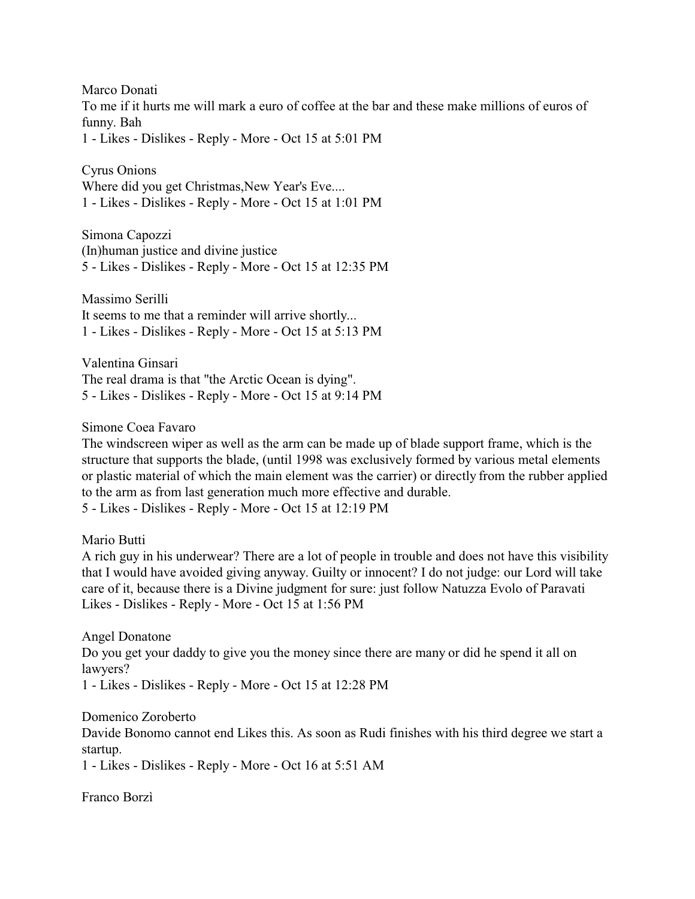Marco Donati To me if it hurts me will mark a euro of coffee at the bar and these make millions of euros of funny. Bah 1 - Likes - Dislikes - Reply - More - Oct 15 at 5:01 PM

Cyrus Onions Where did you get Christmas, New Year's Eve.... 1 - Likes - Dislikes - Reply - More - Oct 15 at 1:01 PM

Simona Capozzi (In)human justice and divine justice 5 - Likes - Dislikes - Reply - More - Oct 15 at 12:35 PM

Massimo Serilli It seems to me that a reminder will arrive shortly... 1 - Likes - Dislikes - Reply - More - Oct 15 at 5:13 PM

Valentina Ginsari The real drama is that "the Arctic Ocean is dying". 5 - Likes - Dislikes - Reply - More - Oct 15 at 9:14 PM

Simone Coea Favaro

The windscreen wiper as well as the arm can be made up of blade support frame, which is the structure that supports the blade, (until 1998 was exclusively formed by various metal elements or plastic material of which the main element was the carrier) or directly from the rubber applied to the arm as from last generation much more effective and durable.

5 - Likes - Dislikes - Reply - More - Oct 15 at 12:19 PM

Mario Butti

A rich guy in his underwear? There are a lot of people in trouble and does not have this visibility that I would have avoided giving anyway. Guilty or innocent? I do not judge: our Lord will take care of it, because there is a Divine judgment for sure: just follow Natuzza Evolo of Paravati Likes - Dislikes - Reply - More - Oct 15 at 1:56 PM

Angel Donatone Do you get your daddy to give you the money since there are many or did he spend it all on lawyers? 1 - Likes - Dislikes - Reply - More - Oct 15 at 12:28 PM

Domenico Zoroberto

Davide Bonomo cannot end Likes this. As soon as Rudi finishes with his third degree we start a startup.

1 - Likes - Dislikes - Reply - More - Oct 16 at 5:51 AM

Franco Borzì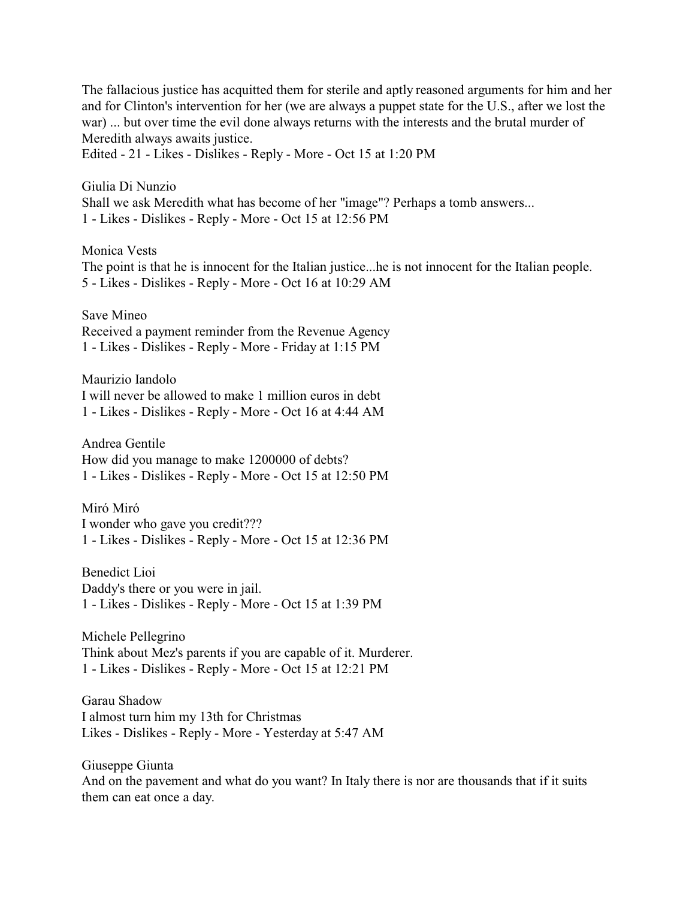The fallacious justice has acquitted them for sterile and aptly reasoned arguments for him and her and for Clinton's intervention for her (we are always a puppet state for the U.S., after we lost the war) ... but over time the evil done always returns with the interests and the brutal murder of Meredith always awaits justice.

Edited - 21 - Likes - Dislikes - Reply - More - Oct 15 at 1:20 PM

Giulia Di Nunzio Shall we ask Meredith what has become of her "image"? Perhaps a tomb answers... 1 - Likes - Dislikes - Reply - More - Oct 15 at 12:56 PM

Monica Vests The point is that he is innocent for the Italian justice...he is not innocent for the Italian people. 5 - Likes - Dislikes - Reply - More - Oct 16 at 10:29 AM

Save Mineo Received a payment reminder from the Revenue Agency 1 - Likes - Dislikes - Reply - More - Friday at 1:15 PM

Maurizio Iandolo I will never be allowed to make 1 million euros in debt 1 - Likes - Dislikes - Reply - More - Oct 16 at 4:44 AM

Andrea Gentile How did you manage to make 1200000 of debts? 1 - Likes - Dislikes - Reply - More - Oct 15 at 12:50 PM

Miró Miró I wonder who gave you credit??? 1 - Likes - Dislikes - Reply - More - Oct 15 at 12:36 PM

Benedict Lioi Daddy's there or you were in jail. 1 - Likes - Dislikes - Reply - More - Oct 15 at 1:39 PM

Michele Pellegrino Think about Mez's parents if you are capable of it. Murderer. 1 - Likes - Dislikes - Reply - More - Oct 15 at 12:21 PM

Garau Shadow I almost turn him my 13th for Christmas Likes - Dislikes - Reply - More - Yesterday at 5:47 AM

Giuseppe Giunta And on the pavement and what do you want? In Italy there is nor are thousands that if it suits them can eat once a day.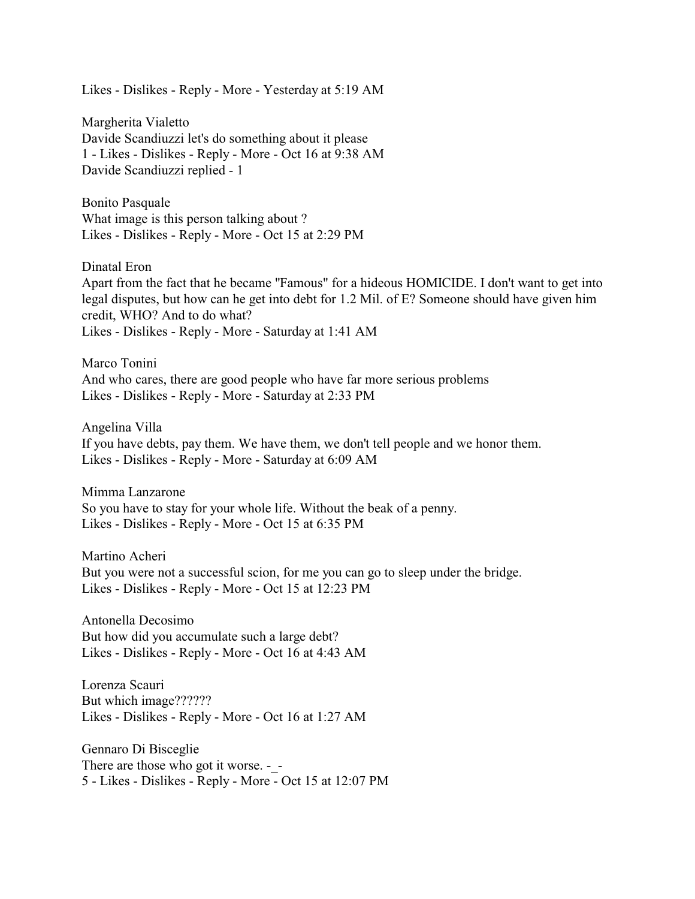Likes - Dislikes - Reply - More - Yesterday at 5:19 AM

Margherita Vialetto Davide Scandiuzzi let's do something about it please 1 - Likes - Dislikes - Reply - More - Oct 16 at 9:38 AM Davide Scandiuzzi replied - 1

Bonito Pasquale What image is this person talking about ? Likes - Dislikes - Reply - More - Oct 15 at 2:29 PM

Dinatal Eron

Apart from the fact that he became "Famous" for a hideous HOMICIDE. I don't want to get into legal disputes, but how can he get into debt for 1.2 Mil. of E? Someone should have given him credit, WHO? And to do what? Likes - Dislikes - Reply - More - Saturday at 1:41 AM

Marco Tonini And who cares, there are good people who have far more serious problems Likes - Dislikes - Reply - More - Saturday at 2:33 PM

Angelina Villa If you have debts, pay them. We have them, we don't tell people and we honor them. Likes - Dislikes - Reply - More - Saturday at 6:09 AM

Mimma Lanzarone So you have to stay for your whole life. Without the beak of a penny. Likes - Dislikes - Reply - More - Oct 15 at 6:35 PM

Martino Acheri But you were not a successful scion, for me you can go to sleep under the bridge. Likes - Dislikes - Reply - More - Oct 15 at 12:23 PM

Antonella Decosimo But how did you accumulate such a large debt? Likes - Dislikes - Reply - More - Oct 16 at 4:43 AM

Lorenza Scauri But which image?????? Likes - Dislikes - Reply - More - Oct 16 at 1:27 AM

Gennaro Di Bisceglie There are those who got it worse. - -5 - Likes - Dislikes - Reply - More - Oct 15 at 12:07 PM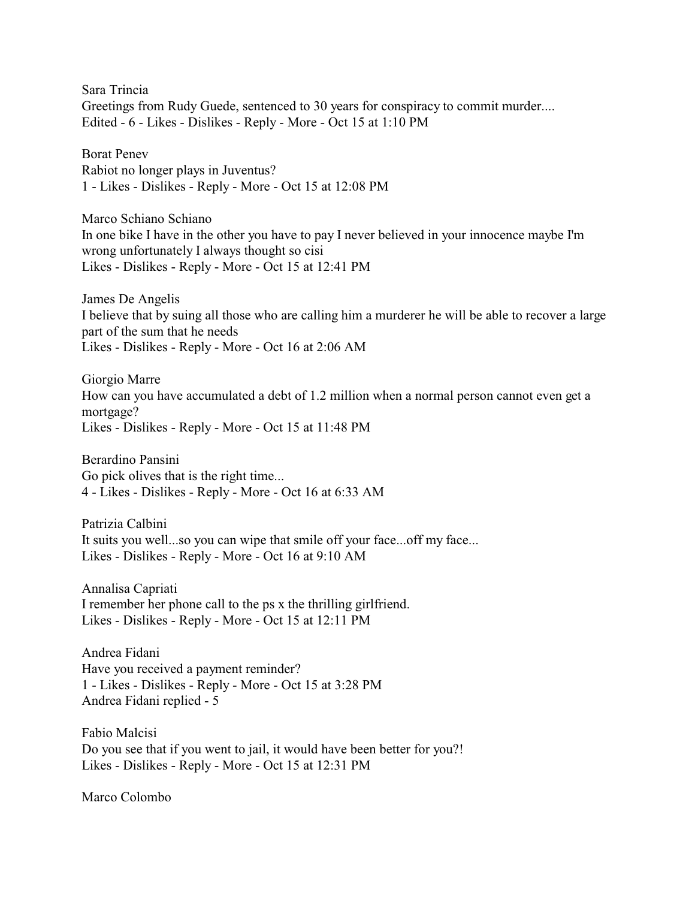Sara Trincia Greetings from Rudy Guede, sentenced to 30 years for conspiracy to commit murder.... Edited - 6 - Likes - Dislikes - Reply - More - Oct 15 at 1:10 PM

Borat Penev Rabiot no longer plays in Juventus? 1 - Likes - Dislikes - Reply - More - Oct 15 at 12:08 PM

Marco Schiano Schiano In one bike I have in the other you have to pay I never believed in your innocence maybe I'm wrong unfortunately I always thought so cisi Likes - Dislikes - Reply - More - Oct 15 at 12:41 PM

James De Angelis I believe that by suing all those who are calling him a murderer he will be able to recover a large part of the sum that he needs Likes - Dislikes - Reply - More - Oct 16 at 2:06 AM

Giorgio Marre How can you have accumulated a debt of 1.2 million when a normal person cannot even get a mortgage? Likes - Dislikes - Reply - More - Oct 15 at 11:48 PM

Berardino Pansini Go pick olives that is the right time... 4 - Likes - Dislikes - Reply - More - Oct 16 at 6:33 AM

Patrizia Calbini It suits you well...so you can wipe that smile off your face...off my face... Likes - Dislikes - Reply - More - Oct 16 at 9:10 AM

Annalisa Capriati I remember her phone call to the ps x the thrilling girlfriend. Likes - Dislikes - Reply - More - Oct 15 at 12:11 PM

Andrea Fidani Have you received a payment reminder? 1 - Likes - Dislikes - Reply - More - Oct 15 at 3:28 PM Andrea Fidani replied - 5

Fabio Malcisi Do you see that if you went to jail, it would have been better for you?! Likes - Dislikes - Reply - More - Oct 15 at 12:31 PM

Marco Colombo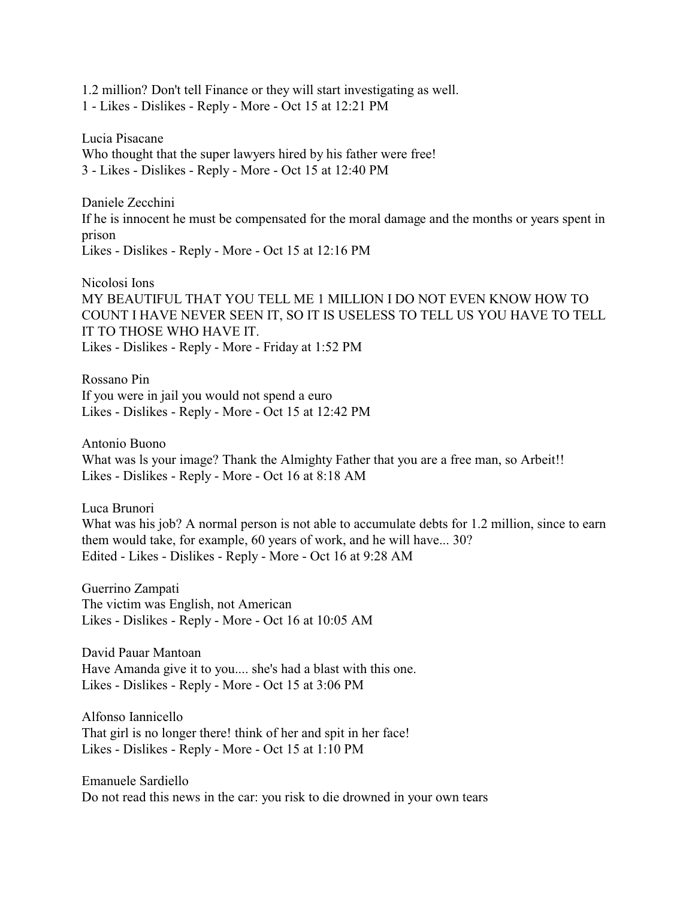1.2 million? Don't tell Finance or they will start investigating as well. 1 - Likes - Dislikes - Reply - More - Oct 15 at 12:21 PM

Lucia Pisacane Who thought that the super lawyers hired by his father were free! 3 - Likes - Dislikes - Reply - More - Oct 15 at 12:40 PM

Daniele Zecchini If he is innocent he must be compensated for the moral damage and the months or years spent in prison Likes - Dislikes - Reply - More - Oct 15 at 12:16 PM

Nicolosi Ions MY BEAUTIFUL THAT YOU TELL ME 1 MILLION I DO NOT EVEN KNOW HOW TO COUNT I HAVE NEVER SEEN IT, SO IT IS USELESS TO TELL US YOU HAVE TO TELL IT TO THOSE WHO HAVE IT. Likes - Dislikes - Reply - More - Friday at 1:52 PM

Rossano Pin If you were in jail you would not spend a euro Likes - Dislikes - Reply - More - Oct 15 at 12:42 PM

Antonio Buono What was ls your image? Thank the Almighty Father that you are a free man, so Arbeit!! Likes - Dislikes - Reply - More - Oct 16 at 8:18 AM

Luca Brunori What was his job? A normal person is not able to accumulate debts for 1.2 million, since to earn them would take, for example, 60 years of work, and he will have... 30? Edited - Likes - Dislikes - Reply - More - Oct 16 at 9:28 AM

Guerrino Zampati The victim was English, not American Likes - Dislikes - Reply - More - Oct 16 at 10:05 AM

David Pauar Mantoan Have Amanda give it to you.... she's had a blast with this one. Likes - Dislikes - Reply - More - Oct 15 at 3:06 PM

Alfonso Iannicello That girl is no longer there! think of her and spit in her face! Likes - Dislikes - Reply - More - Oct 15 at 1:10 PM

Emanuele Sardiello Do not read this news in the car: you risk to die drowned in your own tears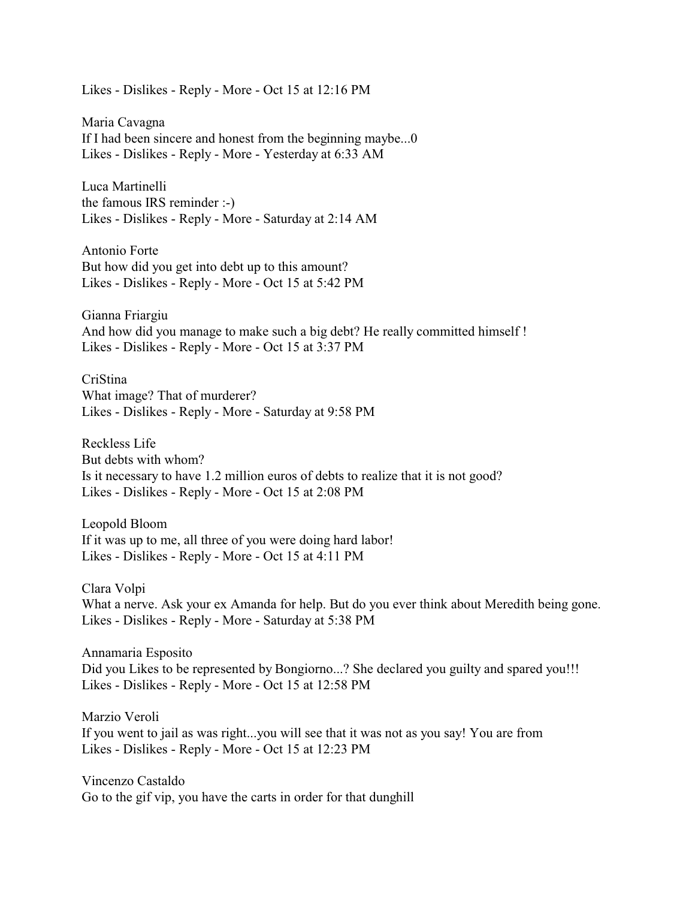Likes - Dislikes - Reply - More - Oct 15 at 12:16 PM

Maria Cavagna If I had been sincere and honest from the beginning maybe...0 Likes - Dislikes - Reply - More - Yesterday at 6:33 AM

Luca Martinelli the famous IRS reminder :-) Likes - Dislikes - Reply - More - Saturday at 2:14 AM

Antonio Forte But how did you get into debt up to this amount? Likes - Dislikes - Reply - More - Oct 15 at 5:42 PM

Gianna Friargiu And how did you manage to make such a big debt? He really committed himself ! Likes - Dislikes - Reply - More - Oct 15 at 3:37 PM

CriStina What image? That of murderer? Likes - Dislikes - Reply - More - Saturday at 9:58 PM

Reckless Life But debts with whom? Is it necessary to have 1.2 million euros of debts to realize that it is not good? Likes - Dislikes - Reply - More - Oct 15 at 2:08 PM

Leopold Bloom If it was up to me, all three of you were doing hard labor! Likes - Dislikes - Reply - More - Oct 15 at 4:11 PM

Clara Volpi What a nerve. Ask your ex Amanda for help. But do you ever think about Meredith being gone. Likes - Dislikes - Reply - More - Saturday at 5:38 PM

Annamaria Esposito Did you Likes to be represented by Bongiorno...? She declared you guilty and spared you!!! Likes - Dislikes - Reply - More - Oct 15 at 12:58 PM

Marzio Veroli If you went to jail as was right...you will see that it was not as you say! You are from Likes - Dislikes - Reply - More - Oct 15 at 12:23 PM

Vincenzo Castaldo Go to the gif vip, you have the carts in order for that dunghill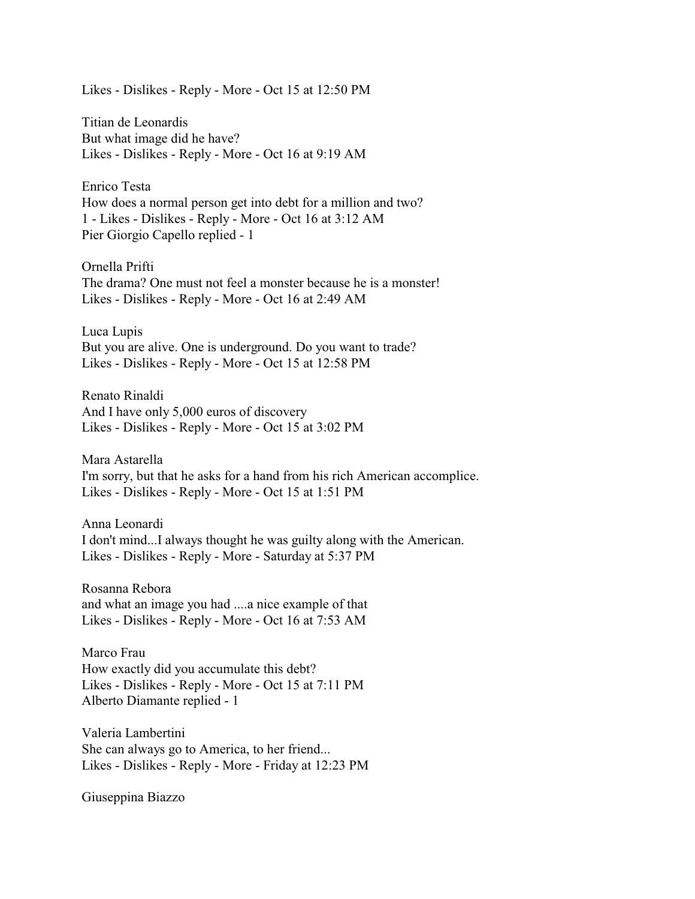Likes - Dislikes - Reply - More - Oct 15 at 12:50 PM

Titian de Leonardis But what image did he have? Likes - Dislikes - Reply - More - Oct 16 at 9:19 AM

Enrico Testa How does a normal person get into debt for a million and two? 1 - Likes - Dislikes - Reply - More - Oct 16 at 3:12 AM Pier Giorgio Capello replied - 1

Ornella Prifti The drama? One must not feel a monster because he is a monster! Likes - Dislikes - Reply - More - Oct 16 at 2:49 AM

Luca Lupis But you are alive. One is underground. Do you want to trade? Likes - Dislikes - Reply - More - Oct 15 at 12:58 PM

Renato Rinaldi And I have only 5,000 euros of discovery Likes - Dislikes - Reply - More - Oct 15 at 3:02 PM

Mara Astarella I'm sorry, but that he asks for a hand from his rich American accomplice. Likes - Dislikes - Reply - More - Oct 15 at 1:51 PM

Anna Leonardi I don't mind...I always thought he was guilty along with the American. Likes - Dislikes - Reply - More - Saturday at 5:37 PM

Rosanna Rebora and what an image you had ....a nice example of that Likes - Dislikes - Reply - More - Oct 16 at 7:53 AM

Marco Frau How exactly did you accumulate this debt? Likes - Dislikes - Reply - More - Oct 15 at 7:11 PM Alberto Diamante replied - 1

Valeria Lambertini She can always go to America, to her friend... Likes - Dislikes - Reply - More - Friday at 12:23 PM

Giuseppina Biazzo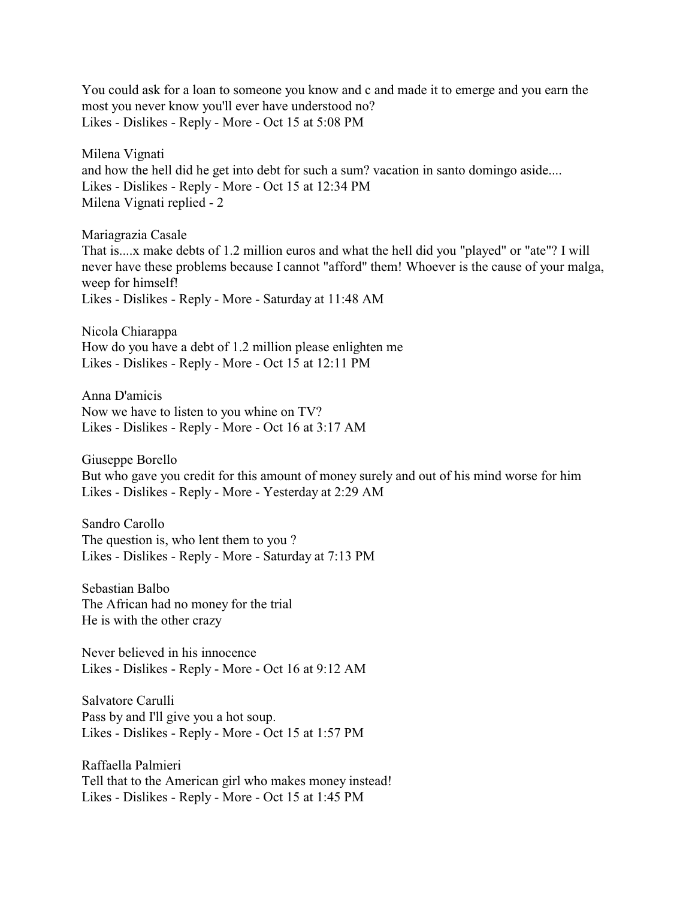You could ask for a loan to someone you know and c and made it to emerge and you earn the most you never know you'll ever have understood no? Likes - Dislikes - Reply - More - Oct 15 at 5:08 PM

Milena Vignati and how the hell did he get into debt for such a sum? vacation in santo domingo aside.... Likes - Dislikes - Reply - More - Oct 15 at 12:34 PM Milena Vignati replied - 2

Mariagrazia Casale That is....x make debts of 1.2 million euros and what the hell did you "played" or "ate"? I will never have these problems because I cannot "afford" them! Whoever is the cause of your malga, weep for himself! Likes - Dislikes - Reply - More - Saturday at 11:48 AM

Nicola Chiarappa How do you have a debt of 1.2 million please enlighten me Likes - Dislikes - Reply - More - Oct 15 at 12:11 PM

Anna D'amicis Now we have to listen to you whine on TV? Likes - Dislikes - Reply - More - Oct 16 at 3:17 AM

Giuseppe Borello But who gave you credit for this amount of money surely and out of his mind worse for him Likes - Dislikes - Reply - More - Yesterday at 2:29 AM

Sandro Carollo The question is, who lent them to you ? Likes - Dislikes - Reply - More - Saturday at 7:13 PM

Sebastian Balbo The African had no money for the trial He is with the other crazy

Never believed in his innocence Likes - Dislikes - Reply - More - Oct 16 at 9:12 AM

Salvatore Carulli Pass by and I'll give you a hot soup. Likes - Dislikes - Reply - More - Oct 15 at 1:57 PM

Raffaella Palmieri Tell that to the American girl who makes money instead! Likes - Dislikes - Reply - More - Oct 15 at 1:45 PM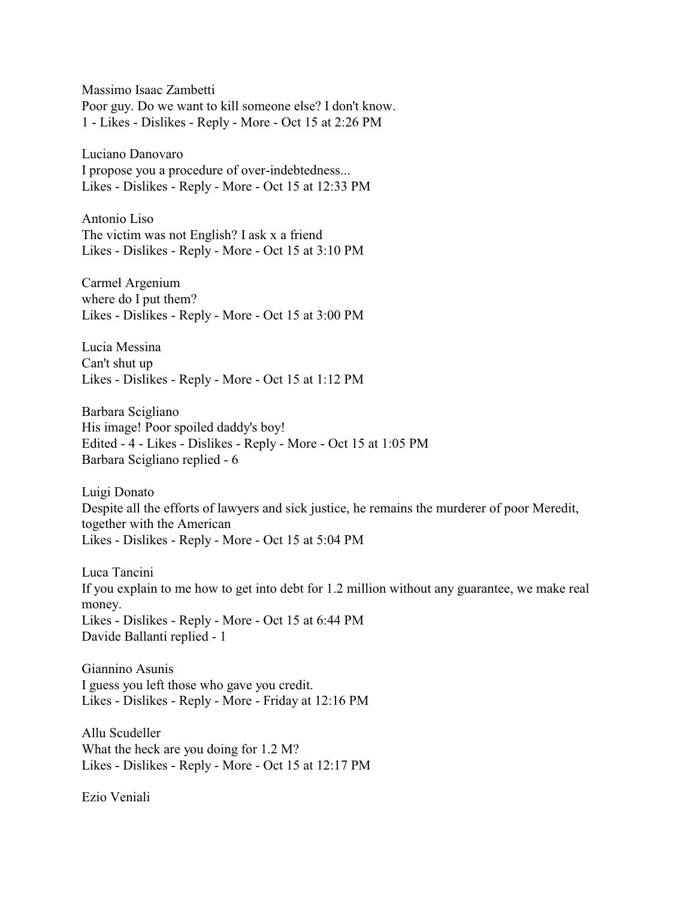Massimo Isaac Zambetti Poor guy. Do we want to kill someone else? I don't know. 1 - Likes - Dislikes - Reply - More - Oct 15 at 2:26 PM

Luciano Danovaro I propose you a procedure of over-indebtedness... Likes - Dislikes - Reply - More - Oct 15 at 12:33 PM

Antonio Liso The victim was not English? I ask x a friend Likes - Dislikes - Reply - More - Oct 15 at 3:10 PM

Carmel Argenium where do I put them? Likes - Dislikes - Reply - More - Oct 15 at 3:00 PM

Lucia Messina Can't shut up Likes - Dislikes - Reply - More - Oct 15 at 1:12 PM

Barbara Scigliano His image! Poor spoiled daddy's boy! Edited - 4 - Likes - Dislikes - Reply - More - Oct 15 at 1:05 PM Barbara Scigliano replied - 6

Luigi Donato Despite all the efforts of lawyers and sick justice, he remains the murderer of poor Meredit, together with the American Likes - Dislikes - Reply - More - Oct 15 at 5:04 PM

Luca Tancini If you explain to me how to get into debt for 1.2 million without any guarantee, we make real money. Likes - Dislikes - Reply - More - Oct 15 at 6:44 PM Davide Ballanti replied - 1

Giannino Asunis I guess you left those who gave you credit. Likes - Dislikes - Reply - More - Friday at 12:16 PM

Allu Scudeller What the heck are you doing for 1.2 M? Likes - Dislikes - Reply - More - Oct 15 at 12:17 PM

Ezio Veniali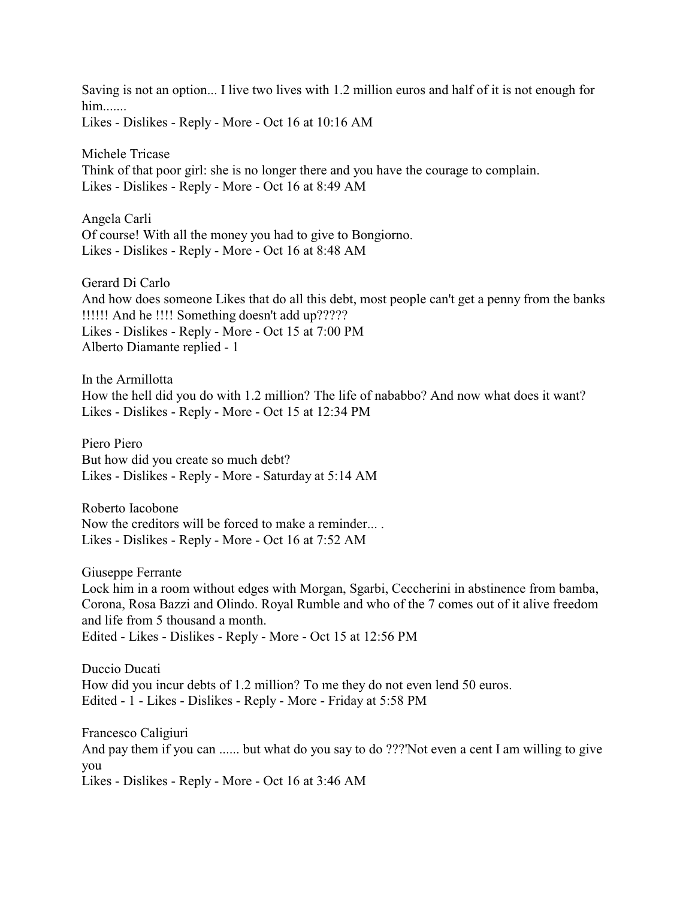Saving is not an option... I live two lives with 1.2 million euros and half of it is not enough for him....... Likes - Dislikes - Reply - More - Oct 16 at 10:16 AM

Michele Tricase Think of that poor girl: she is no longer there and you have the courage to complain. Likes - Dislikes - Reply - More - Oct 16 at 8:49 AM

Angela Carli Of course! With all the money you had to give to Bongiorno. Likes - Dislikes - Reply - More - Oct 16 at 8:48 AM

Gerard Di Carlo And how does someone Likes that do all this debt, most people can't get a penny from the banks !!!!!! And he !!!! Something doesn't add up????? Likes - Dislikes - Reply - More - Oct 15 at 7:00 PM Alberto Diamante replied - 1

In the Armillotta How the hell did you do with 1.2 million? The life of nababbo? And now what does it want? Likes - Dislikes - Reply - More - Oct 15 at 12:34 PM

Piero Piero But how did you create so much debt? Likes - Dislikes - Reply - More - Saturday at 5:14 AM

Roberto Iacobone Now the creditors will be forced to make a reminder... . Likes - Dislikes - Reply - More - Oct 16 at 7:52 AM

Giuseppe Ferrante

Lock him in a room without edges with Morgan, Sgarbi, Ceccherini in abstinence from bamba, Corona, Rosa Bazzi and Olindo. Royal Rumble and who of the 7 comes out of it alive freedom and life from 5 thousand a month. Edited - Likes - Dislikes - Reply - More - Oct 15 at 12:56 PM

Duccio Ducati How did you incur debts of 1.2 million? To me they do not even lend 50 euros. Edited - 1 - Likes - Dislikes - Reply - More - Friday at 5:58 PM

Francesco Caligiuri And pay them if you can ...... but what do you say to do ???'Not even a cent I am willing to give you Likes - Dislikes - Reply - More - Oct 16 at 3:46 AM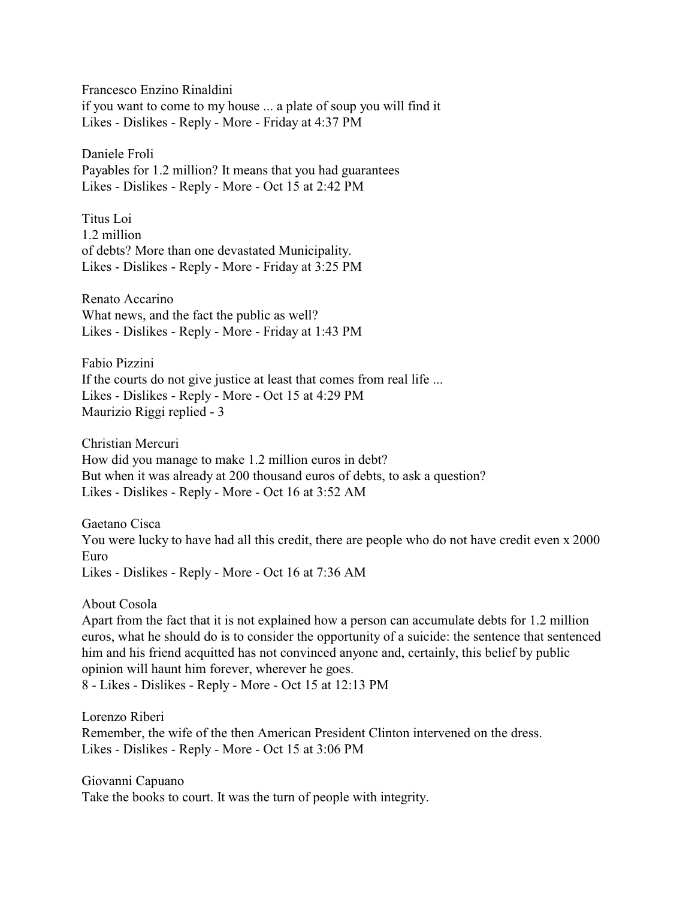Francesco Enzino Rinaldini if you want to come to my house ... a plate of soup you will find it Likes - Dislikes - Reply - More - Friday at 4:37 PM

Daniele Froli Payables for 1.2 million? It means that you had guarantees Likes - Dislikes - Reply - More - Oct 15 at 2:42 PM

Titus Loi 1.2 million of debts? More than one devastated Municipality. Likes - Dislikes - Reply - More - Friday at 3:25 PM

Renato Accarino What news, and the fact the public as well? Likes - Dislikes - Reply - More - Friday at 1:43 PM

Fabio Pizzini If the courts do not give justice at least that comes from real life ... Likes - Dislikes - Reply - More - Oct 15 at 4:29 PM Maurizio Riggi replied - 3

Christian Mercuri How did you manage to make 1.2 million euros in debt? But when it was already at 200 thousand euros of debts, to ask a question? Likes - Dislikes - Reply - More - Oct 16 at 3:52 AM

Gaetano Cisca You were lucky to have had all this credit, there are people who do not have credit even x 2000 Euro Likes - Dislikes - Reply - More - Oct 16 at 7:36 AM

About Cosola

Apart from the fact that it is not explained how a person can accumulate debts for 1.2 million euros, what he should do is to consider the opportunity of a suicide: the sentence that sentenced him and his friend acquitted has not convinced anyone and, certainly, this belief by public opinion will haunt him forever, wherever he goes. 8 - Likes - Dislikes - Reply - More - Oct 15 at 12:13 PM

Lorenzo Riberi

Remember, the wife of the then American President Clinton intervened on the dress. Likes - Dislikes - Reply - More - Oct 15 at 3:06 PM

Giovanni Capuano Take the books to court. It was the turn of people with integrity.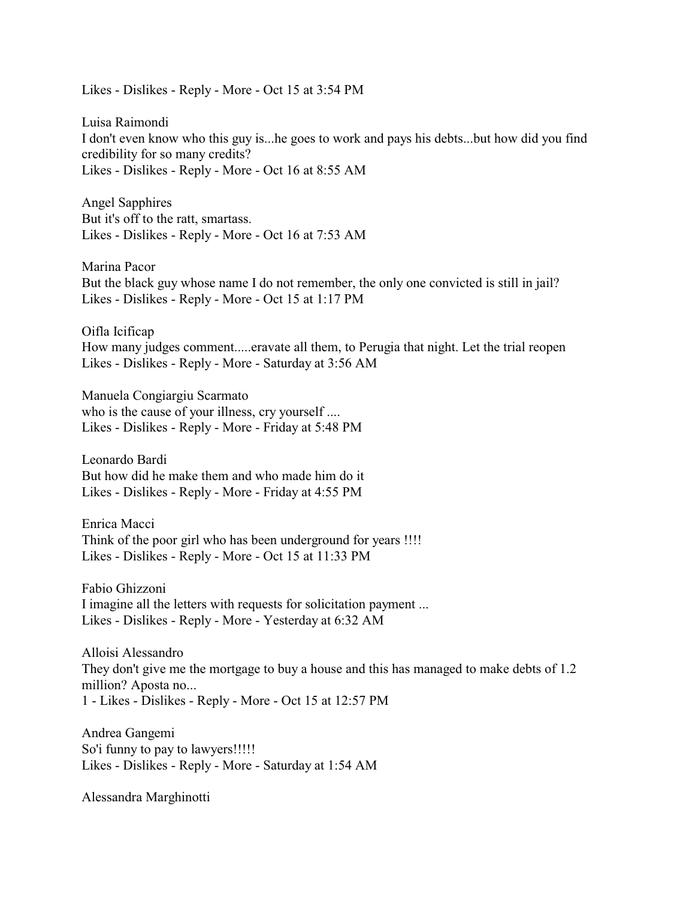Likes - Dislikes - Reply - More - Oct 15 at 3:54 PM

Luisa Raimondi I don't even know who this guy is...he goes to work and pays his debts...but how did you find credibility for so many credits? Likes - Dislikes - Reply - More - Oct 16 at 8:55 AM

Angel Sapphires But it's off to the ratt, smartass. Likes - Dislikes - Reply - More - Oct 16 at 7:53 AM

Marina Pacor But the black guy whose name I do not remember, the only one convicted is still in jail? Likes - Dislikes - Reply - More - Oct 15 at 1:17 PM

Oifla Icificap How many judges comment.....eravate all them, to Perugia that night. Let the trial reopen Likes - Dislikes - Reply - More - Saturday at 3:56 AM

Manuela Congiargiu Scarmato who is the cause of your illness, cry yourself .... Likes - Dislikes - Reply - More - Friday at 5:48 PM

Leonardo Bardi But how did he make them and who made him do it Likes - Dislikes - Reply - More - Friday at 4:55 PM

Enrica Macci Think of the poor girl who has been underground for years !!!! Likes - Dislikes - Reply - More - Oct 15 at 11:33 PM

Fabio Ghizzoni I imagine all the letters with requests for solicitation payment ... Likes - Dislikes - Reply - More - Yesterday at 6:32 AM

Alloisi Alessandro They don't give me the mortgage to buy a house and this has managed to make debts of 1.2 million? Aposta no... 1 - Likes - Dislikes - Reply - More - Oct 15 at 12:57 PM

Andrea Gangemi So'i funny to pay to lawyers!!!!! Likes - Dislikes - Reply - More - Saturday at 1:54 AM

Alessandra Marghinotti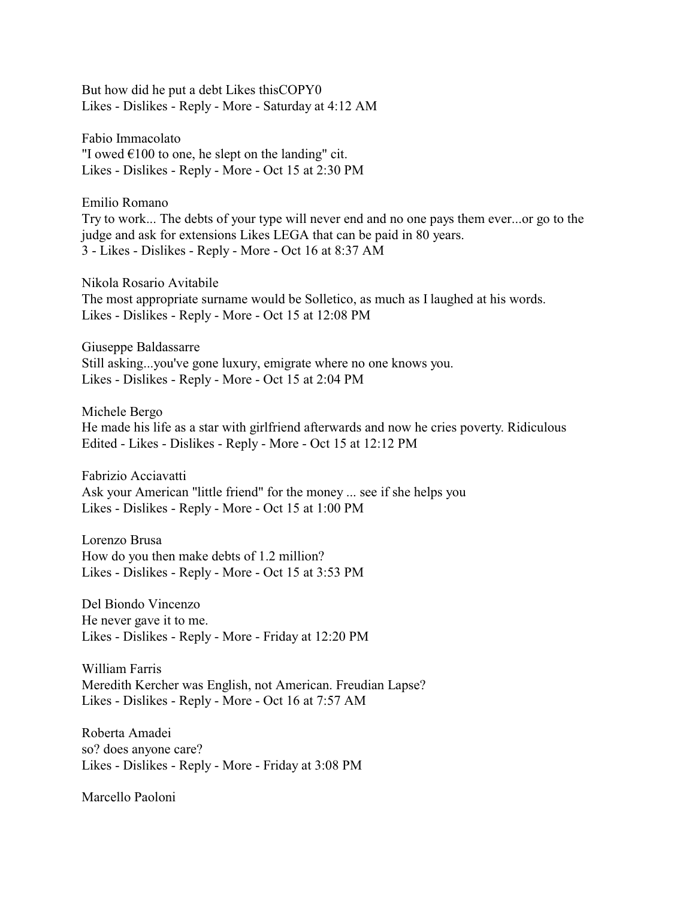But how did he put a debt Likes thisCOPY0 Likes - Dislikes - Reply - More - Saturday at 4:12 AM

Fabio Immacolato "I owed  $\epsilon$ 100 to one, he slept on the landing" cit. Likes - Dislikes - Reply - More - Oct 15 at 2:30 PM

Emilio Romano Try to work... The debts of your type will never end and no one pays them ever...or go to the judge and ask for extensions Likes LEGA that can be paid in 80 years. 3 - Likes - Dislikes - Reply - More - Oct 16 at 8:37 AM

Nikola Rosario Avitabile The most appropriate surname would be Solletico, as much as I laughed at his words. Likes - Dislikes - Reply - More - Oct 15 at 12:08 PM

Giuseppe Baldassarre Still asking...you've gone luxury, emigrate where no one knows you. Likes - Dislikes - Reply - More - Oct 15 at 2:04 PM

Michele Bergo He made his life as a star with girlfriend afterwards and now he cries poverty. Ridiculous Edited - Likes - Dislikes - Reply - More - Oct 15 at 12:12 PM

Fabrizio Acciavatti Ask your American "little friend" for the money ... see if she helps you Likes - Dislikes - Reply - More - Oct 15 at 1:00 PM

Lorenzo Brusa How do you then make debts of 1.2 million? Likes - Dislikes - Reply - More - Oct 15 at 3:53 PM

Del Biondo Vincenzo He never gave it to me. Likes - Dislikes - Reply - More - Friday at 12:20 PM

William Farris Meredith Kercher was English, not American. Freudian Lapse? Likes - Dislikes - Reply - More - Oct 16 at 7:57 AM

Roberta Amadei so? does anyone care? Likes - Dislikes - Reply - More - Friday at 3:08 PM

Marcello Paoloni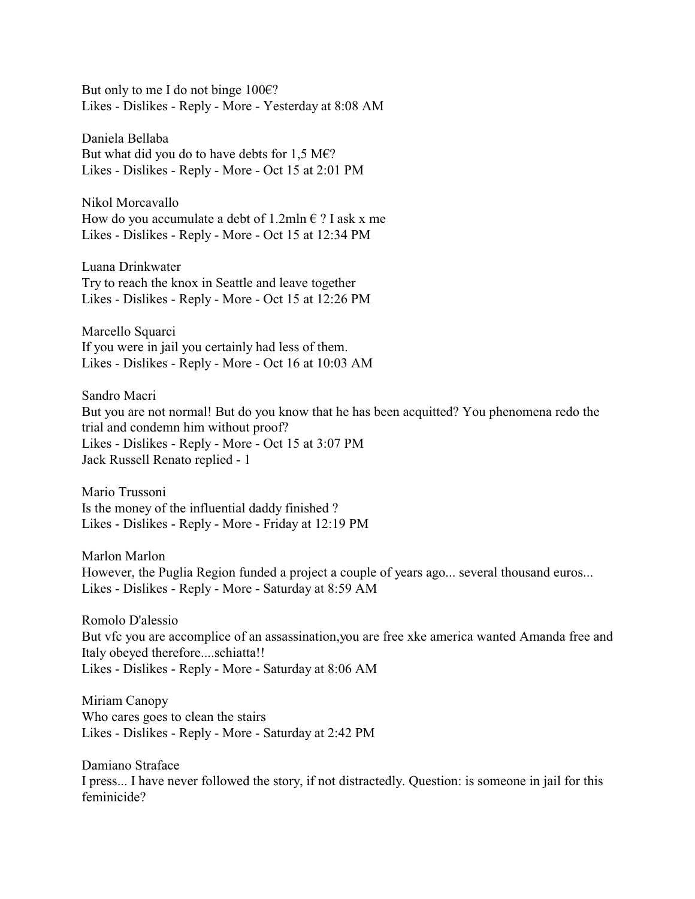But only to me I do not binge  $100 \in$ ? Likes - Dislikes - Reply - More - Yesterday at 8:08 AM

Daniela Bellaba But what did you do to have debts for 1,5 M $\epsilon$ ? Likes - Dislikes - Reply - More - Oct 15 at 2:01 PM

Nikol Morcavallo How do you accumulate a debt of 1.2mln  $\epsilon$  ? I ask x me Likes - Dislikes - Reply - More - Oct 15 at 12:34 PM

Luana Drinkwater Try to reach the knox in Seattle and leave together Likes - Dislikes - Reply - More - Oct 15 at 12:26 PM

Marcello Squarci If you were in jail you certainly had less of them. Likes - Dislikes - Reply - More - Oct 16 at 10:03 AM

Sandro Macri But you are not normal! But do you know that he has been acquitted? You phenomena redo the trial and condemn him without proof? Likes - Dislikes - Reply - More - Oct 15 at 3:07 PM Jack Russell Renato replied - 1

Mario Trussoni Is the money of the influential daddy finished ? Likes - Dislikes - Reply - More - Friday at 12:19 PM

Marlon Marlon However, the Puglia Region funded a project a couple of years ago... several thousand euros... Likes - Dislikes - Reply - More - Saturday at 8:59 AM

Romolo D'alessio But vfc you are accomplice of an assassination,you are free xke america wanted Amanda free and Italy obeyed therefore....schiatta!! Likes - Dislikes - Reply - More - Saturday at 8:06 AM

Miriam Canopy Who cares goes to clean the stairs Likes - Dislikes - Reply - More - Saturday at 2:42 PM

Damiano Straface I press... I have never followed the story, if not distractedly. Question: is someone in jail for this feminicide?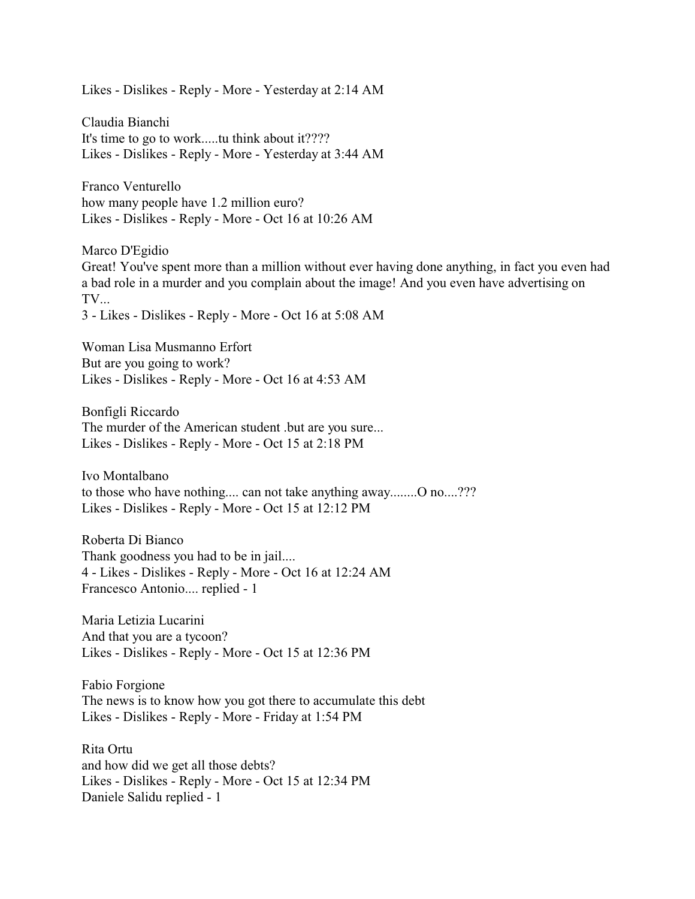Likes - Dislikes - Reply - More - Yesterday at 2:14 AM

Claudia Bianchi It's time to go to work.....tu think about it???? Likes - Dislikes - Reply - More - Yesterday at 3:44 AM

Franco Venturello how many people have 1.2 million euro? Likes - Dislikes - Reply - More - Oct 16 at 10:26 AM

Marco D'Egidio Great! You've spent more than a million without ever having done anything, in fact you even had a bad role in a murder and you complain about the image! And you even have advertising on TV... 3 - Likes - Dislikes - Reply - More - Oct 16 at 5:08 AM

Woman Lisa Musmanno Erfort But are you going to work? Likes - Dislikes - Reply - More - Oct 16 at 4:53 AM

Bonfigli Riccardo The murder of the American student .but are you sure... Likes - Dislikes - Reply - More - Oct 15 at 2:18 PM

Ivo Montalbano to those who have nothing.... can not take anything away........O no....??? Likes - Dislikes - Reply - More - Oct 15 at 12:12 PM

Roberta Di Bianco Thank goodness you had to be in jail.... 4 - Likes - Dislikes - Reply - More - Oct 16 at 12:24 AM Francesco Antonio.... replied - 1

Maria Letizia Lucarini And that you are a tycoon? Likes - Dislikes - Reply - More - Oct 15 at 12:36 PM

Fabio Forgione The news is to know how you got there to accumulate this debt Likes - Dislikes - Reply - More - Friday at 1:54 PM

Rita Ortu and how did we get all those debts? Likes - Dislikes - Reply - More - Oct 15 at 12:34 PM Daniele Salidu replied - 1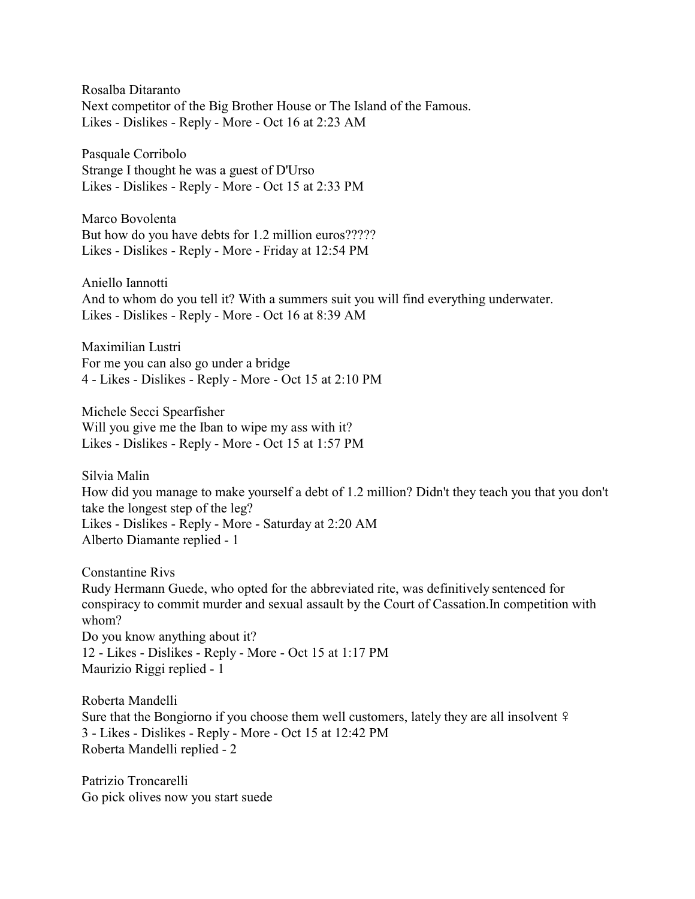Rosalba Ditaranto Next competitor of the Big Brother House or The Island of the Famous. Likes - Dislikes - Reply - More - Oct 16 at 2:23 AM

Pasquale Corribolo Strange I thought he was a guest of D'Urso Likes - Dislikes - Reply - More - Oct 15 at 2:33 PM

Marco Bovolenta But how do you have debts for 1.2 million euros????? Likes - Dislikes - Reply - More - Friday at 12:54 PM

Aniello Iannotti And to whom do you tell it? With a summers suit you will find everything underwater. Likes - Dislikes - Reply - More - Oct 16 at 8:39 AM

Maximilian Lustri For me you can also go under a bridge 4 - Likes - Dislikes - Reply - More - Oct 15 at 2:10 PM

Michele Secci Spearfisher Will you give me the Iban to wipe my ass with it? Likes - Dislikes - Reply - More - Oct 15 at 1:57 PM

Silvia Malin How did you manage to make yourself a debt of 1.2 million? Didn't they teach you that you don't take the longest step of the leg? Likes - Dislikes - Reply - More - Saturday at 2:20 AM Alberto Diamante replied - 1

Constantine Rivs Rudy Hermann Guede, who opted for the abbreviated rite, was definitively sentenced for conspiracy to commit murder and sexual assault by the Court of Cassation.In competition with whom? Do you know anything about it? 12 - Likes - Dislikes - Reply - More - Oct 15 at 1:17 PM Maurizio Riggi replied - 1

Roberta Mandelli Sure that the Bongiorno if you choose them well customers, lately they are all insolvent  $\frac{1}{2}$ 3 - Likes - Dislikes - Reply - More - Oct 15 at 12:42 PM Roberta Mandelli replied - 2

Patrizio Troncarelli Go pick olives now you start suede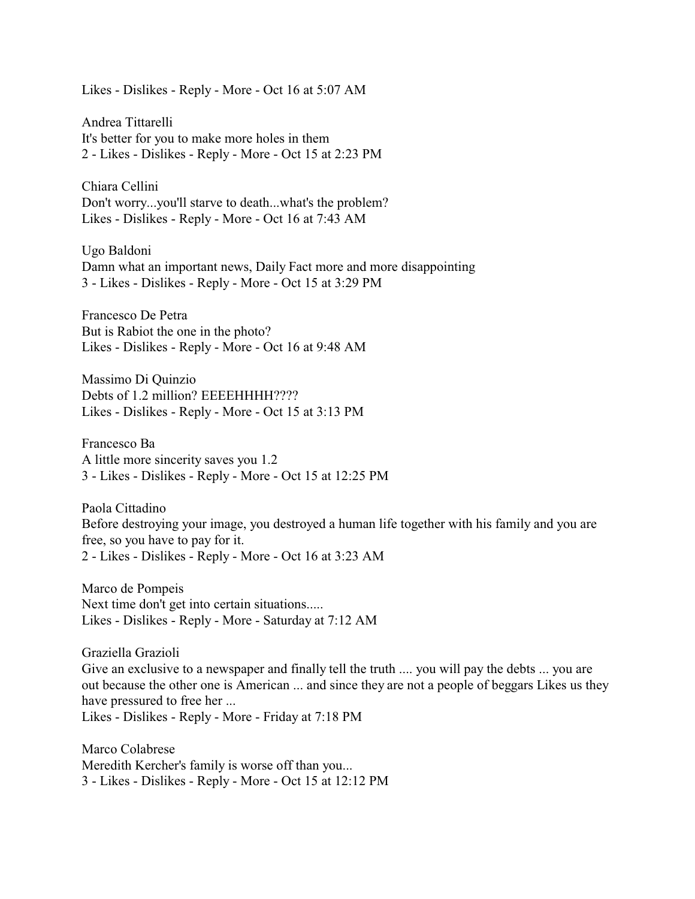Likes - Dislikes - Reply - More - Oct 16 at 5:07 AM

Andrea Tittarelli It's better for you to make more holes in them 2 - Likes - Dislikes - Reply - More - Oct 15 at 2:23 PM

Chiara Cellini Don't worry...you'll starve to death...what's the problem? Likes - Dislikes - Reply - More - Oct 16 at 7:43 AM

Ugo Baldoni Damn what an important news, Daily Fact more and more disappointing 3 - Likes - Dislikes - Reply - More - Oct 15 at 3:29 PM

Francesco De Petra But is Rabiot the one in the photo? Likes - Dislikes - Reply - More - Oct 16 at 9:48 AM

Massimo Di Quinzio Debts of 1.2 million? EEEEHHHH???? Likes - Dislikes - Reply - More - Oct 15 at 3:13 PM

Francesco Ba A little more sincerity saves you 1.2 3 - Likes - Dislikes - Reply - More - Oct 15 at 12:25 PM

Paola Cittadino Before destroying your image, you destroyed a human life together with his family and you are free, so you have to pay for it. 2 - Likes - Dislikes - Reply - More - Oct 16 at 3:23 AM

Marco de Pompeis Next time don't get into certain situations..... Likes - Dislikes - Reply - More - Saturday at 7:12 AM

Graziella Grazioli

Give an exclusive to a newspaper and finally tell the truth .... you will pay the debts ... you are out because the other one is American ... and since they are not a people of beggars Likes us they have pressured to free her ...

Likes - Dislikes - Reply - More - Friday at 7:18 PM

Marco Colabrese Meredith Kercher's family is worse off than you... 3 - Likes - Dislikes - Reply - More - Oct 15 at 12:12 PM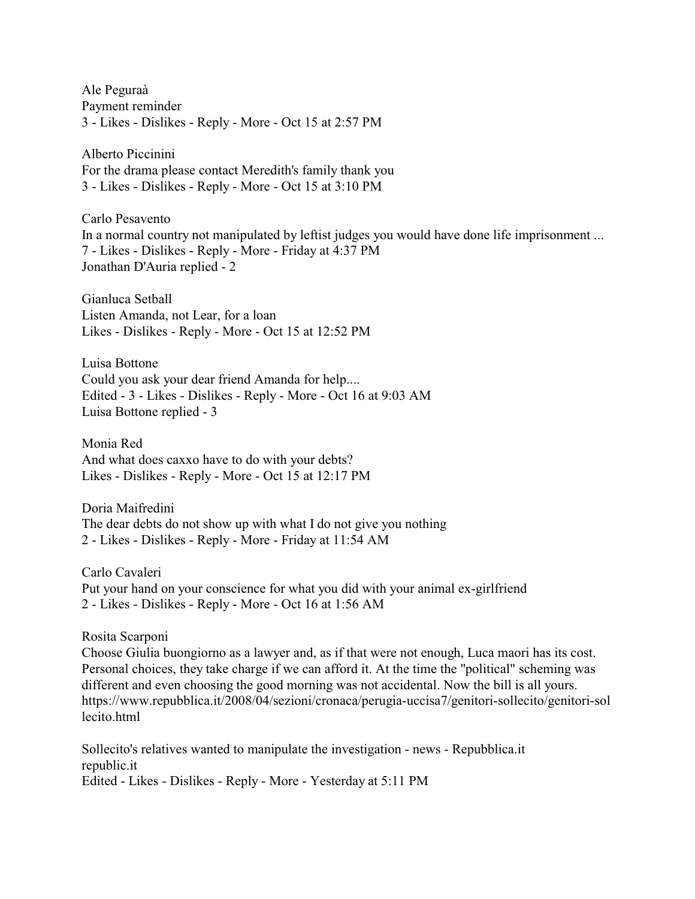Ale Peguraà Payment reminder 3 - Likes - Dislikes - Reply - More - Oct 15 at 2:57 PM

Alberto Piccinini For the drama please contact Meredith's family thank you 3 - Likes - Dislikes - Reply - More - Oct 15 at 3:10 PM

Carlo Pesavento In a normal country not manipulated by leftist judges you would have done life imprisonment ... 7 - Likes - Dislikes - Reply - More - Friday at 4:37 PM Jonathan D'Auria replied - 2

Gianluca Setball Listen Amanda, not Lear, for a loan Likes - Dislikes - Reply - More - Oct 15 at 12:52 PM

Luisa Bottone Could you ask your dear friend Amanda for help.... Edited - 3 - Likes - Dislikes - Reply - More - Oct 16 at 9:03 AM Luisa Bottone replied - 3

Monia Red And what does caxxo have to do with your debts? Likes - Dislikes - Reply - More - Oct 15 at 12:17 PM

Doria Maifredini The dear debts do not show up with what I do not give you nothing 2 - Likes - Dislikes - Reply - More - Friday at 11:54 AM

Carlo Cavaleri Put your hand on your conscience for what you did with your animal ex-girlfriend 2 - Likes - Dislikes - Reply - More - Oct 16 at 1:56 AM

Rosita Scarponi

Choose Giulia buongiorno as a lawyer and, as if that were not enough, Luca maori has its cost. Personal choices, they take charge if we can afford it. At the time the "political" scheming was different and even choosing the good morning was not accidental. Now the bill is all yours. https://www.repubblica.it/2008/04/sezioni/cronaca/perugia-uccisa7/genitori-sollecito/genitori-sol lecito html

Sollecito's relatives wanted to manipulate the investigation - news - Repubblica.it republic.it Edited - Likes - Dislikes - Reply - More - Yesterday at 5:11 PM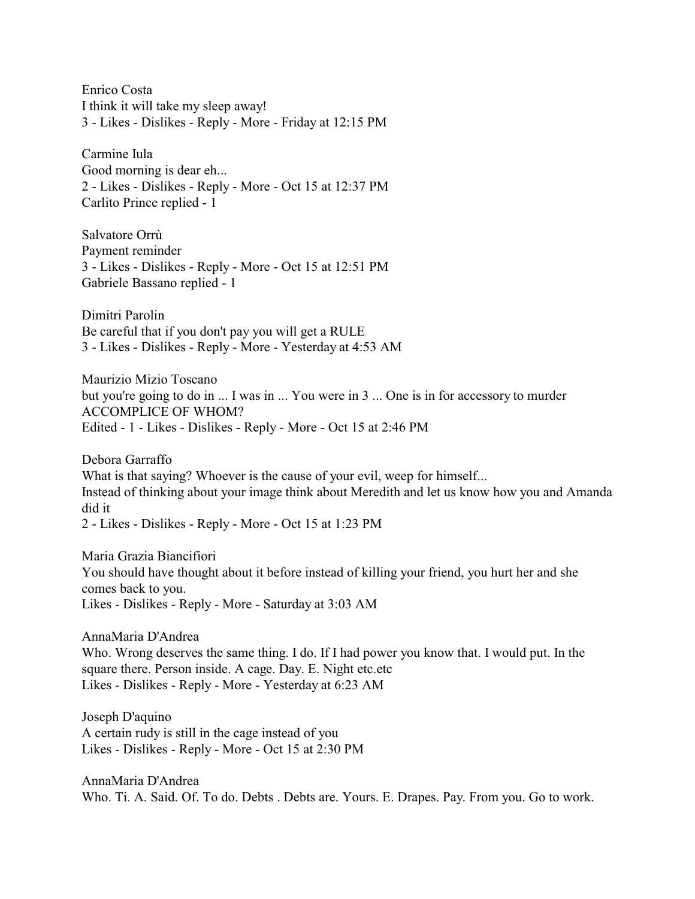Enrico Costa I think it will take my sleep away! 3 - Likes - Dislikes - Reply - More - Friday at 12:15 PM

Carmine Iula Good morning is dear eh... 2 - Likes - Dislikes - Reply - More - Oct 15 at 12:37 PM Carlito Prince replied - 1

Salvatore Orrù Payment reminder 3 - Likes - Dislikes - Reply - More - Oct 15 at 12:51 PM Gabriele Bassano replied - 1

Dimitri Parolin Be careful that if you don't pay you will get a RULE 3 - Likes - Dislikes - Reply - More - Yesterday at 4:53 AM

Maurizio Mizio Toscano but you're going to do in ... I was in ... You were in 3 ... One is in for accessory to murder ACCOMPLICE OF WHOM? Edited - 1 - Likes - Dislikes - Reply - More - Oct 15 at 2:46 PM

Debora Garraffo What is that saying? Whoever is the cause of your evil, weep for himself... Instead of thinking about your image think about Meredith and let us know how you and Amanda did it 2 - Likes - Dislikes - Reply - More - Oct 15 at 1:23 PM

Maria Grazia Biancifiori You should have thought about it before instead of killing your friend, you hurt her and she comes back to you. Likes - Dislikes - Reply - More - Saturday at 3:03 AM

AnnaMaria D'Andrea Who. Wrong deserves the same thing. I do. If I had power you know that. I would put. In the square there. Person inside. A cage. Day. E. Night etc.etc Likes - Dislikes - Reply - More - Yesterday at 6:23 AM

Joseph D'aquino A certain rudy is still in the cage instead of you Likes - Dislikes - Reply - More - Oct 15 at 2:30 PM

AnnaMaria D'Andrea Who. Ti. A. Said. Of. To do. Debts . Debts are. Yours. E. Drapes. Pay. From you. Go to work.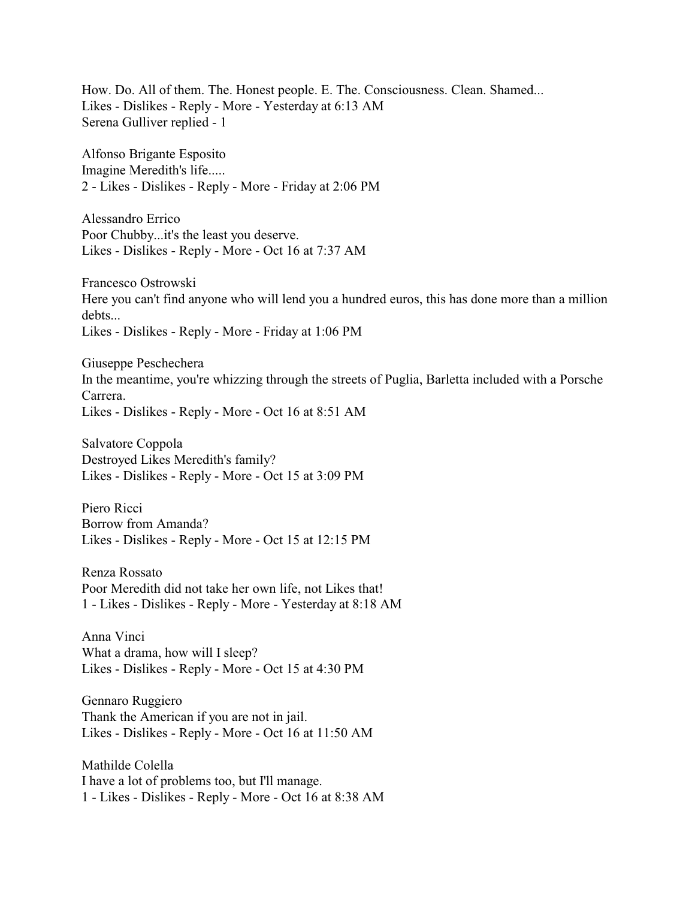How. Do. All of them. The. Honest people. E. The. Consciousness. Clean. Shamed... Likes - Dislikes - Reply - More - Yesterday at 6:13 AM Serena Gulliver replied - 1

Alfonso Brigante Esposito Imagine Meredith's life..... 2 - Likes - Dislikes - Reply - More - Friday at 2:06 PM

Alessandro Errico Poor Chubby...it's the least you deserve. Likes - Dislikes - Reply - More - Oct 16 at 7:37 AM

Francesco Ostrowski Here you can't find anyone who will lend you a hundred euros, this has done more than a million debts... Likes - Dislikes - Reply - More - Friday at 1:06 PM

Giuseppe Peschechera In the meantime, you're whizzing through the streets of Puglia, Barletta included with a Porsche Carrera. Likes - Dislikes - Reply - More - Oct 16 at 8:51 AM

Salvatore Coppola Destroyed Likes Meredith's family? Likes - Dislikes - Reply - More - Oct 15 at 3:09 PM

Piero Ricci Borrow from Amanda? Likes - Dislikes - Reply - More - Oct 15 at 12:15 PM

Renza Rossato Poor Meredith did not take her own life, not Likes that! 1 - Likes - Dislikes - Reply - More - Yesterday at 8:18 AM

Anna Vinci What a drama, how will I sleep? Likes - Dislikes - Reply - More - Oct 15 at 4:30 PM

Gennaro Ruggiero Thank the American if you are not in jail. Likes - Dislikes - Reply - More - Oct 16 at 11:50 AM

Mathilde Colella I have a lot of problems too, but I'll manage. 1 - Likes - Dislikes - Reply - More - Oct 16 at 8:38 AM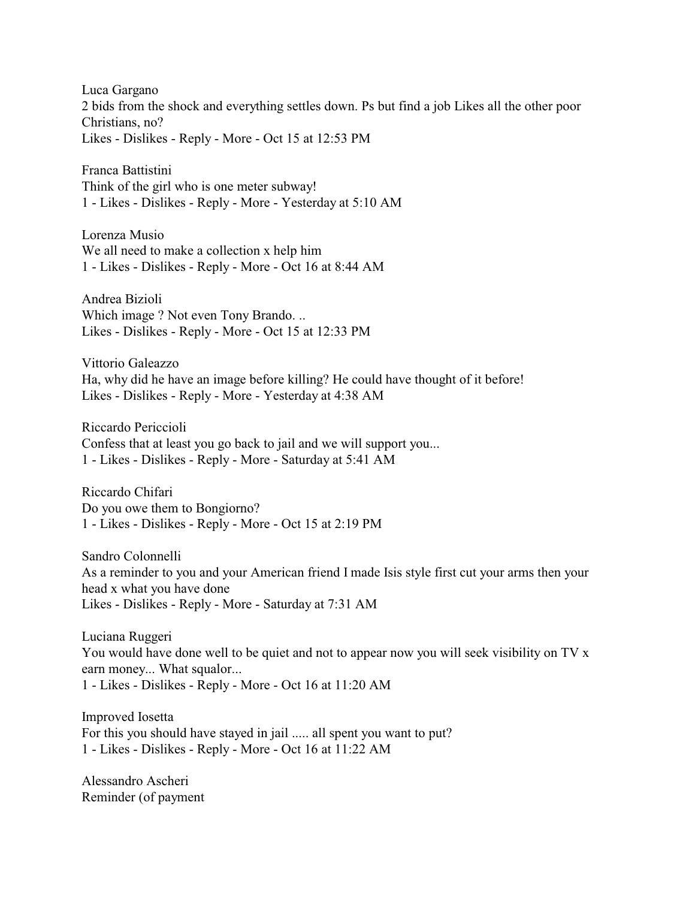Luca Gargano 2 bids from the shock and everything settles down. Ps but find a job Likes all the other poor Christians, no? Likes - Dislikes - Reply - More - Oct 15 at 12:53 PM

Franca Battistini Think of the girl who is one meter subway! 1 - Likes - Dislikes - Reply - More - Yesterday at 5:10 AM

Lorenza Musio We all need to make a collection x help him 1 - Likes - Dislikes - Reply - More - Oct 16 at 8:44 AM

Andrea Bizioli Which image ? Not even Tony Brando. .. Likes - Dislikes - Reply - More - Oct 15 at 12:33 PM

Vittorio Galeazzo Ha, why did he have an image before killing? He could have thought of it before! Likes - Dislikes - Reply - More - Yesterday at 4:38 AM

Riccardo Periccioli Confess that at least you go back to jail and we will support you... 1 - Likes - Dislikes - Reply - More - Saturday at 5:41 AM

Riccardo Chifari Do you owe them to Bongiorno? 1 - Likes - Dislikes - Reply - More - Oct 15 at 2:19 PM

Sandro Colonnelli As a reminder to you and your American friend I made Isis style first cut your arms then your head x what you have done Likes - Dislikes - Reply - More - Saturday at 7:31 AM

Luciana Ruggeri You would have done well to be quiet and not to appear now you will seek visibility on TV x earn money... What squalor... 1 - Likes - Dislikes - Reply - More - Oct 16 at 11:20 AM

Improved Iosetta For this you should have stayed in jail ..... all spent you want to put? 1 - Likes - Dislikes - Reply - More - Oct 16 at 11:22 AM

Alessandro Ascheri Reminder (of payment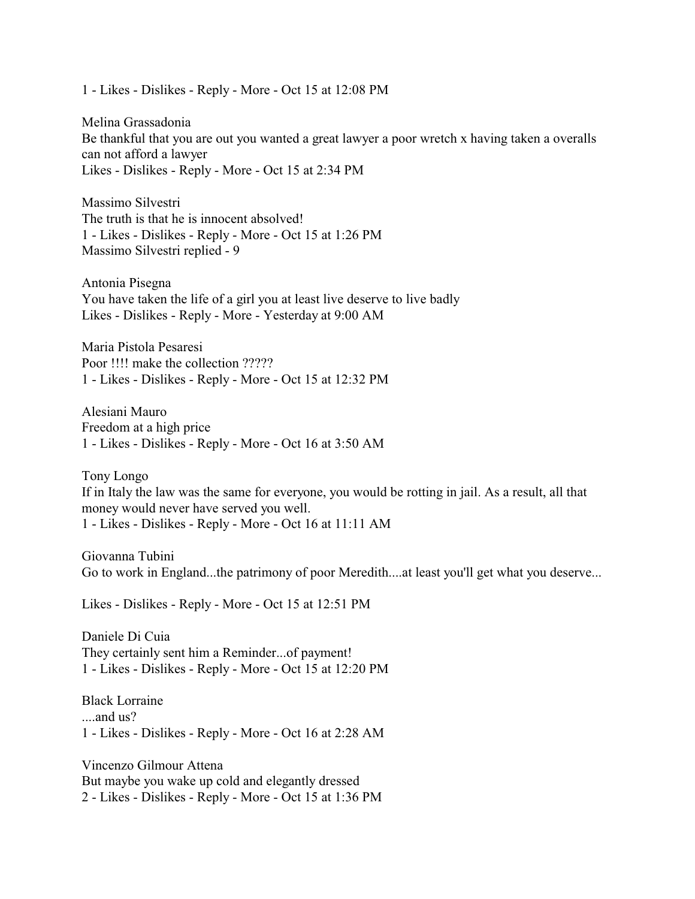1 - Likes - Dislikes - Reply - More - Oct 15 at 12:08 PM

Melina Grassadonia Be thankful that you are out you wanted a great lawyer a poor wretch x having taken a overalls can not afford a lawyer Likes - Dislikes - Reply - More - Oct 15 at 2:34 PM

Massimo Silvestri The truth is that he is innocent absolved! 1 - Likes - Dislikes - Reply - More - Oct 15 at 1:26 PM Massimo Silvestri replied - 9

Antonia Pisegna You have taken the life of a girl you at least live deserve to live badly Likes - Dislikes - Reply - More - Yesterday at 9:00 AM

Maria Pistola Pesaresi Poor !!!! make the collection ????? 1 - Likes - Dislikes - Reply - More - Oct 15 at 12:32 PM

Alesiani Mauro Freedom at a high price 1 - Likes - Dislikes - Reply - More - Oct 16 at 3:50 AM

Tony Longo If in Italy the law was the same for everyone, you would be rotting in jail. As a result, all that money would never have served you well. 1 - Likes - Dislikes - Reply - More - Oct 16 at 11:11 AM

Giovanna Tubini Go to work in England...the patrimony of poor Meredith....at least you'll get what you deserve...

Likes - Dislikes - Reply - More - Oct 15 at 12:51 PM

Daniele Di Cuia They certainly sent him a Reminder...of payment! 1 - Likes - Dislikes - Reply - More - Oct 15 at 12:20 PM

Black Lorraine ....and us? 1 - Likes - Dislikes - Reply - More - Oct 16 at 2:28 AM

Vincenzo Gilmour Attena But maybe you wake up cold and elegantly dressed 2 - Likes - Dislikes - Reply - More - Oct 15 at 1:36 PM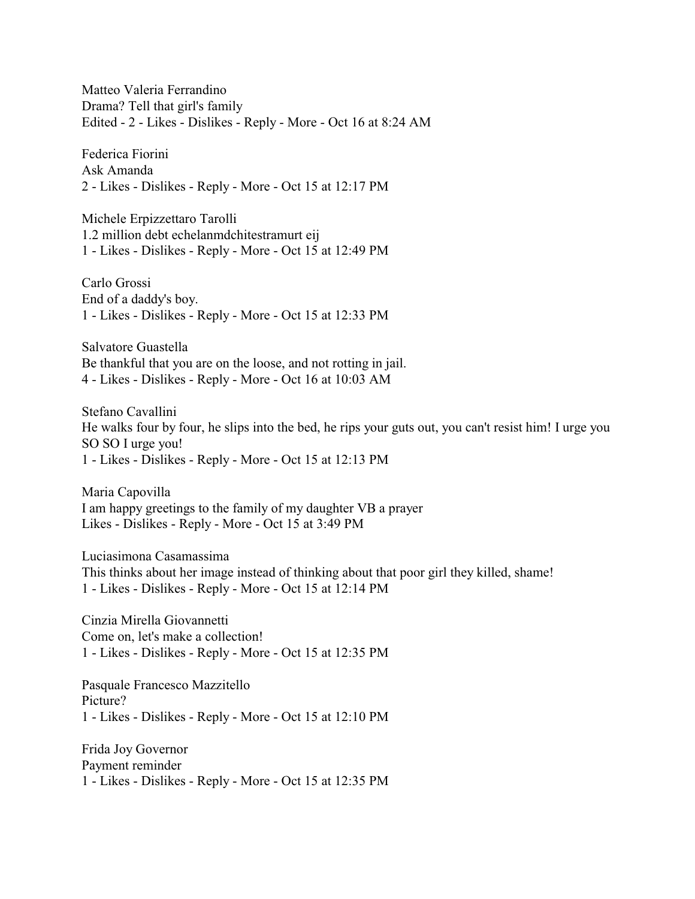Matteo Valeria Ferrandino Drama? Tell that girl's family Edited - 2 - Likes - Dislikes - Reply - More - Oct 16 at 8:24 AM

Federica Fiorini Ask Amanda 2 - Likes - Dislikes - Reply - More - Oct 15 at 12:17 PM

Michele Erpizzettaro Tarolli 1.2 million debt echelanmdchitestramurt eij 1 - Likes - Dislikes - Reply - More - Oct 15 at 12:49 PM

Carlo Grossi End of a daddy's boy. 1 - Likes - Dislikes - Reply - More - Oct 15 at 12:33 PM

Salvatore Guastella Be thankful that you are on the loose, and not rotting in jail. 4 - Likes - Dislikes - Reply - More - Oct 16 at 10:03 AM

Stefano Cavallini He walks four by four, he slips into the bed, he rips your guts out, you can't resist him! I urge you SO SO I urge you! 1 - Likes - Dislikes - Reply - More - Oct 15 at 12:13 PM

Maria Capovilla I am happy greetings to the family of my daughter VB a prayer Likes - Dislikes - Reply - More - Oct 15 at 3:49 PM

Luciasimona Casamassima This thinks about her image instead of thinking about that poor girl they killed, shame! 1 - Likes - Dislikes - Reply - More - Oct 15 at 12:14 PM

Cinzia Mirella Giovannetti Come on, let's make a collection! 1 - Likes - Dislikes - Reply - More - Oct 15 at 12:35 PM

Pasquale Francesco Mazzitello Picture? 1 - Likes - Dislikes - Reply - More - Oct 15 at 12:10 PM

Frida Joy Governor Payment reminder 1 - Likes - Dislikes - Reply - More - Oct 15 at 12:35 PM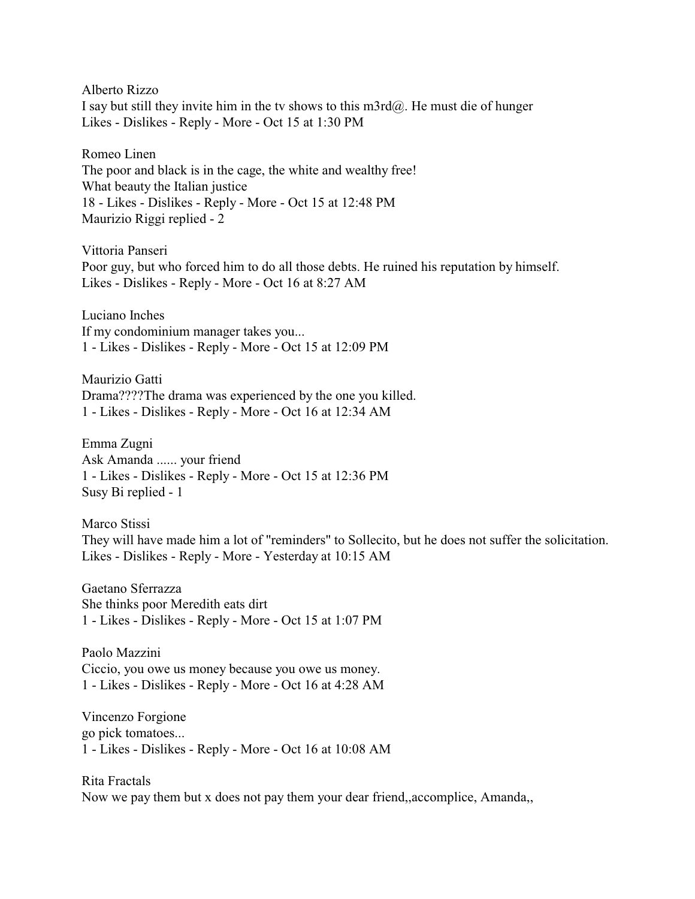Alberto Rizzo

I say but still they invite him in the tv shows to this m3rd@. He must die of hunger Likes - Dislikes - Reply - More - Oct 15 at 1:30 PM

Romeo Linen The poor and black is in the cage, the white and wealthy free! What beauty the Italian justice 18 - Likes - Dislikes - Reply - More - Oct 15 at 12:48 PM Maurizio Riggi replied - 2

Vittoria Panseri Poor guy, but who forced him to do all those debts. He ruined his reputation by himself. Likes - Dislikes - Reply - More - Oct 16 at 8:27 AM

Luciano Inches If my condominium manager takes you... 1 - Likes - Dislikes - Reply - More - Oct 15 at 12:09 PM

Maurizio Gatti Drama????The drama was experienced by the one you killed. 1 - Likes - Dislikes - Reply - More - Oct 16 at 12:34 AM

Emma Zugni Ask Amanda ...... your friend 1 - Likes - Dislikes - Reply - More - Oct 15 at 12:36 PM Susy Bi replied - 1

Marco Stissi They will have made him a lot of "reminders" to Sollecito, but he does not suffer the solicitation. Likes - Dislikes - Reply - More - Yesterday at 10:15 AM

Gaetano Sferrazza She thinks poor Meredith eats dirt 1 - Likes - Dislikes - Reply - More - Oct 15 at 1:07 PM

Paolo Mazzini Ciccio, you owe us money because you owe us money. 1 - Likes - Dislikes - Reply - More - Oct 16 at 4:28 AM

Vincenzo Forgione go pick tomatoes... 1 - Likes - Dislikes - Reply - More - Oct 16 at 10:08 AM

Rita Fractals Now we pay them but x does not pay them your dear friend,,accomplice, Amanda,,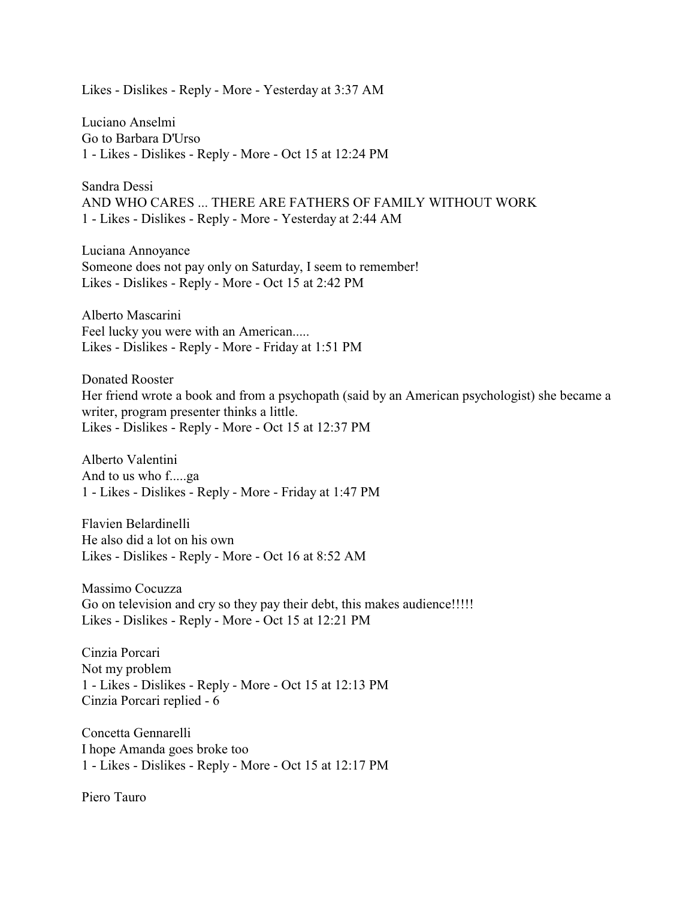Likes - Dislikes - Reply - More - Yesterday at 3:37 AM

Luciano Anselmi Go to Barbara D'Urso 1 - Likes - Dislikes - Reply - More - Oct 15 at 12:24 PM

Sandra Dessi AND WHO CARES ... THERE ARE FATHERS OF FAMILY WITHOUT WORK 1 - Likes - Dislikes - Reply - More - Yesterday at 2:44 AM

Luciana Annoyance Someone does not pay only on Saturday, I seem to remember! Likes - Dislikes - Reply - More - Oct 15 at 2:42 PM

Alberto Mascarini Feel lucky you were with an American..... Likes - Dislikes - Reply - More - Friday at 1:51 PM

Donated Rooster Her friend wrote a book and from a psychopath (said by an American psychologist) she became a writer, program presenter thinks a little. Likes - Dislikes - Reply - More - Oct 15 at 12:37 PM

Alberto Valentini And to us who f.....ga 1 - Likes - Dislikes - Reply - More - Friday at 1:47 PM

Flavien Belardinelli He also did a lot on his own Likes - Dislikes - Reply - More - Oct 16 at 8:52 AM

Massimo Cocuzza Go on television and cry so they pay their debt, this makes audience!!!!! Likes - Dislikes - Reply - More - Oct 15 at 12:21 PM

Cinzia Porcari Not my problem 1 - Likes - Dislikes - Reply - More - Oct 15 at 12:13 PM Cinzia Porcari replied - 6

Concetta Gennarelli I hope Amanda goes broke too 1 - Likes - Dislikes - Reply - More - Oct 15 at 12:17 PM

Piero Tauro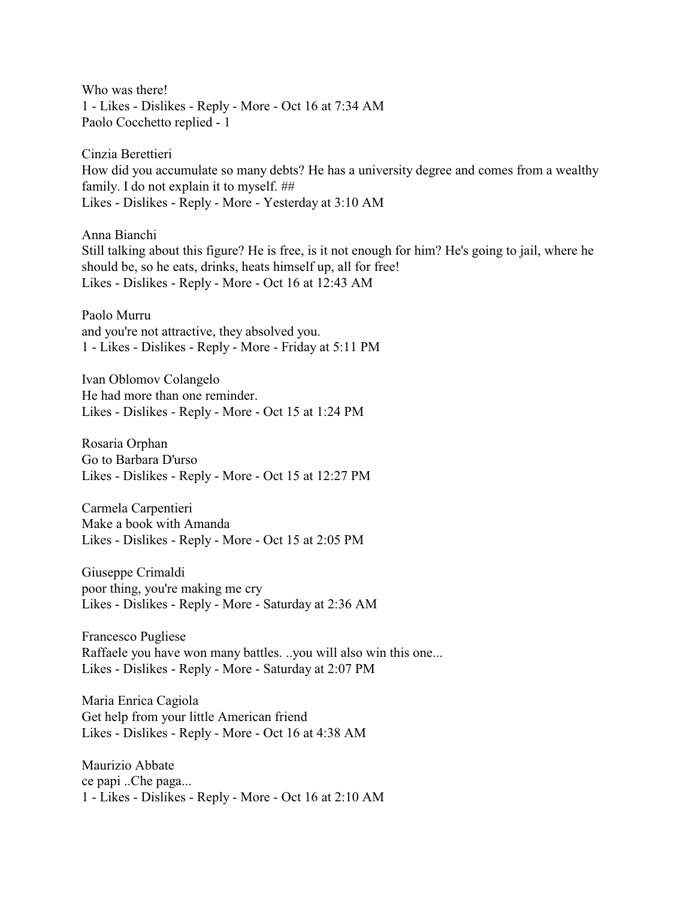Who was there! 1 - Likes - Dislikes - Reply - More - Oct 16 at 7:34 AM Paolo Cocchetto replied - 1

Cinzia Berettieri How did you accumulate so many debts? He has a university degree and comes from a wealthy family. I do not explain it to myself. ## Likes - Dislikes - Reply - More - Yesterday at 3:10 AM

Anna Bianchi Still talking about this figure? He is free, is it not enough for him? He's going to jail, where he should be, so he eats, drinks, heats himself up, all for free! Likes - Dislikes - Reply - More - Oct 16 at 12:43 AM

Paolo Murru and you're not attractive, they absolved you. 1 - Likes - Dislikes - Reply - More - Friday at 5:11 PM

Ivan Oblomov Colangelo He had more than one reminder. Likes - Dislikes - Reply - More - Oct 15 at 1:24 PM

Rosaria Orphan Go to Barbara D'urso Likes - Dislikes - Reply - More - Oct 15 at 12:27 PM

Carmela Carpentieri Make a book with Amanda Likes - Dislikes - Reply - More - Oct 15 at 2:05 PM

Giuseppe Crimaldi poor thing, you're making me cry Likes - Dislikes - Reply - More - Saturday at 2:36 AM

Francesco Pugliese Raffaele you have won many battles. ..you will also win this one... Likes - Dislikes - Reply - More - Saturday at 2:07 PM

Maria Enrica Cagiola Get help from your little American friend Likes - Dislikes - Reply - More - Oct 16 at 4:38 AM

Maurizio Abbate ce papi ..Che paga... 1 - Likes - Dislikes - Reply - More - Oct 16 at 2:10 AM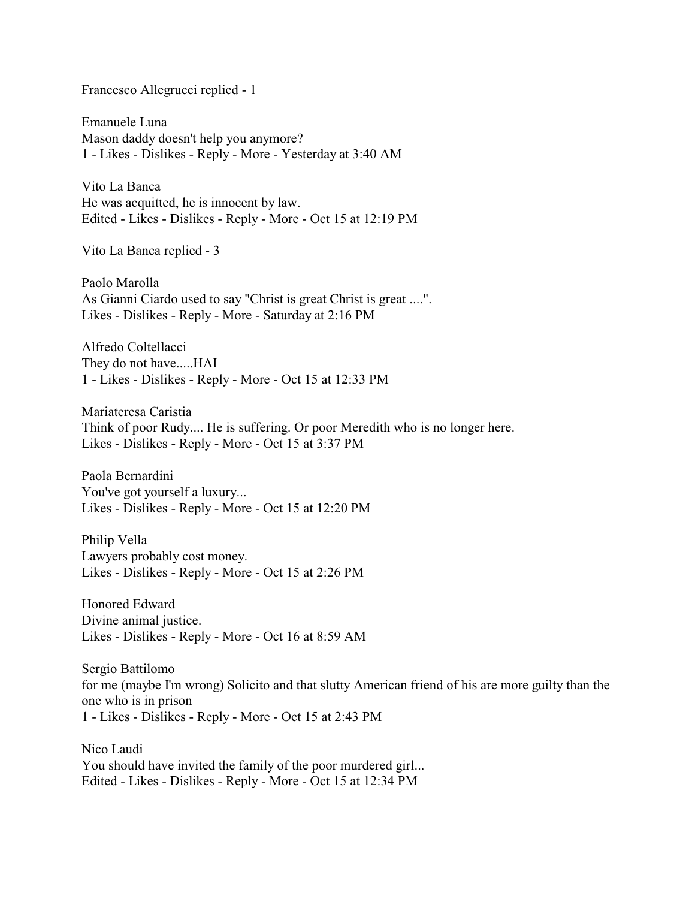Francesco Allegrucci replied - 1

Emanuele Luna Mason daddy doesn't help you anymore? 1 - Likes - Dislikes - Reply - More - Yesterday at 3:40 AM

Vito La Banca He was acquitted, he is innocent by law. Edited - Likes - Dislikes - Reply - More - Oct 15 at 12:19 PM

Vito La Banca replied - 3

Paolo Marolla As Gianni Ciardo used to say "Christ is great Christ is great ....". Likes - Dislikes - Reply - More - Saturday at 2:16 PM

Alfredo Coltellacci They do not have.....HAI 1 - Likes - Dislikes - Reply - More - Oct 15 at 12:33 PM

Mariateresa Caristia Think of poor Rudy.... He is suffering. Or poor Meredith who is no longer here. Likes - Dislikes - Reply - More - Oct 15 at 3:37 PM

Paola Bernardini You've got yourself a luxury... Likes - Dislikes - Reply - More - Oct 15 at 12:20 PM

Philip Vella Lawyers probably cost money. Likes - Dislikes - Reply - More - Oct 15 at 2:26 PM

Honored Edward Divine animal justice. Likes - Dislikes - Reply - More - Oct 16 at 8:59 AM

Sergio Battilomo for me (maybe I'm wrong) Solicito and that slutty American friend of his are more guilty than the one who is in prison 1 - Likes - Dislikes - Reply - More - Oct 15 at 2:43 PM

Nico Laudi You should have invited the family of the poor murdered girl... Edited - Likes - Dislikes - Reply - More - Oct 15 at 12:34 PM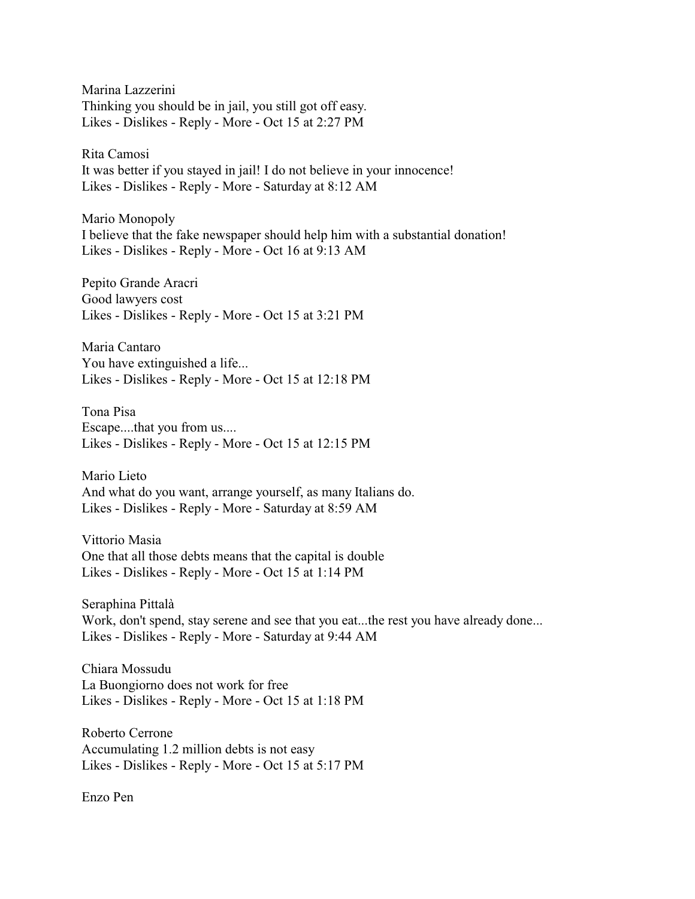Marina Lazzerini Thinking you should be in jail, you still got off easy. Likes - Dislikes - Reply - More - Oct 15 at 2:27 PM

Rita Camosi It was better if you stayed in jail! I do not believe in your innocence! Likes - Dislikes - Reply - More - Saturday at 8:12 AM

Mario Monopoly I believe that the fake newspaper should help him with a substantial donation! Likes - Dislikes - Reply - More - Oct 16 at 9:13 AM

Pepito Grande Aracri Good lawyers cost Likes - Dislikes - Reply - More - Oct 15 at 3:21 PM

Maria Cantaro You have extinguished a life... Likes - Dislikes - Reply - More - Oct 15 at 12:18 PM

Tona Pisa Escape....that you from us.... Likes - Dislikes - Reply - More - Oct 15 at 12:15 PM

Mario Lieto And what do you want, arrange yourself, as many Italians do. Likes - Dislikes - Reply - More - Saturday at 8:59 AM

Vittorio Masia One that all those debts means that the capital is double Likes - Dislikes - Reply - More - Oct 15 at 1:14 PM

Seraphina Pittalà Work, don't spend, stay serene and see that you eat...the rest you have already done... Likes - Dislikes - Reply - More - Saturday at 9:44 AM

Chiara Mossudu La Buongiorno does not work for free Likes - Dislikes - Reply - More - Oct 15 at 1:18 PM

Roberto Cerrone Accumulating 1.2 million debts is not easy Likes - Dislikes - Reply - More - Oct 15 at 5:17 PM

Enzo Pen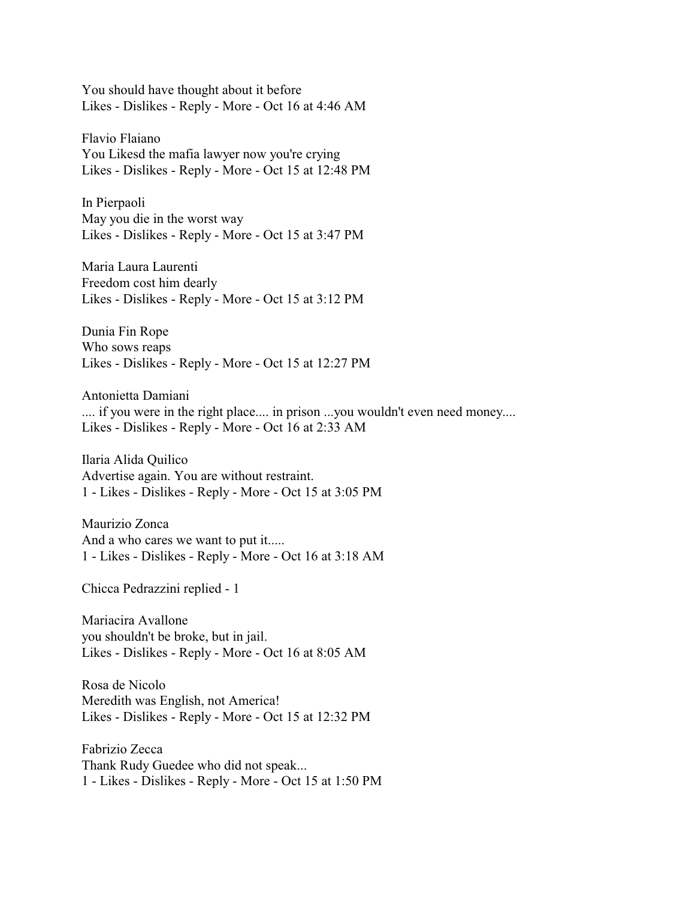You should have thought about it before Likes - Dislikes - Reply - More - Oct 16 at 4:46 AM

Flavio Flaiano You Likesd the mafia lawyer now you're crying Likes - Dislikes - Reply - More - Oct 15 at 12:48 PM

In Pierpaoli May you die in the worst way Likes - Dislikes - Reply - More - Oct 15 at 3:47 PM

Maria Laura Laurenti Freedom cost him dearly Likes - Dislikes - Reply - More - Oct 15 at 3:12 PM

Dunia Fin Rope Who sows reaps Likes - Dislikes - Reply - More - Oct 15 at 12:27 PM

Antonietta Damiani .... if you were in the right place.... in prison ...you wouldn't even need money.... Likes - Dislikes - Reply - More - Oct 16 at 2:33 AM

Ilaria Alida Quilico Advertise again. You are without restraint. 1 - Likes - Dislikes - Reply - More - Oct 15 at 3:05 PM

Maurizio Zonca And a who cares we want to put it..... 1 - Likes - Dislikes - Reply - More - Oct 16 at 3:18 AM

Chicca Pedrazzini replied - 1

Mariacira Avallone you shouldn't be broke, but in jail. Likes - Dislikes - Reply - More - Oct 16 at 8:05 AM

Rosa de Nicolo Meredith was English, not America! Likes - Dislikes - Reply - More - Oct 15 at 12:32 PM

Fabrizio Zecca Thank Rudy Guedee who did not speak... 1 - Likes - Dislikes - Reply - More - Oct 15 at 1:50 PM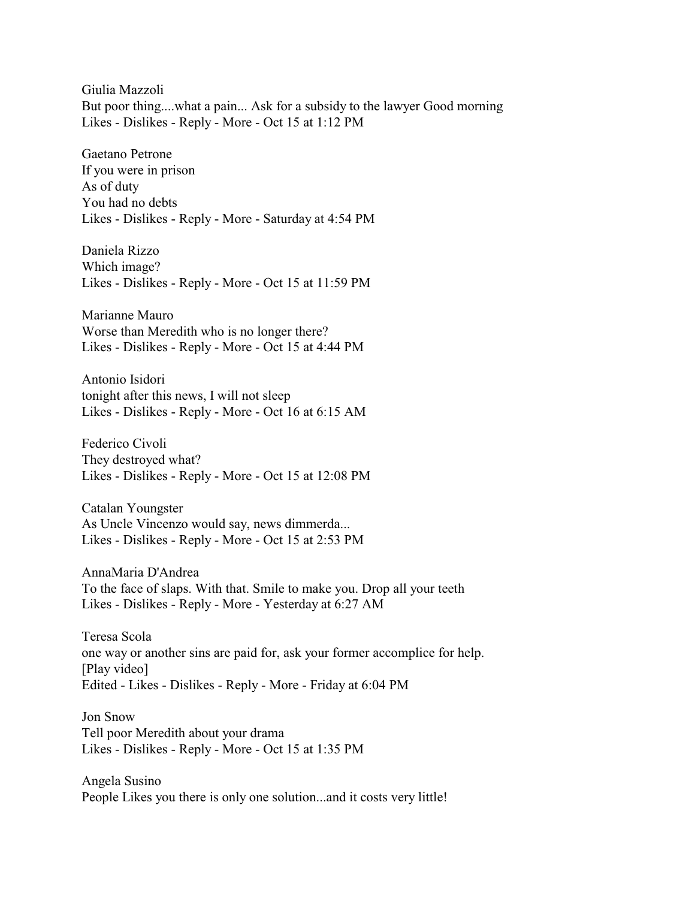Giulia Mazzoli But poor thing....what a pain... Ask for a subsidy to the lawyer Good morning Likes - Dislikes - Reply - More - Oct 15 at 1:12 PM

Gaetano Petrone If you were in prison As of duty You had no debts Likes - Dislikes - Reply - More - Saturday at 4:54 PM

Daniela Rizzo Which image? Likes - Dislikes - Reply - More - Oct 15 at 11:59 PM

Marianne Mauro Worse than Meredith who is no longer there? Likes - Dislikes - Reply - More - Oct 15 at 4:44 PM

Antonio Isidori tonight after this news, I will not sleep Likes - Dislikes - Reply - More - Oct 16 at 6:15 AM

Federico Civoli They destroyed what? Likes - Dislikes - Reply - More - Oct 15 at 12:08 PM

Catalan Youngster As Uncle Vincenzo would say, news dimmerda... Likes - Dislikes - Reply - More - Oct 15 at 2:53 PM

AnnaMaria D'Andrea To the face of slaps. With that. Smile to make you. Drop all your teeth Likes - Dislikes - Reply - More - Yesterday at 6:27 AM

Teresa Scola one way or another sins are paid for, ask your former accomplice for help. [Play video] Edited - Likes - Dislikes - Reply - More - Friday at 6:04 PM

Jon Snow Tell poor Meredith about your drama Likes - Dislikes - Reply - More - Oct 15 at 1:35 PM

Angela Susino People Likes you there is only one solution...and it costs very little!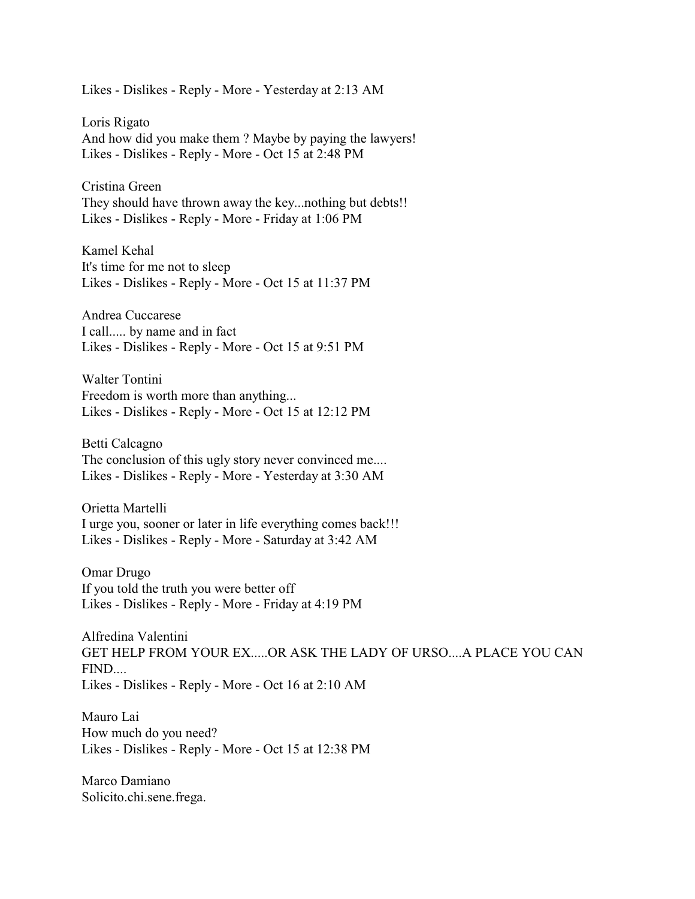Likes - Dislikes - Reply - More - Yesterday at 2:13 AM

Loris Rigato And how did you make them ? Maybe by paying the lawyers! Likes - Dislikes - Reply - More - Oct 15 at 2:48 PM

Cristina Green They should have thrown away the key...nothing but debts!! Likes - Dislikes - Reply - More - Friday at 1:06 PM

Kamel Kehal It's time for me not to sleep Likes - Dislikes - Reply - More - Oct 15 at 11:37 PM

Andrea Cuccarese I call..... by name and in fact Likes - Dislikes - Reply - More - Oct 15 at 9:51 PM

Walter Tontini Freedom is worth more than anything... Likes - Dislikes - Reply - More - Oct 15 at 12:12 PM

Betti Calcagno The conclusion of this ugly story never convinced me.... Likes - Dislikes - Reply - More - Yesterday at 3:30 AM

Orietta Martelli I urge you, sooner or later in life everything comes back!!! Likes - Dislikes - Reply - More - Saturday at 3:42 AM

Omar Drugo If you told the truth you were better off Likes - Dislikes - Reply - More - Friday at 4:19 PM

Alfredina Valentini GET HELP FROM YOUR EX.....OR ASK THE LADY OF URSO....A PLACE YOU CAN FIND.... Likes - Dislikes - Reply - More - Oct 16 at 2:10 AM

Mauro Lai How much do you need? Likes - Dislikes - Reply - More - Oct 15 at 12:38 PM

Marco Damiano Solicito.chi.sene.frega.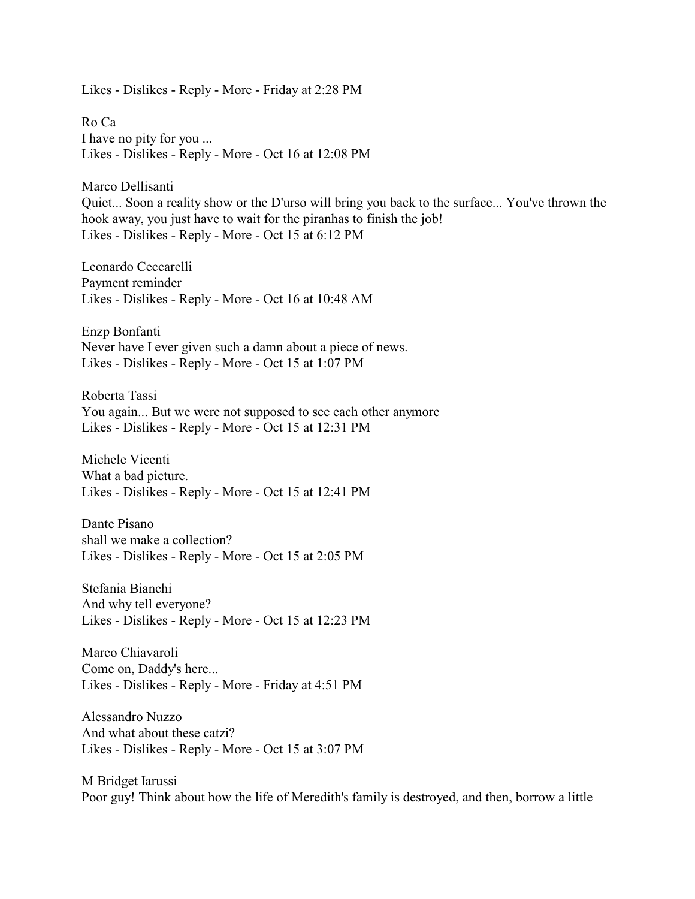Likes - Dislikes - Reply - More - Friday at 2:28 PM

Ro Ca I have no pity for you ... Likes - Dislikes - Reply - More - Oct 16 at 12:08 PM

Marco Dellisanti Quiet... Soon a reality show or the D'urso will bring you back to the surface... You've thrown the hook away, you just have to wait for the piranhas to finish the job! Likes - Dislikes - Reply - More - Oct 15 at 6:12 PM

Leonardo Ceccarelli Payment reminder Likes - Dislikes - Reply - More - Oct 16 at 10:48 AM

Enzp Bonfanti Never have I ever given such a damn about a piece of news. Likes - Dislikes - Reply - More - Oct 15 at 1:07 PM

Roberta Tassi You again... But we were not supposed to see each other anymore Likes - Dislikes - Reply - More - Oct 15 at 12:31 PM

Michele Vicenti What a bad picture. Likes - Dislikes - Reply - More - Oct 15 at 12:41 PM

Dante Pisano shall we make a collection? Likes - Dislikes - Reply - More - Oct 15 at 2:05 PM

Stefania Bianchi And why tell everyone? Likes - Dislikes - Reply - More - Oct 15 at 12:23 PM

Marco Chiavaroli Come on, Daddy's here... Likes - Dislikes - Reply - More - Friday at 4:51 PM

Alessandro Nuzzo And what about these catzi? Likes - Dislikes - Reply - More - Oct 15 at 3:07 PM

M Bridget Iarussi Poor guy! Think about how the life of Meredith's family is destroyed, and then, borrow a little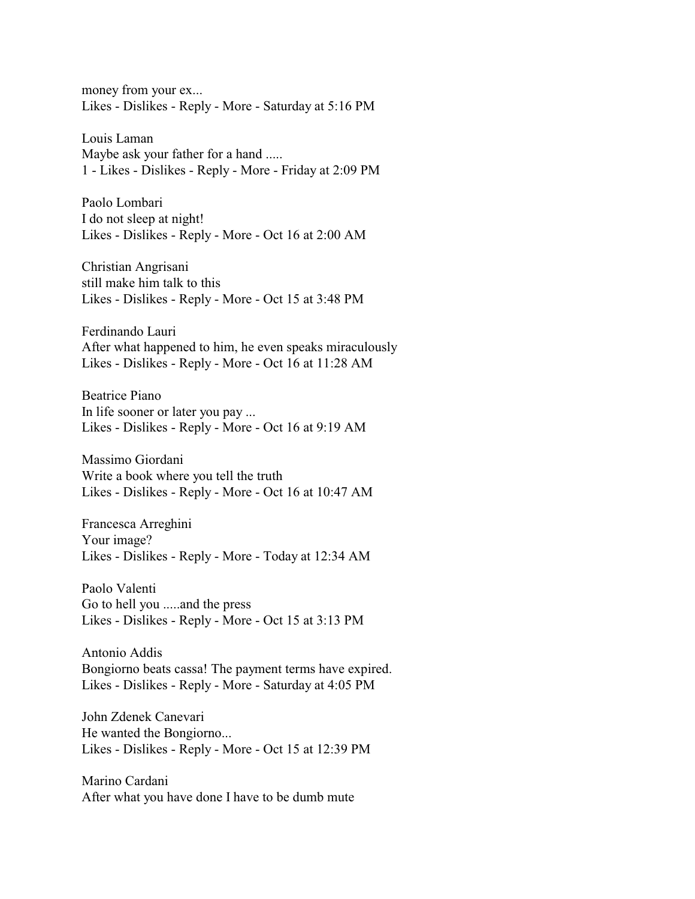money from your ex... Likes - Dislikes - Reply - More - Saturday at 5:16 PM

Louis Laman Maybe ask your father for a hand ..... 1 - Likes - Dislikes - Reply - More - Friday at 2:09 PM

Paolo Lombari I do not sleep at night! Likes - Dislikes - Reply - More - Oct 16 at 2:00 AM

Christian Angrisani still make him talk to this Likes - Dislikes - Reply - More - Oct 15 at 3:48 PM

Ferdinando Lauri After what happened to him, he even speaks miraculously Likes - Dislikes - Reply - More - Oct 16 at 11:28 AM

Beatrice Piano In life sooner or later you pay ... Likes - Dislikes - Reply - More - Oct 16 at 9:19 AM

Massimo Giordani Write a book where you tell the truth Likes - Dislikes - Reply - More - Oct 16 at 10:47 AM

Francesca Arreghini Your image? Likes - Dislikes - Reply - More - Today at 12:34 AM

Paolo Valenti Go to hell you .....and the press Likes - Dislikes - Reply - More - Oct 15 at 3:13 PM

Antonio Addis Bongiorno beats cassa! The payment terms have expired. Likes - Dislikes - Reply - More - Saturday at 4:05 PM

John Zdenek Canevari He wanted the Bongiorno... Likes - Dislikes - Reply - More - Oct 15 at 12:39 PM

Marino Cardani After what you have done I have to be dumb mute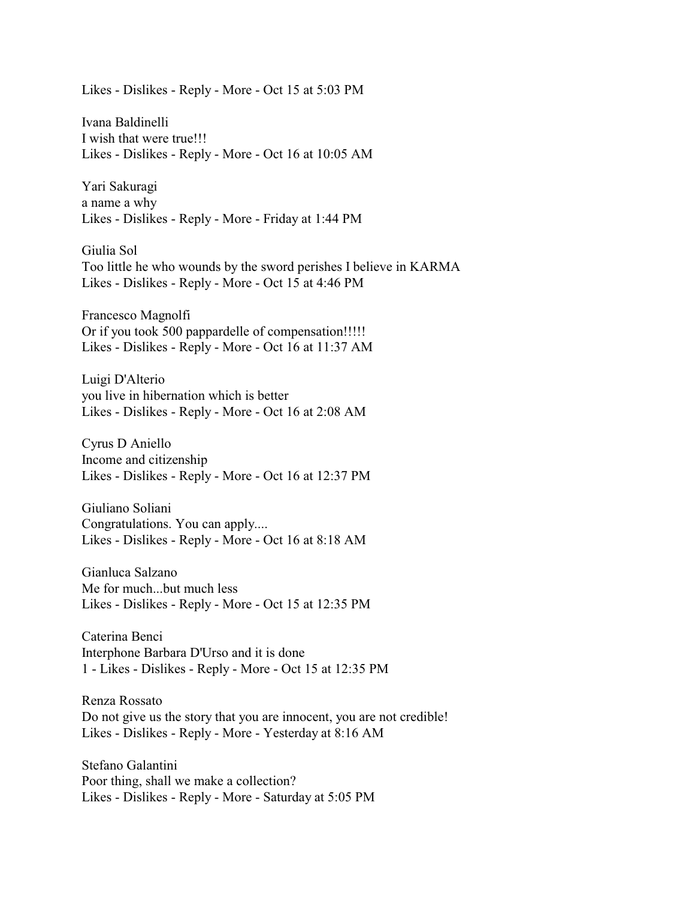Likes - Dislikes - Reply - More - Oct 15 at 5:03 PM

Ivana Baldinelli I wish that were true!!! Likes - Dislikes - Reply - More - Oct 16 at 10:05 AM

Yari Sakuragi a name a why Likes - Dislikes - Reply - More - Friday at 1:44 PM

Giulia Sol Too little he who wounds by the sword perishes I believe in KARMA Likes - Dislikes - Reply - More - Oct 15 at 4:46 PM

Francesco Magnolfi Or if you took 500 pappardelle of compensation!!!!! Likes - Dislikes - Reply - More - Oct 16 at 11:37 AM

Luigi D'Alterio you live in hibernation which is better Likes - Dislikes - Reply - More - Oct 16 at 2:08 AM

Cyrus D Aniello Income and citizenship Likes - Dislikes - Reply - More - Oct 16 at 12:37 PM

Giuliano Soliani Congratulations. You can apply.... Likes - Dislikes - Reply - More - Oct 16 at 8:18 AM

Gianluca Salzano Me for much...but much less Likes - Dislikes - Reply - More - Oct 15 at 12:35 PM

Caterina Benci Interphone Barbara D'Urso and it is done 1 - Likes - Dislikes - Reply - More - Oct 15 at 12:35 PM

Renza Rossato Do not give us the story that you are innocent, you are not credible! Likes - Dislikes - Reply - More - Yesterday at 8:16 AM

Stefano Galantini Poor thing, shall we make a collection? Likes - Dislikes - Reply - More - Saturday at 5:05 PM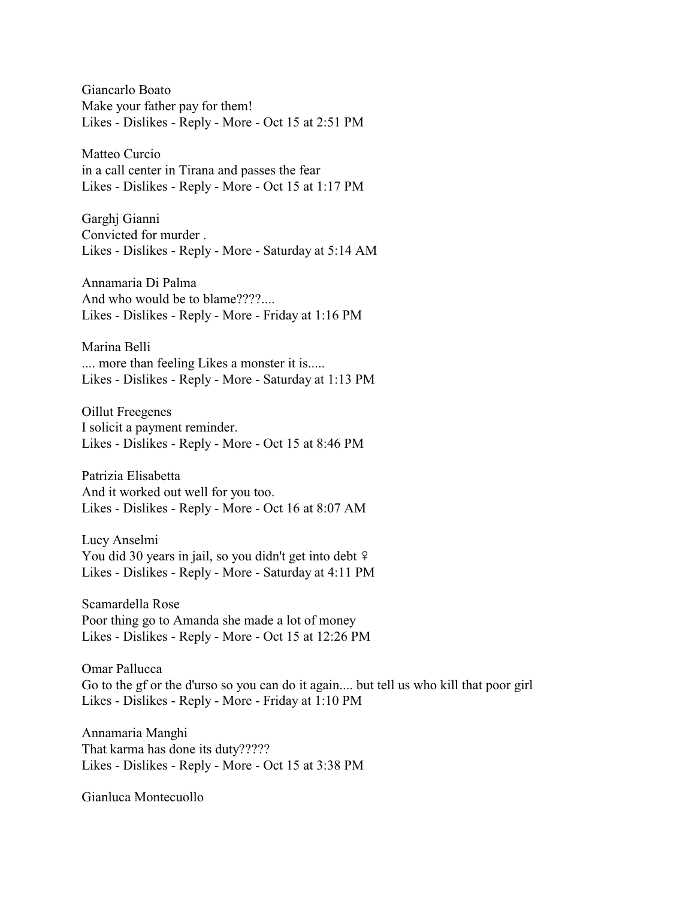Giancarlo Boato Make your father pay for them! Likes - Dislikes - Reply - More - Oct 15 at 2:51 PM

Matteo Curcio in a call center in Tirana and passes the fear Likes - Dislikes - Reply - More - Oct 15 at 1:17 PM

Garghj Gianni Convicted for murder . Likes - Dislikes - Reply - More - Saturday at 5:14 AM

Annamaria Di Palma And who would be to blame????.... Likes - Dislikes - Reply - More - Friday at 1:16 PM

Marina Belli .... more than feeling Likes a monster it is..... Likes - Dislikes - Reply - More - Saturday at 1:13 PM

Oillut Freegenes I solicit a payment reminder. Likes - Dislikes - Reply - More - Oct 15 at 8:46 PM

Patrizia Elisabetta And it worked out well for you too. Likes - Dislikes - Reply - More - Oct 16 at 8:07 AM

Lucy Anselmi You did 30 years in jail, so you didn't get into debt  $\frac{1}{2}$ Likes - Dislikes - Reply - More - Saturday at 4:11 PM

Scamardella Rose Poor thing go to Amanda she made a lot of money Likes - Dislikes - Reply - More - Oct 15 at 12:26 PM

Omar Pallucca Go to the gf or the d'urso so you can do it again.... but tell us who kill that poor girl Likes - Dislikes - Reply - More - Friday at 1:10 PM

Annamaria Manghi That karma has done its duty????? Likes - Dislikes - Reply - More - Oct 15 at 3:38 PM

Gianluca Montecuollo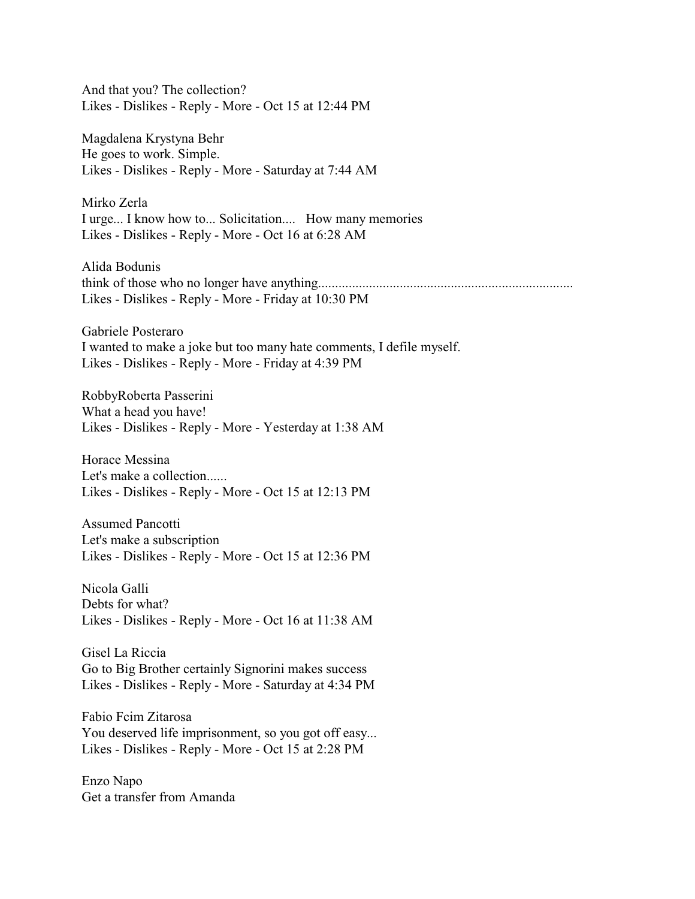And that you? The collection? Likes - Dislikes - Reply - More - Oct 15 at 12:44 PM

Magdalena Krystyna Behr He goes to work. Simple. Likes - Dislikes - Reply - More - Saturday at 7:44 AM

Mirko Zerla I urge... I know how to... Solicitation.... How many memories Likes - Dislikes - Reply - More - Oct 16 at 6:28 AM

Alida Bodunis think of those who no longer have anything........................................................................... Likes - Dislikes - Reply - More - Friday at 10:30 PM

Gabriele Posteraro I wanted to make a joke but too many hate comments, I defile myself. Likes - Dislikes - Reply - More - Friday at 4:39 PM

RobbyRoberta Passerini What a head you have! Likes - Dislikes - Reply - More - Yesterday at 1:38 AM

Horace Messina Let's make a collection...... Likes - Dislikes - Reply - More - Oct 15 at 12:13 PM

Assumed Pancotti Let's make a subscription Likes - Dislikes - Reply - More - Oct 15 at 12:36 PM

Nicola Galli Debts for what? Likes - Dislikes - Reply - More - Oct 16 at 11:38 AM

Gisel La Riccia Go to Big Brother certainly Signorini makes success Likes - Dislikes - Reply - More - Saturday at 4:34 PM

Fabio Fcim Zitarosa You deserved life imprisonment, so you got off easy... Likes - Dislikes - Reply - More - Oct 15 at 2:28 PM

Enzo Napo Get a transfer from Amanda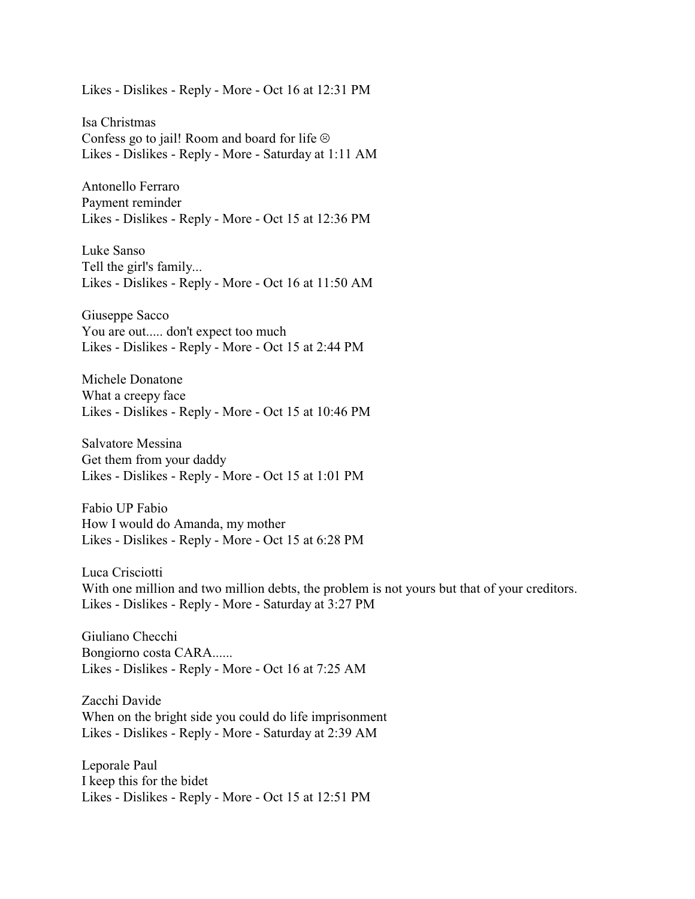Likes - Dislikes - Reply - More - Oct 16 at 12:31 PM

Isa Christmas Confess go to jail! Room and board for life  $\odot$ Likes - Dislikes - Reply - More - Saturday at 1:11 AM

Antonello Ferraro Payment reminder Likes - Dislikes - Reply - More - Oct 15 at 12:36 PM

Luke Sanso Tell the girl's family... Likes - Dislikes - Reply - More - Oct 16 at 11:50 AM

Giuseppe Sacco You are out..... don't expect too much Likes - Dislikes - Reply - More - Oct 15 at 2:44 PM

Michele Donatone What a creepy face Likes - Dislikes - Reply - More - Oct 15 at 10:46 PM

Salvatore Messina Get them from your daddy Likes - Dislikes - Reply - More - Oct 15 at 1:01 PM

Fabio UP Fabio How I would do Amanda, my mother Likes - Dislikes - Reply - More - Oct 15 at 6:28 PM

Luca Crisciotti With one million and two million debts, the problem is not yours but that of your creditors. Likes - Dislikes - Reply - More - Saturday at 3:27 PM

Giuliano Checchi Bongiorno costa CARA...... Likes - Dislikes - Reply - More - Oct 16 at 7:25 AM

Zacchi Davide When on the bright side you could do life imprisonment Likes - Dislikes - Reply - More - Saturday at 2:39 AM

Leporale Paul I keep this for the bidet Likes - Dislikes - Reply - More - Oct 15 at 12:51 PM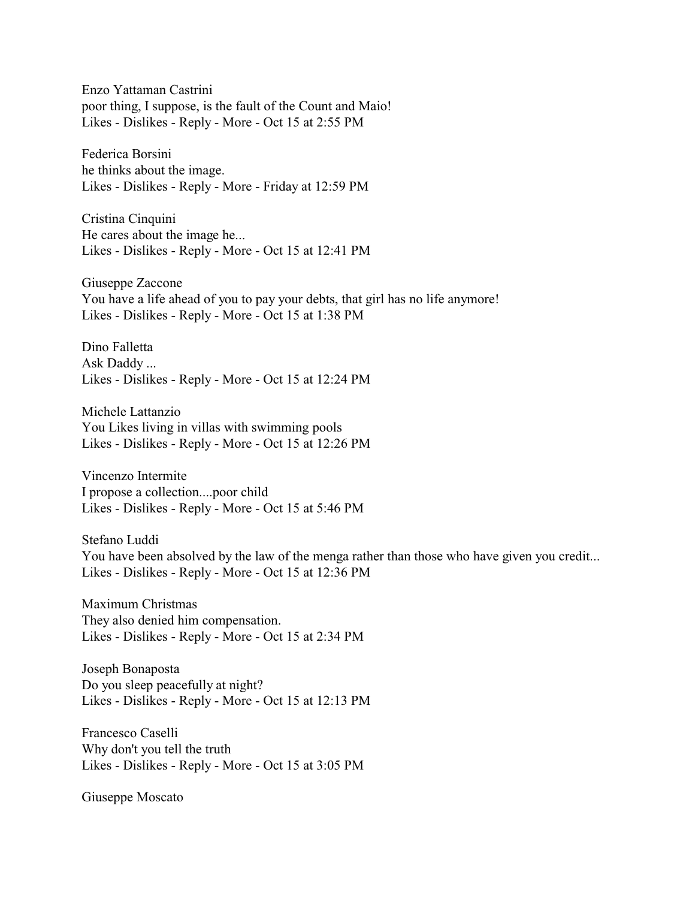Enzo Yattaman Castrini poor thing, I suppose, is the fault of the Count and Maio! Likes - Dislikes - Reply - More - Oct 15 at 2:55 PM

Federica Borsini he thinks about the image. Likes - Dislikes - Reply - More - Friday at 12:59 PM

Cristina Cinquini He cares about the image he... Likes - Dislikes - Reply - More - Oct 15 at 12:41 PM

Giuseppe Zaccone You have a life ahead of you to pay your debts, that girl has no life anymore! Likes - Dislikes - Reply - More - Oct 15 at 1:38 PM

Dino Falletta Ask Daddy ... Likes - Dislikes - Reply - More - Oct 15 at 12:24 PM

Michele Lattanzio You Likes living in villas with swimming pools Likes - Dislikes - Reply - More - Oct 15 at 12:26 PM

Vincenzo Intermite I propose a collection....poor child Likes - Dislikes - Reply - More - Oct 15 at 5:46 PM

Stefano Luddi You have been absolved by the law of the menga rather than those who have given you credit... Likes - Dislikes - Reply - More - Oct 15 at 12:36 PM

Maximum Christmas They also denied him compensation. Likes - Dislikes - Reply - More - Oct 15 at 2:34 PM

Joseph Bonaposta Do you sleep peacefully at night? Likes - Dislikes - Reply - More - Oct 15 at 12:13 PM

Francesco Caselli Why don't you tell the truth Likes - Dislikes - Reply - More - Oct 15 at 3:05 PM

Giuseppe Moscato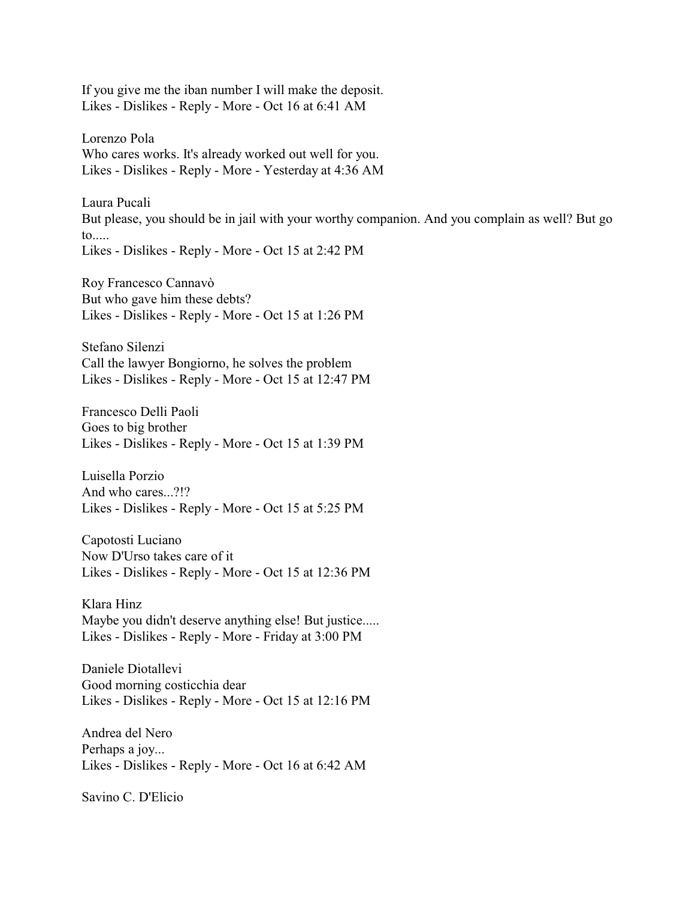If you give me the iban number I will make the deposit. Likes - Dislikes - Reply - More - Oct 16 at 6:41 AM

Lorenzo Pola Who cares works. It's already worked out well for you. Likes - Dislikes - Reply - More - Yesterday at 4:36 AM

Laura Pucali But please, you should be in jail with your worthy companion. And you complain as well? But go to..... Likes - Dislikes - Reply - More - Oct 15 at 2:42 PM

Roy Francesco Cannavò But who gave him these debts? Likes - Dislikes - Reply - More - Oct 15 at 1:26 PM

Stefano Silenzi Call the lawyer Bongiorno, he solves the problem Likes - Dislikes - Reply - More - Oct 15 at 12:47 PM

Francesco Delli Paoli Goes to big brother Likes - Dislikes - Reply - More - Oct 15 at 1:39 PM

Luisella Porzio And who cares...?!? Likes - Dislikes - Reply - More - Oct 15 at 5:25 PM

Capotosti Luciano Now D'Urso takes care of it Likes - Dislikes - Reply - More - Oct 15 at 12:36 PM

Klara Hinz Maybe you didn't deserve anything else! But justice..... Likes - Dislikes - Reply - More - Friday at 3:00 PM

Daniele Diotallevi Good morning costicchia dear Likes - Dislikes - Reply - More - Oct 15 at 12:16 PM

Andrea del Nero Perhaps a joy... Likes - Dislikes - Reply - More - Oct 16 at 6:42 AM

Savino C. D'Elicio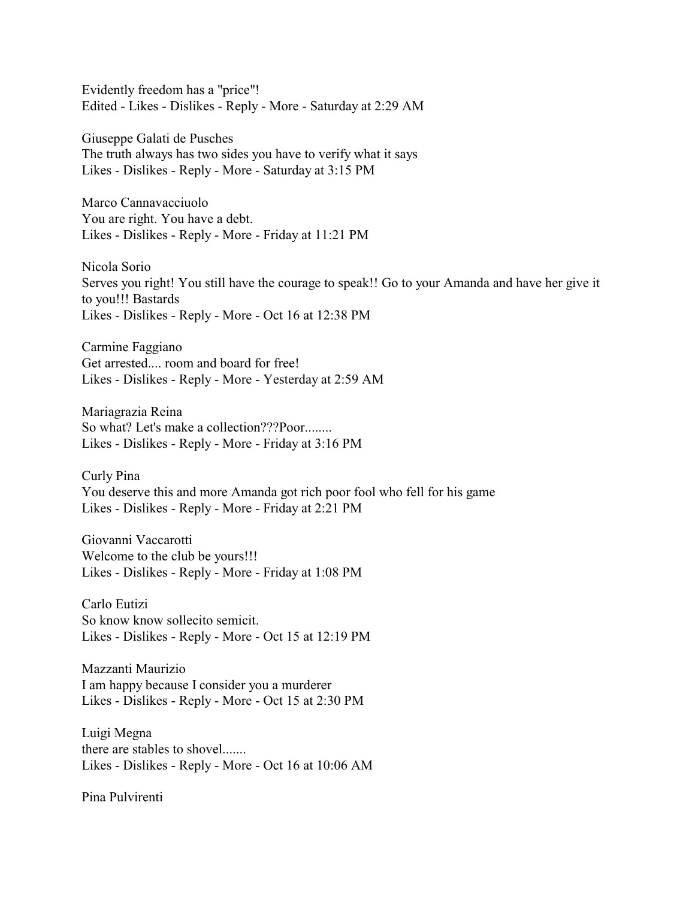Evidently freedom has a "price"! Edited - Likes - Dislikes - Reply - More - Saturday at 2:29 AM

Giuseppe Galati de Pusches The truth always has two sides you have to verify what it says Likes - Dislikes - Reply - More - Saturday at 3:15 PM

Marco Cannavacciuolo You are right. You have a debt. Likes - Dislikes - Reply - More - Friday at 11:21 PM

Nicola Sorio Serves you right! You still have the courage to speak!! Go to your Amanda and have her give it to you!!! Bastards Likes - Dislikes - Reply - More - Oct 16 at 12:38 PM

Carmine Faggiano Get arrested.... room and board for free! Likes - Dislikes - Reply - More - Yesterday at 2:59 AM

Mariagrazia Reina So what? Let's make a collection???Poor........ Likes - Dislikes - Reply - More - Friday at 3:16 PM

Curly Pina You deserve this and more Amanda got rich poor fool who fell for his game Likes - Dislikes - Reply - More - Friday at 2:21 PM

Giovanni Vaccarotti Welcome to the club be yours!!! Likes - Dislikes - Reply - More - Friday at 1:08 PM

Carlo Eutizi So know know sollecito semicit. Likes - Dislikes - Reply - More - Oct 15 at 12:19 PM

Mazzanti Maurizio I am happy because I consider you a murderer Likes - Dislikes - Reply - More - Oct 15 at 2:30 PM

Luigi Megna there are stables to shovel....... Likes - Dislikes - Reply - More - Oct 16 at 10:06 AM

Pina Pulvirenti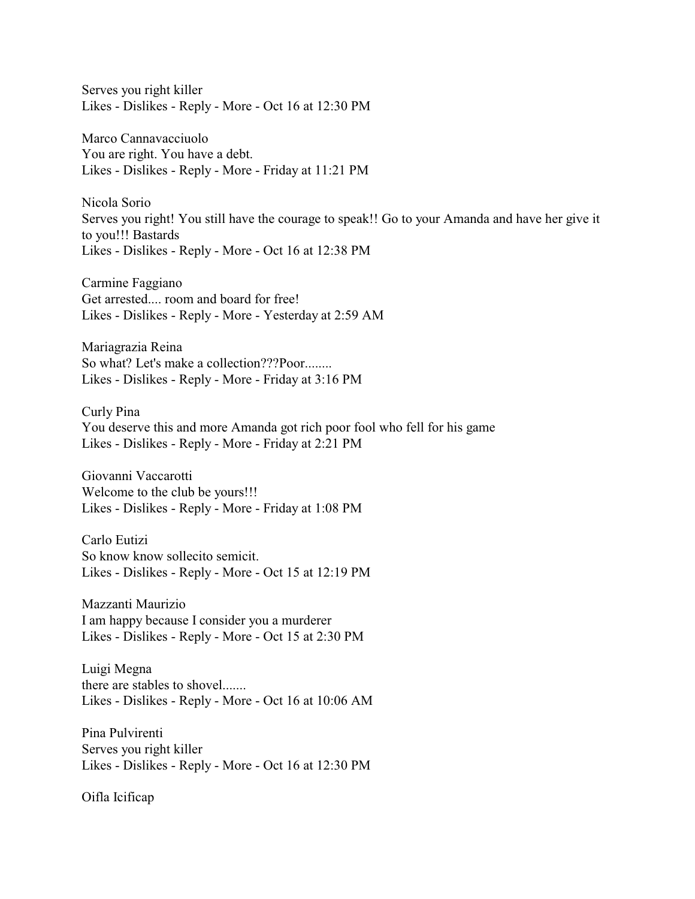Serves you right killer Likes - Dislikes - Reply - More - Oct 16 at 12:30 PM

Marco Cannavacciuolo You are right. You have a debt. Likes - Dislikes - Reply - More - Friday at 11:21 PM

Nicola Sorio Serves you right! You still have the courage to speak!! Go to your Amanda and have her give it to you!!! Bastards Likes - Dislikes - Reply - More - Oct 16 at 12:38 PM

Carmine Faggiano Get arrested.... room and board for free! Likes - Dislikes - Reply - More - Yesterday at 2:59 AM

Mariagrazia Reina So what? Let's make a collection???Poor........ Likes - Dislikes - Reply - More - Friday at 3:16 PM

Curly Pina You deserve this and more Amanda got rich poor fool who fell for his game Likes - Dislikes - Reply - More - Friday at 2:21 PM

Giovanni Vaccarotti Welcome to the club be yours!!! Likes - Dislikes - Reply - More - Friday at 1:08 PM

Carlo Eutizi So know know sollecito semicit. Likes - Dislikes - Reply - More - Oct 15 at 12:19 PM

Mazzanti Maurizio I am happy because I consider you a murderer Likes - Dislikes - Reply - More - Oct 15 at 2:30 PM

Luigi Megna there are stables to shovel....... Likes - Dislikes - Reply - More - Oct 16 at 10:06 AM

Pina Pulvirenti Serves you right killer Likes - Dislikes - Reply - More - Oct 16 at 12:30 PM

Oifla Icificap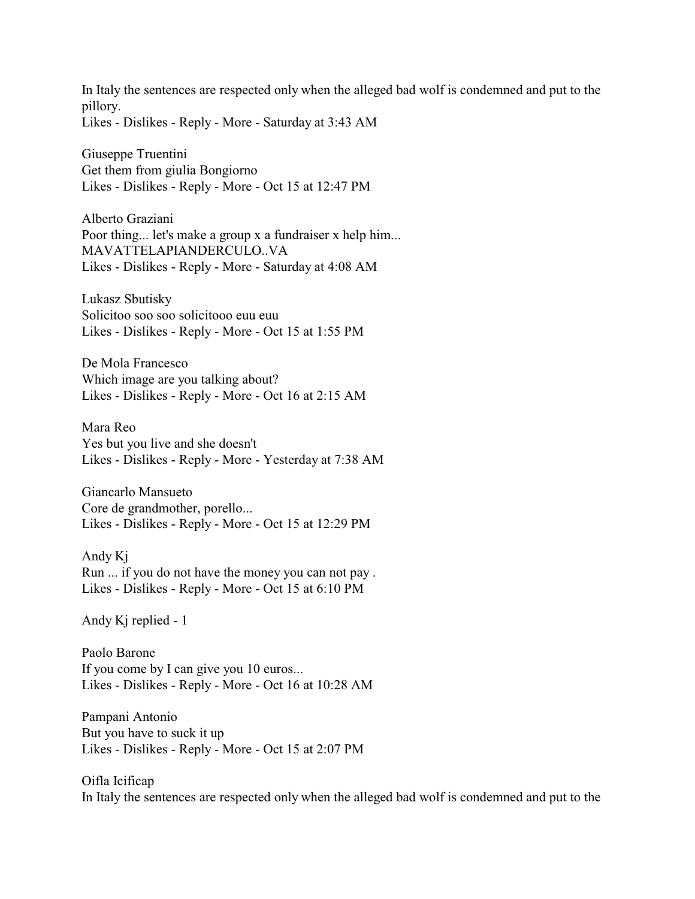In Italy the sentences are respected only when the alleged bad wolf is condemned and put to the pillory. Likes - Dislikes - Reply - More - Saturday at 3:43 AM

Giuseppe Truentini Get them from giulia Bongiorno Likes - Dislikes - Reply - More - Oct 15 at 12:47 PM

Alberto Graziani Poor thing... let's make a group x a fundraiser x help him... MAVATTELAPIANDERCULO..VA Likes - Dislikes - Reply - More - Saturday at 4:08 AM

Lukasz Sbutisky Solicitoo soo soo solicitooo euu euu Likes - Dislikes - Reply - More - Oct 15 at 1:55 PM

De Mola Francesco Which image are you talking about? Likes - Dislikes - Reply - More - Oct 16 at 2:15 AM

Mara Reo Yes but you live and she doesn't Likes - Dislikes - Reply - More - Yesterday at 7:38 AM

Giancarlo Mansueto Core de grandmother, porello... Likes - Dislikes - Reply - More - Oct 15 at 12:29 PM

Andy Kj Run ... if you do not have the money you can not pay . Likes - Dislikes - Reply - More - Oct 15 at 6:10 PM

Andy Kj replied - 1

Paolo Barone If you come by I can give you 10 euros... Likes - Dislikes - Reply - More - Oct 16 at 10:28 AM

Pampani Antonio But you have to suck it up Likes - Dislikes - Reply - More - Oct 15 at 2:07 PM

Oifla Icificap In Italy the sentences are respected only when the alleged bad wolf is condemned and put to the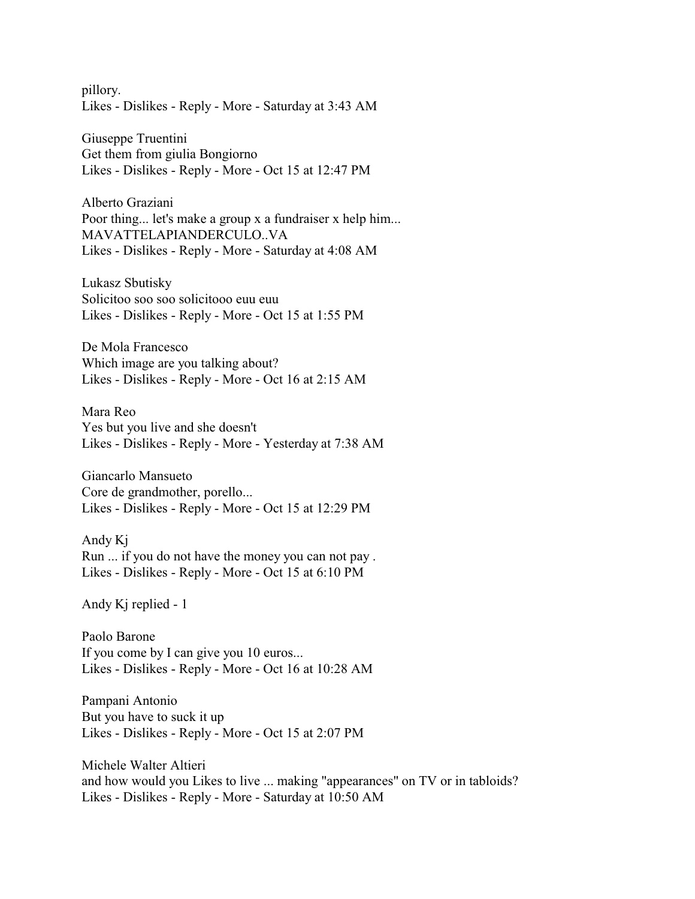pillory. Likes - Dislikes - Reply - More - Saturday at 3:43 AM

Giuseppe Truentini Get them from giulia Bongiorno Likes - Dislikes - Reply - More - Oct 15 at 12:47 PM

Alberto Graziani Poor thing... let's make a group x a fundraiser x help him... MAVATTELAPIANDERCULO..VA Likes - Dislikes - Reply - More - Saturday at 4:08 AM

Lukasz Sbutisky Solicitoo soo soo solicitooo euu euu Likes - Dislikes - Reply - More - Oct 15 at 1:55 PM

De Mola Francesco Which image are you talking about? Likes - Dislikes - Reply - More - Oct 16 at 2:15 AM

Mara Reo Yes but you live and she doesn't Likes - Dislikes - Reply - More - Yesterday at 7:38 AM

Giancarlo Mansueto Core de grandmother, porello... Likes - Dislikes - Reply - More - Oct 15 at 12:29 PM

Andy Kj Run ... if you do not have the money you can not pay . Likes - Dislikes - Reply - More - Oct 15 at 6:10 PM

Andy Kj replied - 1

Paolo Barone If you come by I can give you 10 euros... Likes - Dislikes - Reply - More - Oct 16 at 10:28 AM

Pampani Antonio But you have to suck it up Likes - Dislikes - Reply - More - Oct 15 at 2:07 PM

Michele Walter Altieri and how would you Likes to live ... making "appearances" on TV or in tabloids? Likes - Dislikes - Reply - More - Saturday at 10:50 AM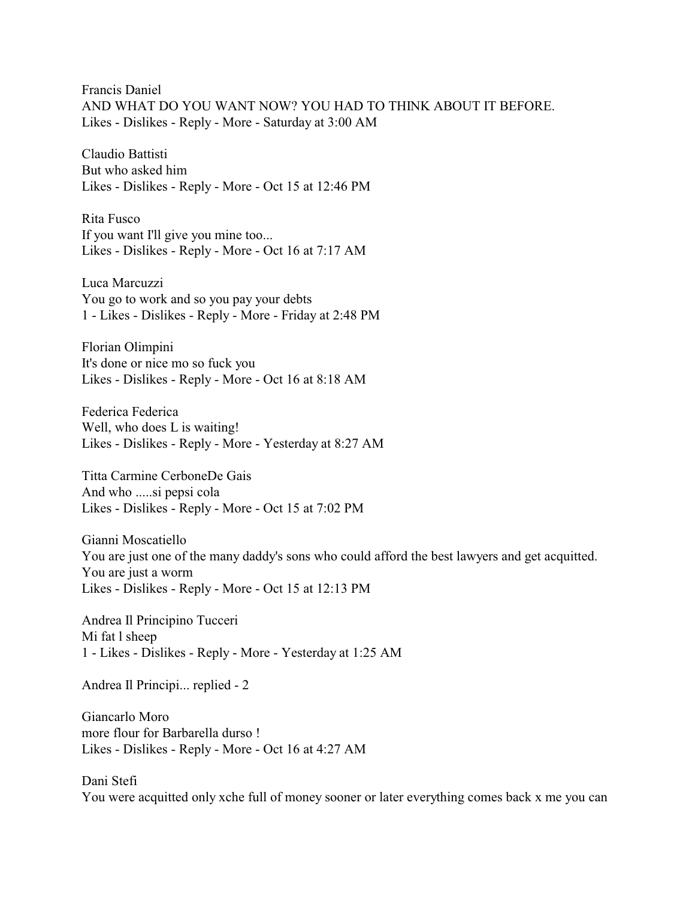Francis Daniel AND WHAT DO YOU WANT NOW? YOU HAD TO THINK ABOUT IT BEFORE. Likes - Dislikes - Reply - More - Saturday at 3:00 AM

Claudio Battisti But who asked him Likes - Dislikes - Reply - More - Oct 15 at 12:46 PM

Rita Fusco If you want I'll give you mine too... Likes - Dislikes - Reply - More - Oct 16 at 7:17 AM

Luca Marcuzzi You go to work and so you pay your debts 1 - Likes - Dislikes - Reply - More - Friday at 2:48 PM

Florian Olimpini It's done or nice mo so fuck you Likes - Dislikes - Reply - More - Oct 16 at 8:18 AM

Federica Federica Well, who does L is waiting! Likes - Dislikes - Reply - More - Yesterday at 8:27 AM

Titta Carmine CerboneDe Gais And who .....si pepsi cola Likes - Dislikes - Reply - More - Oct 15 at 7:02 PM

Gianni Moscatiello You are just one of the many daddy's sons who could afford the best lawyers and get acquitted. You are just a worm Likes - Dislikes - Reply - More - Oct 15 at 12:13 PM

Andrea Il Principino Tucceri Mi fat l sheep 1 - Likes - Dislikes - Reply - More - Yesterday at 1:25 AM

Andrea Il Principi... replied - 2

Giancarlo Moro more flour for Barbarella durso ! Likes - Dislikes - Reply - More - Oct 16 at 4:27 AM

Dani Stefi You were acquitted only xche full of money sooner or later everything comes back x me you can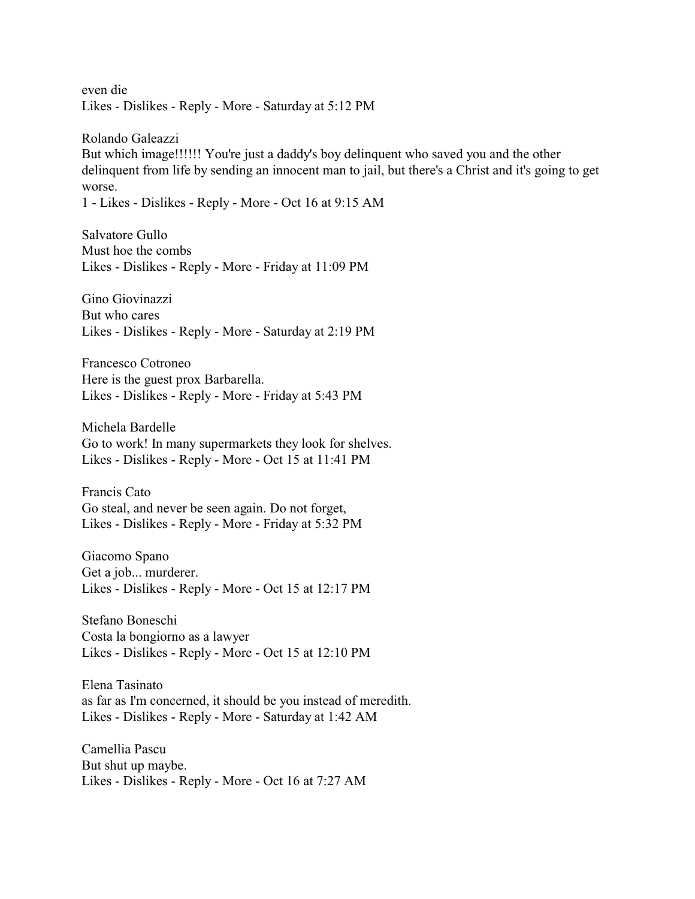even die Likes - Dislikes - Reply - More - Saturday at 5:12 PM

Rolando Galeazzi But which image!!!!!! You're just a daddy's boy delinquent who saved you and the other delinquent from life by sending an innocent man to jail, but there's a Christ and it's going to get worse.

1 - Likes - Dislikes - Reply - More - Oct 16 at 9:15 AM

Salvatore Gullo Must hoe the combs Likes - Dislikes - Reply - More - Friday at 11:09 PM

Gino Giovinazzi But who cares Likes - Dislikes - Reply - More - Saturday at 2:19 PM

Francesco Cotroneo Here is the guest prox Barbarella. Likes - Dislikes - Reply - More - Friday at 5:43 PM

Michela Bardelle Go to work! In many supermarkets they look for shelves. Likes - Dislikes - Reply - More - Oct 15 at 11:41 PM

Francis Cato Go steal, and never be seen again. Do not forget, Likes - Dislikes - Reply - More - Friday at 5:32 PM

Giacomo Spano Get a job... murderer. Likes - Dislikes - Reply - More - Oct 15 at 12:17 PM

Stefano Boneschi Costa la bongiorno as a lawyer Likes - Dislikes - Reply - More - Oct 15 at 12:10 PM

Elena Tasinato as far as I'm concerned, it should be you instead of meredith. Likes - Dislikes - Reply - More - Saturday at 1:42 AM

Camellia Pascu But shut up maybe. Likes - Dislikes - Reply - More - Oct 16 at 7:27 AM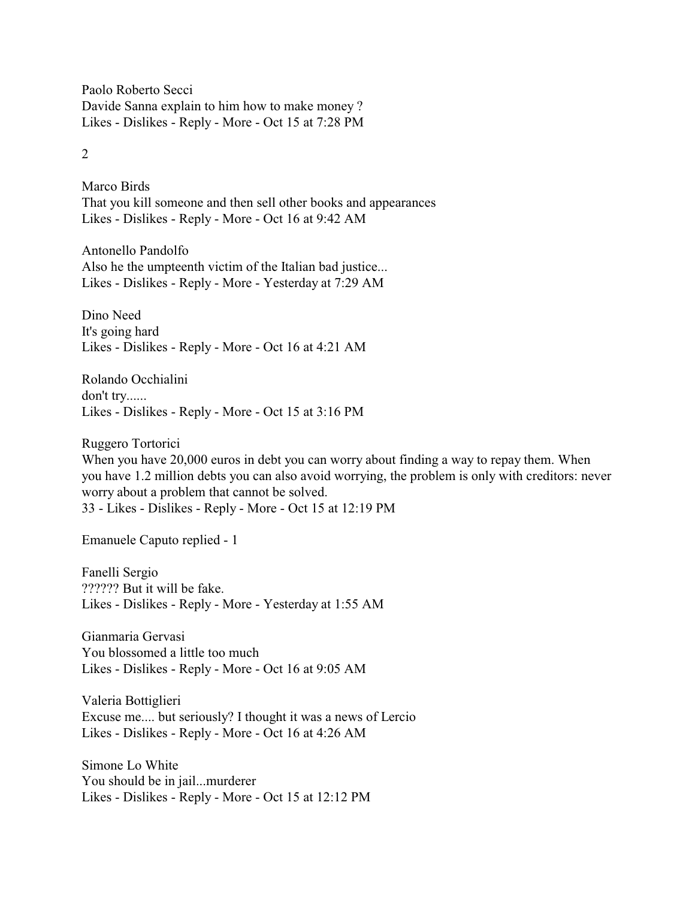Paolo Roberto Secci Davide Sanna explain to him how to make money ? Likes - Dislikes - Reply - More - Oct 15 at 7:28 PM

## 2

Marco Birds That you kill someone and then sell other books and appearances Likes - Dislikes - Reply - More - Oct 16 at 9:42 AM

Antonello Pandolfo Also he the umpteenth victim of the Italian bad justice... Likes - Dislikes - Reply - More - Yesterday at 7:29 AM

Dino Need It's going hard Likes - Dislikes - Reply - More - Oct 16 at 4:21 AM

Rolando Occhialini don't try...... Likes - Dislikes - Reply - More - Oct 15 at 3:16 PM

Ruggero Tortorici When you have 20,000 euros in debt you can worry about finding a way to repay them. When you have 1.2 million debts you can also avoid worrying, the problem is only with creditors: never worry about a problem that cannot be solved. 33 - Likes - Dislikes - Reply - More - Oct 15 at 12:19 PM

Emanuele Caputo replied - 1

Fanelli Sergio ?????? But it will be fake. Likes - Dislikes - Reply - More - Yesterday at 1:55 AM

Gianmaria Gervasi You blossomed a little too much Likes - Dislikes - Reply - More - Oct 16 at 9:05 AM

Valeria Bottiglieri Excuse me.... but seriously? I thought it was a news of Lercio Likes - Dislikes - Reply - More - Oct 16 at 4:26 AM

Simone Lo White You should be in jail...murderer Likes - Dislikes - Reply - More - Oct 15 at 12:12 PM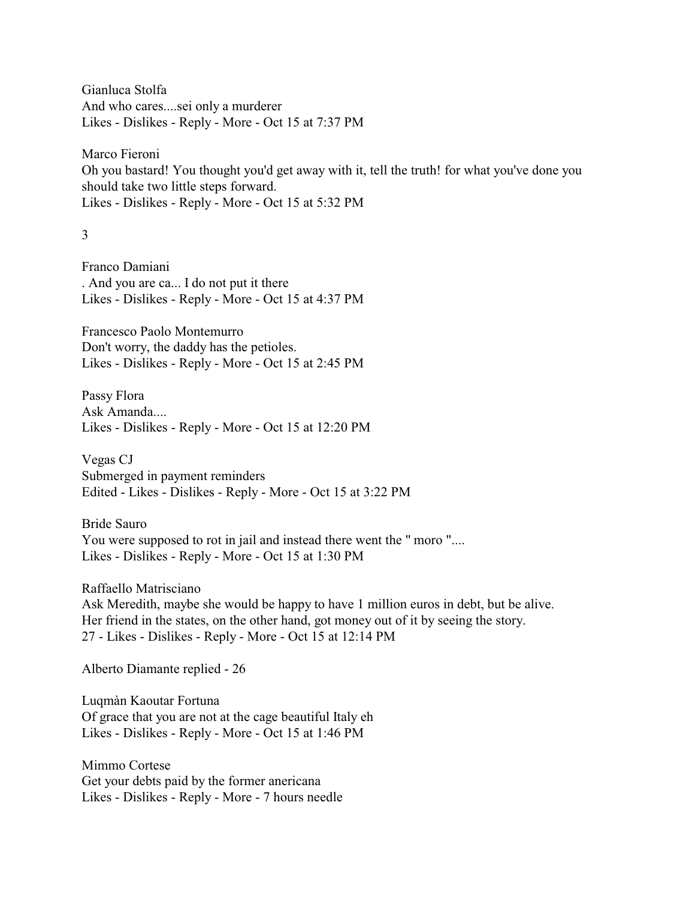Gianluca Stolfa And who cares....sei only a murderer Likes - Dislikes - Reply - More - Oct 15 at 7:37 PM

Marco Fieroni Oh you bastard! You thought you'd get away with it, tell the truth! for what you've done you should take two little steps forward. Likes - Dislikes - Reply - More - Oct 15 at 5:32 PM

3

Franco Damiani . And you are ca... I do not put it there Likes - Dislikes - Reply - More - Oct 15 at 4:37 PM

Francesco Paolo Montemurro Don't worry, the daddy has the petioles. Likes - Dislikes - Reply - More - Oct 15 at 2:45 PM

Passy Flora Ask Amanda.... Likes - Dislikes - Reply - More - Oct 15 at 12:20 PM

Vegas CJ Submerged in payment reminders Edited - Likes - Dislikes - Reply - More - Oct 15 at 3:22 PM

Bride Sauro You were supposed to rot in jail and instead there went the " moro ".... Likes - Dislikes - Reply - More - Oct 15 at 1:30 PM

Raffaello Matrisciano Ask Meredith, maybe she would be happy to have 1 million euros in debt, but be alive. Her friend in the states, on the other hand, got money out of it by seeing the story. 27 - Likes - Dislikes - Reply - More - Oct 15 at 12:14 PM

Alberto Diamante replied - 26

Luqmàn Kaoutar Fortuna Of grace that you are not at the cage beautiful Italy eh Likes - Dislikes - Reply - More - Oct 15 at 1:46 PM

Mimmo Cortese Get your debts paid by the former anericana Likes - Dislikes - Reply - More - 7 hours needle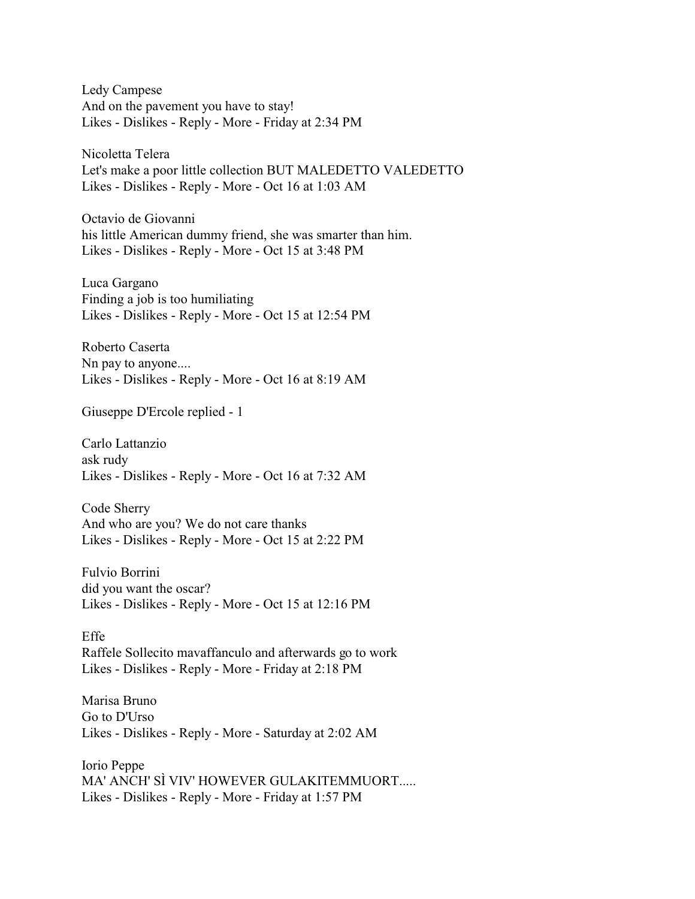Ledy Campese And on the pavement you have to stay! Likes - Dislikes - Reply - More - Friday at 2:34 PM

Nicoletta Telera Let's make a poor little collection BUT MALEDETTO VALEDETTO Likes - Dislikes - Reply - More - Oct 16 at 1:03 AM

Octavio de Giovanni his little American dummy friend, she was smarter than him. Likes - Dislikes - Reply - More - Oct 15 at 3:48 PM

Luca Gargano Finding a job is too humiliating Likes - Dislikes - Reply - More - Oct 15 at 12:54 PM

Roberto Caserta Nn pay to anyone.... Likes - Dislikes - Reply - More - Oct 16 at 8:19 AM

Giuseppe D'Ercole replied - 1

Carlo Lattanzio ask rudy Likes - Dislikes - Reply - More - Oct 16 at 7:32 AM

Code Sherry And who are you? We do not care thanks Likes - Dislikes - Reply - More - Oct 15 at 2:22 PM

Fulvio Borrini did you want the oscar? Likes - Dislikes - Reply - More - Oct 15 at 12:16 PM

Effe Raffele Sollecito mavaffanculo and afterwards go to work Likes - Dislikes - Reply - More - Friday at 2:18 PM

Marisa Bruno Go to D'Urso Likes - Dislikes - Reply - More - Saturday at 2:02 AM

Iorio Peppe MA' ANCH' SÌ VIV' HOWEVER GULAKITEMMUORT..... Likes - Dislikes - Reply - More - Friday at 1:57 PM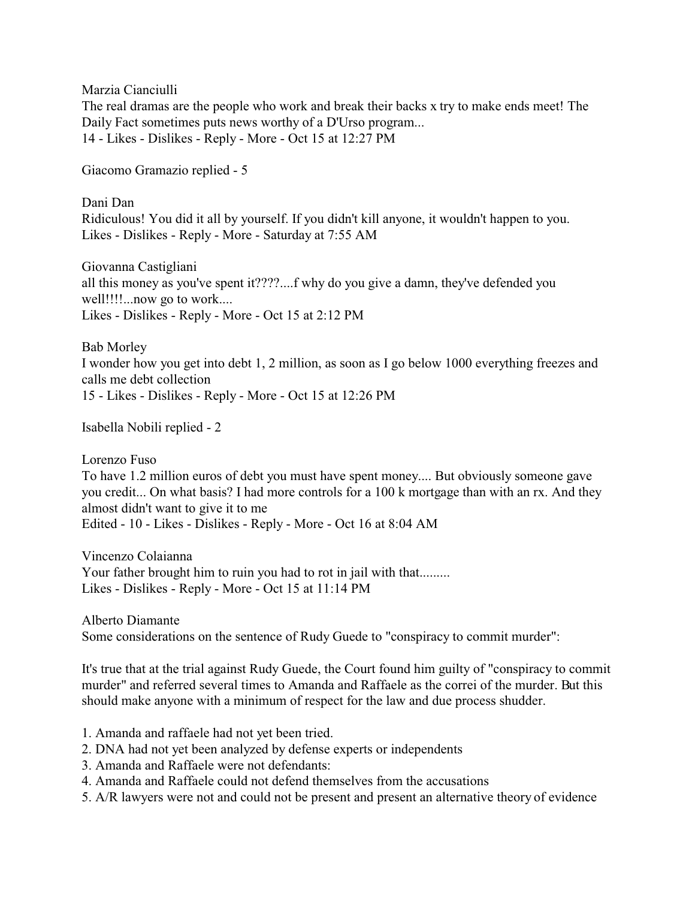Marzia Cianciulli

The real dramas are the people who work and break their backs x try to make ends meet! The Daily Fact sometimes puts news worthy of a D'Urso program... 14 - Likes - Dislikes - Reply - More - Oct 15 at 12:27 PM

Giacomo Gramazio replied - 5

Dani Dan Ridiculous! You did it all by yourself. If you didn't kill anyone, it wouldn't happen to you. Likes - Dislikes - Reply - More - Saturday at 7:55 AM

Giovanna Castigliani all this money as you've spent it????....f why do you give a damn, they've defended you well!!!!...now go to work.... Likes - Dislikes - Reply - More - Oct 15 at 2:12 PM

Bab Morley I wonder how you get into debt 1, 2 million, as soon as I go below 1000 everything freezes and calls me debt collection 15 - Likes - Dislikes - Reply - More - Oct 15 at 12:26 PM

Isabella Nobili replied - 2

Lorenzo Fuso To have 1.2 million euros of debt you must have spent money.... But obviously someone gave you credit... On what basis? I had more controls for a 100 k mortgage than with an rx. And they almost didn't want to give it to me Edited - 10 - Likes - Dislikes - Reply - More - Oct 16 at 8:04 AM

Vincenzo Colaianna Your father brought him to ruin you had to rot in jail with that......... Likes - Dislikes - Reply - More - Oct 15 at 11:14 PM

Alberto Diamante Some considerations on the sentence of Rudy Guede to "conspiracy to commit murder":

It's true that at the trial against Rudy Guede, the Court found him guilty of "conspiracy to commit murder" and referred several times to Amanda and Raffaele as the correi of the murder. But this should make anyone with a minimum of respect for the law and due process shudder.

- 1. Amanda and raffaele had not yet been tried.
- 2. DNA had not yet been analyzed by defense experts or independents
- 3. Amanda and Raffaele were not defendants:
- 4. Amanda and Raffaele could not defend themselves from the accusations
- 5. A/R lawyers were not and could not be present and present an alternative theory of evidence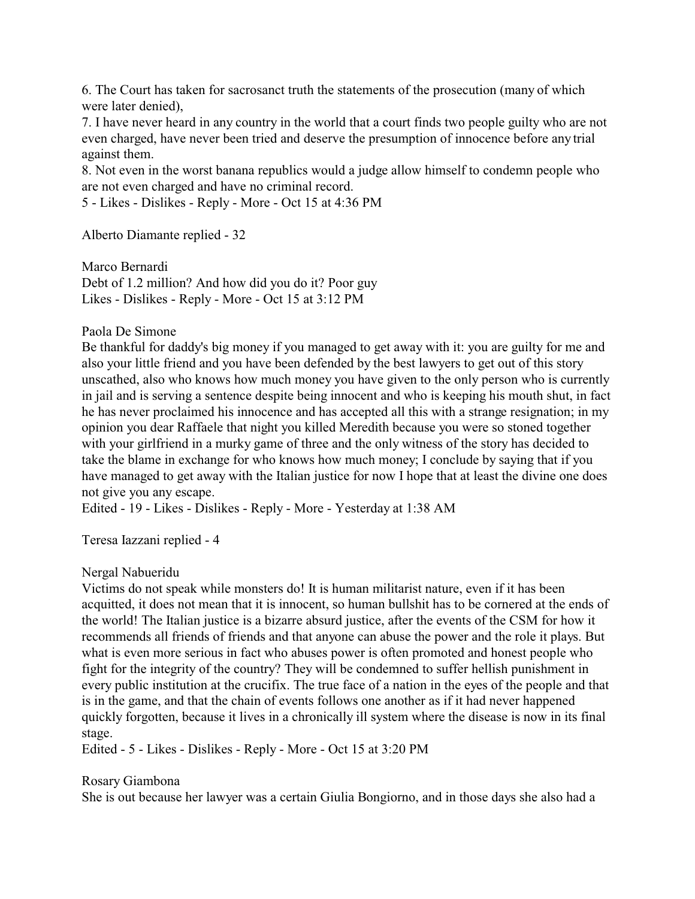6. The Court has taken for sacrosanct truth the statements of the prosecution (many of which were later denied),

7. I have never heard in any country in the world that a court finds two people guilty who are not even charged, have never been tried and deserve the presumption of innocence before any trial against them.

8. Not even in the worst banana republics would a judge allow himself to condemn people who are not even charged and have no criminal record.

5 - Likes - Dislikes - Reply - More - Oct 15 at 4:36 PM

Alberto Diamante replied - 32

Marco Bernardi Debt of 1.2 million? And how did you do it? Poor guy Likes - Dislikes - Reply - More - Oct 15 at 3:12 PM

Paola De Simone

Be thankful for daddy's big money if you managed to get away with it: you are guilty for me and also your little friend and you have been defended by the best lawyers to get out of this story unscathed, also who knows how much money you have given to the only person who is currently in jail and is serving a sentence despite being innocent and who is keeping his mouth shut, in fact he has never proclaimed his innocence and has accepted all this with a strange resignation; in my opinion you dear Raffaele that night you killed Meredith because you were so stoned together with your girlfriend in a murky game of three and the only witness of the story has decided to take the blame in exchange for who knows how much money; I conclude by saying that if you have managed to get away with the Italian justice for now I hope that at least the divine one does not give you any escape.

Edited - 19 - Likes - Dislikes - Reply - More - Yesterday at 1:38 AM

Teresa Iazzani replied - 4

Nergal Nabueridu

Victims do not speak while monsters do! It is human militarist nature, even if it has been acquitted, it does not mean that it is innocent, so human bullshit has to be cornered at the ends of the world! The Italian justice is a bizarre absurd justice, after the events of the CSM for how it recommends all friends of friends and that anyone can abuse the power and the role it plays. But what is even more serious in fact who abuses power is often promoted and honest people who fight for the integrity of the country? They will be condemned to suffer hellish punishment in every public institution at the crucifix. The true face of a nation in the eyes of the people and that is in the game, and that the chain of events follows one another as if it had never happened quickly forgotten, because it lives in a chronically ill system where the disease is now in its final stage.

Edited - 5 - Likes - Dislikes - Reply - More - Oct 15 at 3:20 PM

Rosary Giambona

She is out because her lawyer was a certain Giulia Bongiorno, and in those days she also had a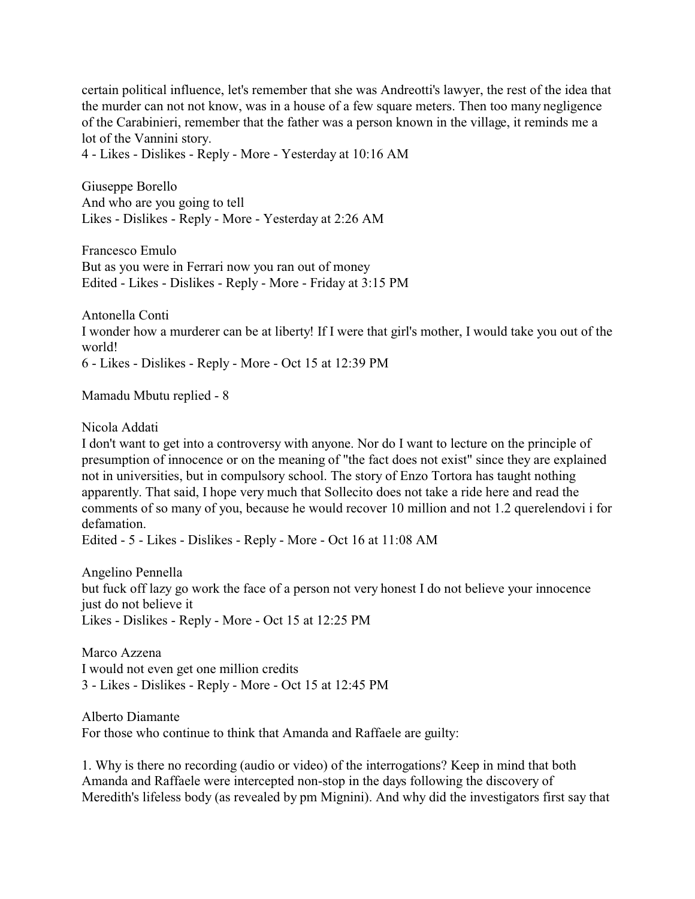certain political influence, let's remember that she was Andreotti's lawyer, the rest of the idea that the murder can not not know, was in a house of a few square meters. Then too many negligence of the Carabinieri, remember that the father was a person known in the village, it reminds me a lot of the Vannini story.

4 - Likes - Dislikes - Reply - More - Yesterday at 10:16 AM

Giuseppe Borello And who are you going to tell Likes - Dislikes - Reply - More - Yesterday at 2:26 AM

Francesco Emulo But as you were in Ferrari now you ran out of money Edited - Likes - Dislikes - Reply - More - Friday at 3:15 PM

Antonella Conti I wonder how a murderer can be at liberty! If I were that girl's mother, I would take you out of the world! 6 - Likes - Dislikes - Reply - More - Oct 15 at 12:39 PM

Mamadu Mbutu replied - 8

Nicola Addati

I don't want to get into a controversy with anyone. Nor do I want to lecture on the principle of presumption of innocence or on the meaning of "the fact does not exist" since they are explained not in universities, but in compulsory school. The story of Enzo Tortora has taught nothing apparently. That said, I hope very much that Sollecito does not take a ride here and read the comments of so many of you, because he would recover 10 million and not 1.2 querelendovi i for defamation.

Edited - 5 - Likes - Dislikes - Reply - More - Oct 16 at 11:08 AM

Angelino Pennella but fuck off lazy go work the face of a person not very honest I do not believe your innocence just do not believe it Likes - Dislikes - Reply - More - Oct 15 at 12:25 PM

Marco Azzena I would not even get one million credits 3 - Likes - Dislikes - Reply - More - Oct 15 at 12:45 PM

Alberto Diamante For those who continue to think that Amanda and Raffaele are guilty:

1. Why is there no recording (audio or video) of the interrogations? Keep in mind that both Amanda and Raffaele were intercepted non-stop in the days following the discovery of Meredith's lifeless body (as revealed by pm Mignini). And why did the investigators first say that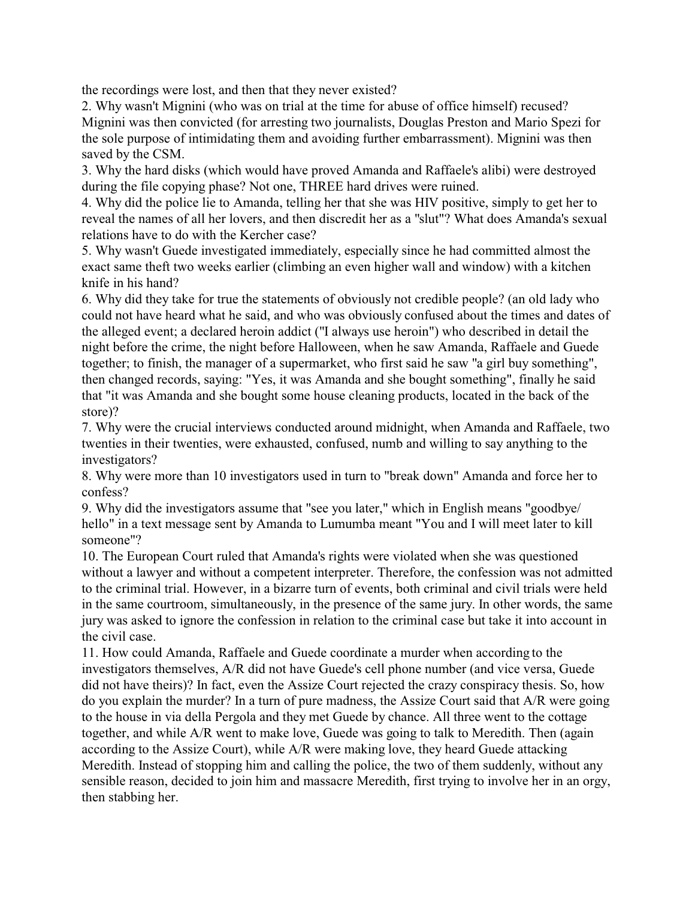the recordings were lost, and then that they never existed?

2. Why wasn't Mignini (who was on trial at the time for abuse of office himself) recused? Mignini was then convicted (for arresting two journalists, Douglas Preston and Mario Spezi for the sole purpose of intimidating them and avoiding further embarrassment). Mignini was then saved by the CSM.

3. Why the hard disks (which would have proved Amanda and Raffaele's alibi) were destroyed during the file copying phase? Not one, THREE hard drives were ruined.

4. Why did the police lie to Amanda, telling her that she was HIV positive, simply to get her to reveal the names of all her lovers, and then discredit her as a "slut"? What does Amanda's sexual relations have to do with the Kercher case?

5. Why wasn't Guede investigated immediately, especially since he had committed almost the exact same theft two weeks earlier (climbing an even higher wall and window) with a kitchen knife in his hand?

6. Why did they take for true the statements of obviously not credible people? (an old lady who could not have heard what he said, and who was obviously confused about the times and dates of the alleged event; a declared heroin addict ("I always use heroin") who described in detail the night before the crime, the night before Halloween, when he saw Amanda, Raffaele and Guede together; to finish, the manager of a supermarket, who first said he saw "a girl buy something", then changed records, saying: "Yes, it was Amanda and she bought something", finally he said that "it was Amanda and she bought some house cleaning products, located in the back of the store)?

7. Why were the crucial interviews conducted around midnight, when Amanda and Raffaele, two twenties in their twenties, were exhausted, confused, numb and willing to say anything to the investigators?

8. Why were more than 10 investigators used in turn to "break down" Amanda and force her to confess?

9. Why did the investigators assume that "see you later," which in English means "goodbye/ hello" in a text message sent by Amanda to Lumumba meant "You and I will meet later to kill someone"?

10. The European Court ruled that Amanda's rights were violated when she was questioned without a lawyer and without a competent interpreter. Therefore, the confession was not admitted to the criminal trial. However, in a bizarre turn of events, both criminal and civil trials were held in the same courtroom, simultaneously, in the presence of the same jury. In other words, the same jury was asked to ignore the confession in relation to the criminal case but take it into account in the civil case.

11. How could Amanda, Raffaele and Guede coordinate a murder when according to the investigators themselves, A/R did not have Guede's cell phone number (and vice versa, Guede did not have theirs)? In fact, even the Assize Court rejected the crazy conspiracy thesis. So, how do you explain the murder? In a turn of pure madness, the Assize Court said that A/R were going to the house in via della Pergola and they met Guede by chance. All three went to the cottage together, and while A/R went to make love, Guede was going to talk to Meredith. Then (again according to the Assize Court), while A/R were making love, they heard Guede attacking Meredith. Instead of stopping him and calling the police, the two of them suddenly, without any sensible reason, decided to join him and massacre Meredith, first trying to involve her in an orgy, then stabbing her.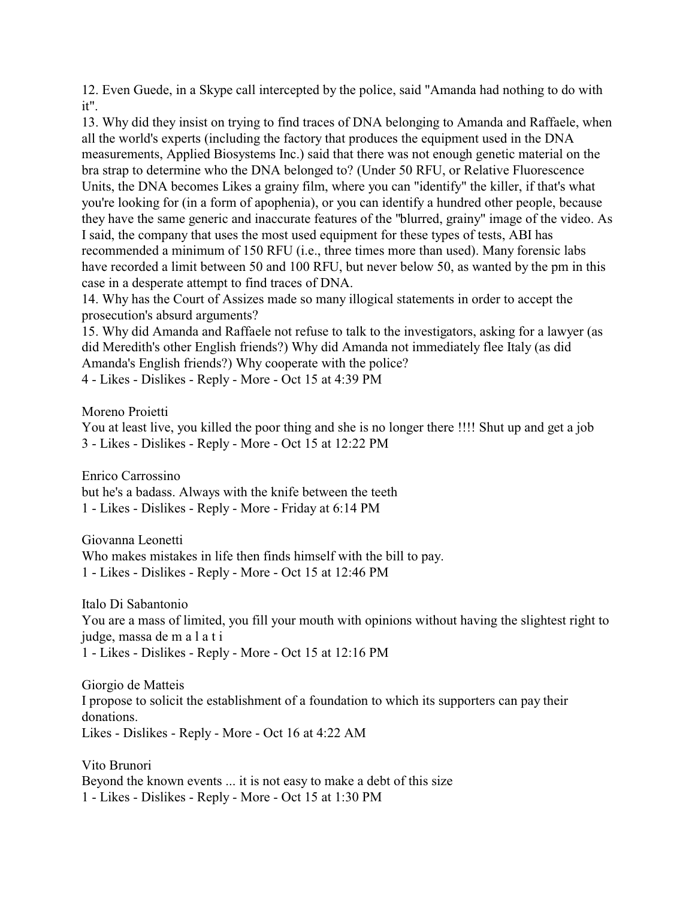12. Even Guede, in a Skype call intercepted by the police, said "Amanda had nothing to do with it".

13. Why did they insist on trying to find traces of DNA belonging to Amanda and Raffaele, when all the world's experts (including the factory that produces the equipment used in the DNA measurements, Applied Biosystems Inc.) said that there was not enough genetic material on the bra strap to determine who the DNA belonged to? (Under 50 RFU, or Relative Fluorescence Units, the DNA becomes Likes a grainy film, where you can "identify" the killer, if that's what you're looking for (in a form of apophenia), or you can identify a hundred other people, because they have the same generic and inaccurate features of the "blurred, grainy" image of the video. As I said, the company that uses the most used equipment for these types of tests, ABI has recommended a minimum of 150 RFU (i.e., three times more than used). Many forensic labs have recorded a limit between 50 and 100 RFU, but never below 50, as wanted by the pm in this case in a desperate attempt to find traces of DNA.

14. Why has the Court of Assizes made so many illogical statements in order to accept the prosecution's absurd arguments?

15. Why did Amanda and Raffaele not refuse to talk to the investigators, asking for a lawyer (as did Meredith's other English friends?) Why did Amanda not immediately flee Italy (as did Amanda's English friends?) Why cooperate with the police?

4 - Likes - Dislikes - Reply - More - Oct 15 at 4:39 PM

Moreno Proietti

You at least live, you killed the poor thing and she is no longer there !!!! Shut up and get a job 3 - Likes - Dislikes - Reply - More - Oct 15 at 12:22 PM

Enrico Carrossino but he's a badass. Always with the knife between the teeth 1 - Likes - Dislikes - Reply - More - Friday at 6:14 PM

Giovanna Leonetti Who makes mistakes in life then finds himself with the bill to pay. 1 - Likes - Dislikes - Reply - More - Oct 15 at 12:46 PM

Italo Di Sabantonio You are a mass of limited, you fill your mouth with opinions without having the slightest right to judge, massa de m a l a t i 1 - Likes - Dislikes - Reply - More - Oct 15 at 12:16 PM

Giorgio de Matteis I propose to solicit the establishment of a foundation to which its supporters can pay their donations. Likes - Dislikes - Reply - More - Oct 16 at 4:22 AM

Vito Brunori Beyond the known events ... it is not easy to make a debt of this size 1 - Likes - Dislikes - Reply - More - Oct 15 at 1:30 PM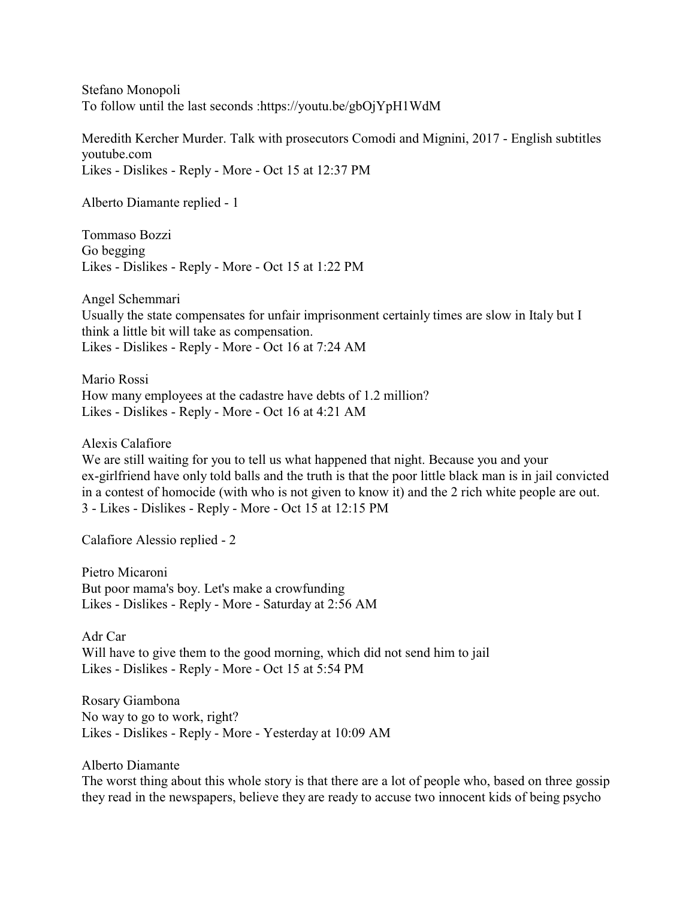Stefano Monopoli To follow until the last seconds :https://youtu.be/gbOjYpH1WdM

Meredith Kercher Murder. Talk with prosecutors Comodi and Mignini, 2017 - English subtitles youtube.com Likes - Dislikes - Reply - More - Oct 15 at 12:37 PM

Alberto Diamante replied - 1

Tommaso Bozzi Go begging Likes - Dislikes - Reply - More - Oct 15 at 1:22 PM

Angel Schemmari Usually the state compensates for unfair imprisonment certainly times are slow in Italy but I think a little bit will take as compensation. Likes - Dislikes - Reply - More - Oct 16 at 7:24 AM

Mario Rossi How many employees at the cadastre have debts of 1.2 million? Likes - Dislikes - Reply - More - Oct 16 at 4:21 AM

Alexis Calafiore

We are still waiting for you to tell us what happened that night. Because you and your ex-girlfriend have only told balls and the truth is that the poor little black man is in jail convicted in a contest of homocide (with who is not given to know it) and the 2 rich white people are out. 3 - Likes - Dislikes - Reply - More - Oct 15 at 12:15 PM

Calafiore Alessio replied - 2

Pietro Micaroni But poor mama's boy. Let's make a crowfunding Likes - Dislikes - Reply - More - Saturday at 2:56 AM

Adr Car Will have to give them to the good morning, which did not send him to jail Likes - Dislikes - Reply - More - Oct 15 at 5:54 PM

Rosary Giambona No way to go to work, right? Likes - Dislikes - Reply - More - Yesterday at 10:09 AM

Alberto Diamante

The worst thing about this whole story is that there are a lot of people who, based on three gossip they read in the newspapers, believe they are ready to accuse two innocent kids of being psycho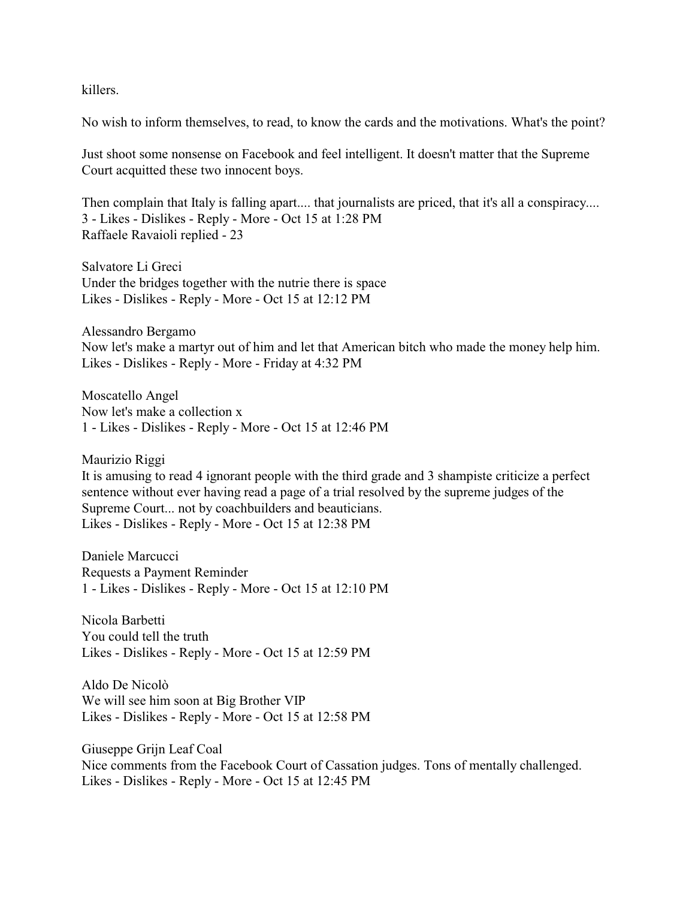killers.

No wish to inform themselves, to read, to know the cards and the motivations. What's the point?

Just shoot some nonsense on Facebook and feel intelligent. It doesn't matter that the Supreme Court acquitted these two innocent boys.

Then complain that Italy is falling apart.... that journalists are priced, that it's all a conspiracy.... 3 - Likes - Dislikes - Reply - More - Oct 15 at 1:28 PM Raffaele Ravaioli replied - 23

Salvatore Li Greci Under the bridges together with the nutrie there is space Likes - Dislikes - Reply - More - Oct 15 at 12:12 PM

Alessandro Bergamo Now let's make a martyr out of him and let that American bitch who made the money help him. Likes - Dislikes - Reply - More - Friday at 4:32 PM

Moscatello Angel Now let's make a collection x 1 - Likes - Dislikes - Reply - More - Oct 15 at 12:46 PM

Maurizio Riggi It is amusing to read 4 ignorant people with the third grade and 3 shampiste criticize a perfect sentence without ever having read a page of a trial resolved by the supreme judges of the Supreme Court... not by coachbuilders and beauticians. Likes - Dislikes - Reply - More - Oct 15 at 12:38 PM

Daniele Marcucci Requests a Payment Reminder 1 - Likes - Dislikes - Reply - More - Oct 15 at 12:10 PM

Nicola Barbetti You could tell the truth Likes - Dislikes - Reply - More - Oct 15 at 12:59 PM

Aldo De Nicolò We will see him soon at Big Brother VIP Likes - Dislikes - Reply - More - Oct 15 at 12:58 PM

Giuseppe Grijn Leaf Coal Nice comments from the Facebook Court of Cassation judges. Tons of mentally challenged. Likes - Dislikes - Reply - More - Oct 15 at 12:45 PM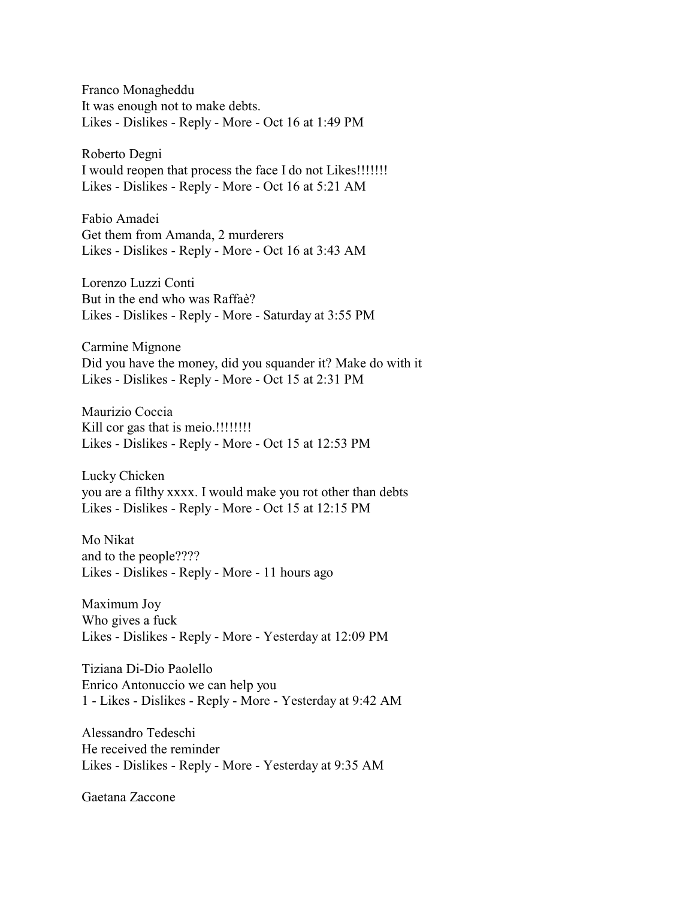Franco Monagheddu It was enough not to make debts. Likes - Dislikes - Reply - More - Oct 16 at 1:49 PM

Roberto Degni I would reopen that process the face I do not Likes!!!!!!! Likes - Dislikes - Reply - More - Oct 16 at 5:21 AM

Fabio Amadei Get them from Amanda, 2 murderers Likes - Dislikes - Reply - More - Oct 16 at 3:43 AM

Lorenzo Luzzi Conti But in the end who was Raffaè? Likes - Dislikes - Reply - More - Saturday at 3:55 PM

Carmine Mignone Did you have the money, did you squander it? Make do with it Likes - Dislikes - Reply - More - Oct 15 at 2:31 PM

Maurizio Coccia Kill cor gas that is meio.!!!!!!!! Likes - Dislikes - Reply - More - Oct 15 at 12:53 PM

Lucky Chicken you are a filthy xxxx. I would make you rot other than debts Likes - Dislikes - Reply - More - Oct 15 at 12:15 PM

Mo Nikat and to the people???? Likes - Dislikes - Reply - More - 11 hours ago

Maximum Joy Who gives a fuck Likes - Dislikes - Reply - More - Yesterday at 12:09 PM

Tiziana Di-Dio Paolello Enrico Antonuccio we can help you 1 - Likes - Dislikes - Reply - More - Yesterday at 9:42 AM

Alessandro Tedeschi He received the reminder Likes - Dislikes - Reply - More - Yesterday at 9:35 AM

Gaetana Zaccone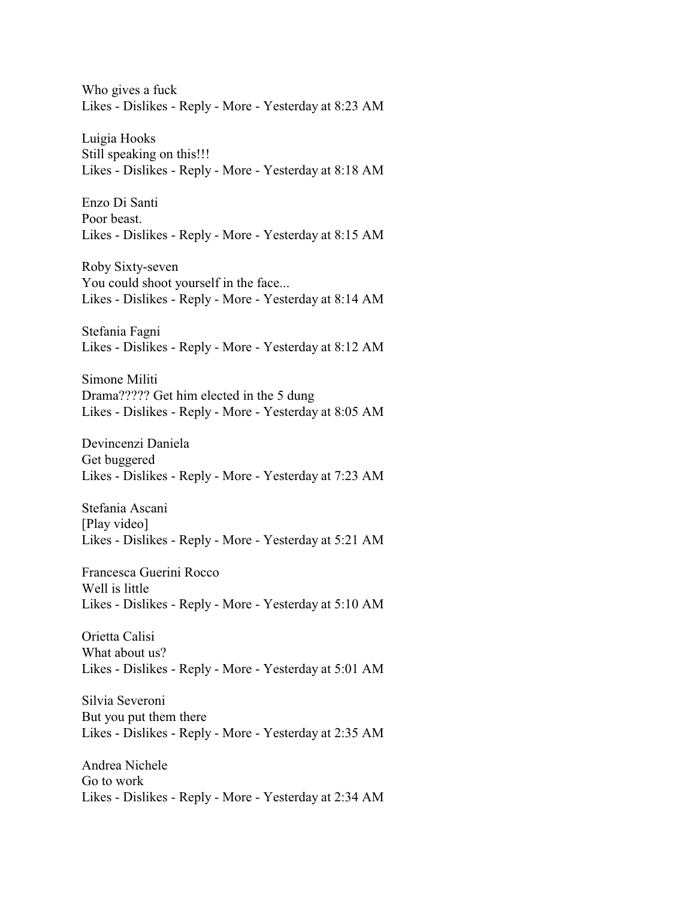Who gives a fuck Likes - Dislikes - Reply - More - Yesterday at 8:23 AM

Luigia Hooks Still speaking on this!!! Likes - Dislikes - Reply - More - Yesterday at 8:18 AM

Enzo Di Santi Poor beast. Likes - Dislikes - Reply - More - Yesterday at 8:15 AM

Roby Sixty-seven You could shoot yourself in the face... Likes - Dislikes - Reply - More - Yesterday at 8:14 AM

Stefania Fagni Likes - Dislikes - Reply - More - Yesterday at 8:12 AM

Simone Militi Drama????? Get him elected in the 5 dung Likes - Dislikes - Reply - More - Yesterday at 8:05 AM

Devincenzi Daniela Get buggered Likes - Dislikes - Reply - More - Yesterday at 7:23 AM

Stefania Ascani [Play video] Likes - Dislikes - Reply - More - Yesterday at 5:21 AM

Francesca Guerini Rocco Well is little Likes - Dislikes - Reply - More - Yesterday at 5:10 AM

Orietta Calisi What about us? Likes - Dislikes - Reply - More - Yesterday at 5:01 AM

Silvia Severoni But you put them there Likes - Dislikes - Reply - More - Yesterday at 2:35 AM

Andrea Nichele Go to work Likes - Dislikes - Reply - More - Yesterday at 2:34 AM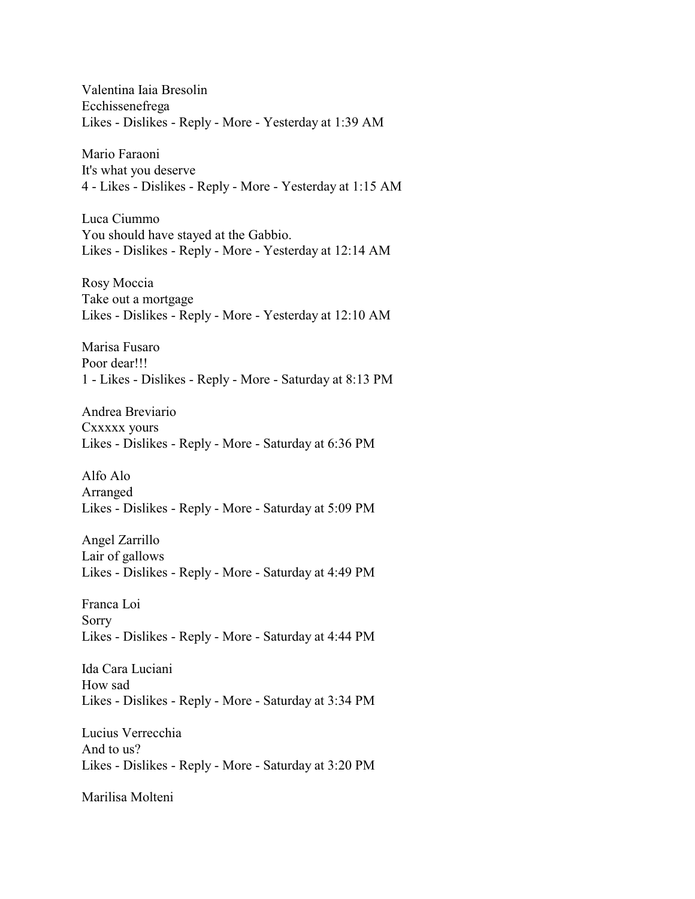Valentina Iaia Bresolin Ecchissenefrega Likes - Dislikes - Reply - More - Yesterday at 1:39 AM Mario Faraoni It's what you deserve 4 - Likes - Dislikes - Reply - More - Yesterday at 1:15 AM Luca Ciummo You should have stayed at the Gabbio. Likes - Dislikes - Reply - More - Yesterday at 12:14 AM Rosy Moccia Take out a mortgage Likes - Dislikes - Reply - More - Yesterday at 12:10 AM Marisa Fusaro Poor dear!!! 1 - Likes - Dislikes - Reply - More - Saturday at 8:13 PM Andrea Breviario Cxxxxx yours Likes - Dislikes - Reply - More - Saturday at 6:36 PM Alfo Alo Arranged Likes - Dislikes - Reply - More - Saturday at 5:09 PM Angel Zarrillo Lair of gallows Likes - Dislikes - Reply - More - Saturday at 4:49 PM Franca Loi Sorry Likes - Dislikes - Reply - More - Saturday at 4:44 PM Ida Cara Luciani How sad Likes - Dislikes - Reply - More - Saturday at 3:34 PM Lucius Verrecchia And to us? Likes - Dislikes - Reply - More - Saturday at 3:20 PM Marilisa Molteni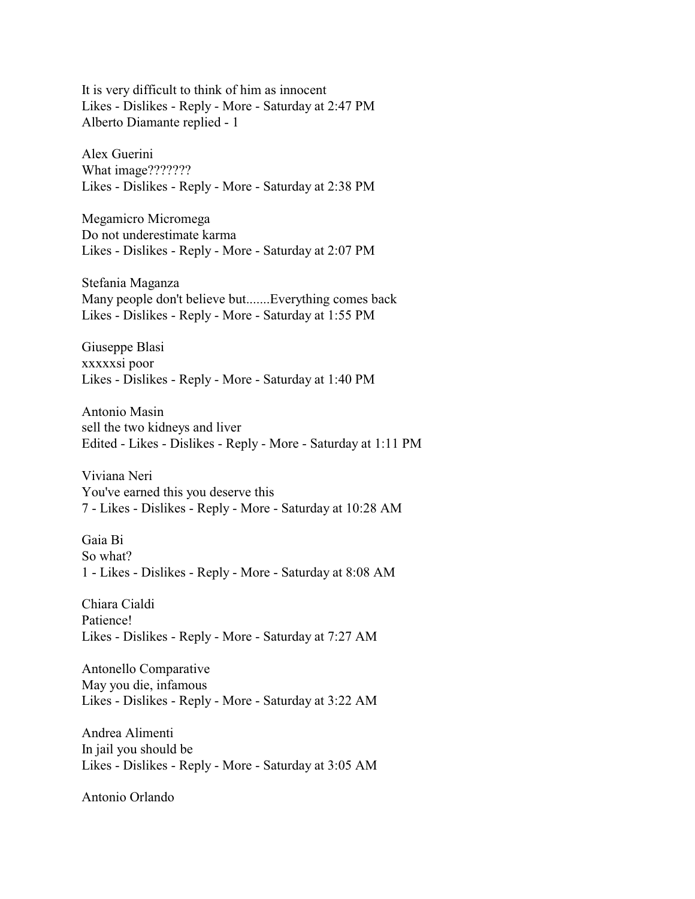It is very difficult to think of him as innocent Likes - Dislikes - Reply - More - Saturday at 2:47 PM Alberto Diamante replied - 1

Alex Guerini What image??????? Likes - Dislikes - Reply - More - Saturday at 2:38 PM

Megamicro Micromega Do not underestimate karma Likes - Dislikes - Reply - More - Saturday at 2:07 PM

Stefania Maganza Many people don't believe but.......Everything comes back Likes - Dislikes - Reply - More - Saturday at 1:55 PM

Giuseppe Blasi xxxxxsi poor Likes - Dislikes - Reply - More - Saturday at 1:40 PM

Antonio Masin sell the two kidneys and liver Edited - Likes - Dislikes - Reply - More - Saturday at 1:11 PM

Viviana Neri You've earned this you deserve this 7 - Likes - Dislikes - Reply - More - Saturday at 10:28 AM

Gaia Bi So what? 1 - Likes - Dislikes - Reply - More - Saturday at 8:08 AM

Chiara Cialdi Patience! Likes - Dislikes - Reply - More - Saturday at 7:27 AM

Antonello Comparative May you die, infamous Likes - Dislikes - Reply - More - Saturday at 3:22 AM

Andrea Alimenti In jail you should be Likes - Dislikes - Reply - More - Saturday at 3:05 AM

Antonio Orlando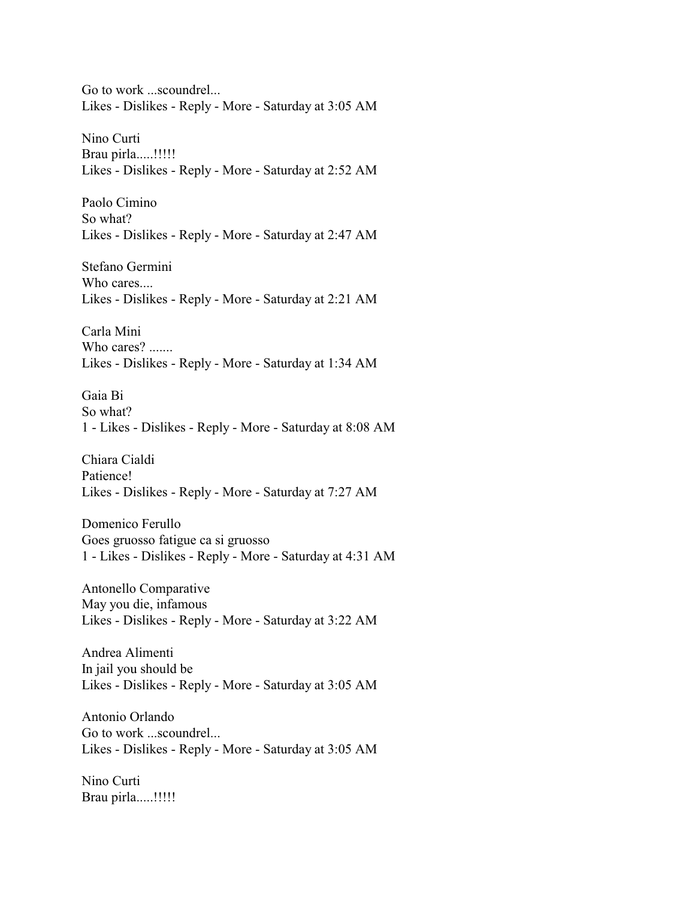Go to work ...scoundrel... Likes - Dislikes - Reply - More - Saturday at 3:05 AM

Nino Curti Brau pirla.....!!!!!! Likes - Dislikes - Reply - More - Saturday at 2:52 AM

Paolo Cimino So what? Likes - Dislikes - Reply - More - Saturday at 2:47 AM

Stefano Germini Who cares.... Likes - Dislikes - Reply - More - Saturday at 2:21 AM

Carla Mini Who cares? ....... Likes - Dislikes - Reply - More - Saturday at 1:34 AM

Gaia Bi So what? 1 - Likes - Dislikes - Reply - More - Saturday at 8:08 AM

Chiara Cialdi Patience! Likes - Dislikes - Reply - More - Saturday at 7:27 AM

Domenico Ferullo Goes gruosso fatigue ca si gruosso 1 - Likes - Dislikes - Reply - More - Saturday at 4:31 AM

Antonello Comparative May you die, infamous Likes - Dislikes - Reply - More - Saturday at 3:22 AM

Andrea Alimenti In jail you should be Likes - Dislikes - Reply - More - Saturday at 3:05 AM

Antonio Orlando Go to work ...scoundrel... Likes - Dislikes - Reply - More - Saturday at 3:05 AM

Nino Curti Brau pirla.....!!!!!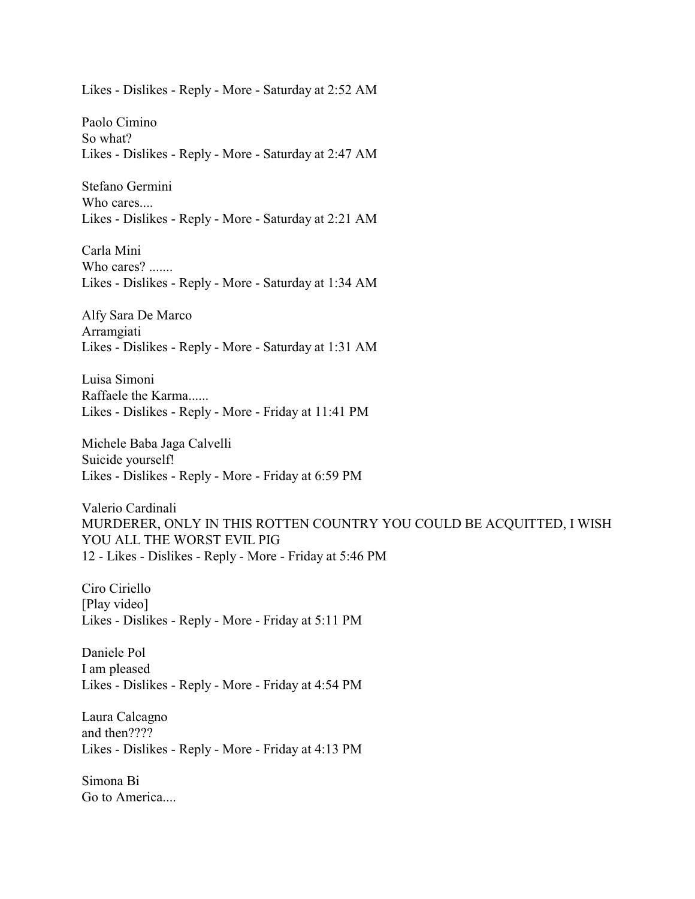Likes - Dislikes - Reply - More - Saturday at 2:52 AM

Paolo Cimino So what? Likes - Dislikes - Reply - More - Saturday at 2:47 AM

Stefano Germini Who cares.... Likes - Dislikes - Reply - More - Saturday at 2:21 AM

Carla Mini Who cares? ....... Likes - Dislikes - Reply - More - Saturday at 1:34 AM

Alfy Sara De Marco Arramgiati Likes - Dislikes - Reply - More - Saturday at 1:31 AM

Luisa Simoni Raffaele the Karma...... Likes - Dislikes - Reply - More - Friday at 11:41 PM

Michele Baba Jaga Calvelli Suicide yourself! Likes - Dislikes - Reply - More - Friday at 6:59 PM

Valerio Cardinali MURDERER, ONLY IN THIS ROTTEN COUNTRY YOU COULD BE ACQUITTED, I WISH YOU ALL THE WORST EVIL PIG 12 - Likes - Dislikes - Reply - More - Friday at 5:46 PM

Ciro Ciriello [Play video] Likes - Dislikes - Reply - More - Friday at 5:11 PM

Daniele Pol I am pleased Likes - Dislikes - Reply - More - Friday at 4:54 PM

Laura Calcagno and then???? Likes - Dislikes - Reply - More - Friday at 4:13 PM

Simona Bi Go to America....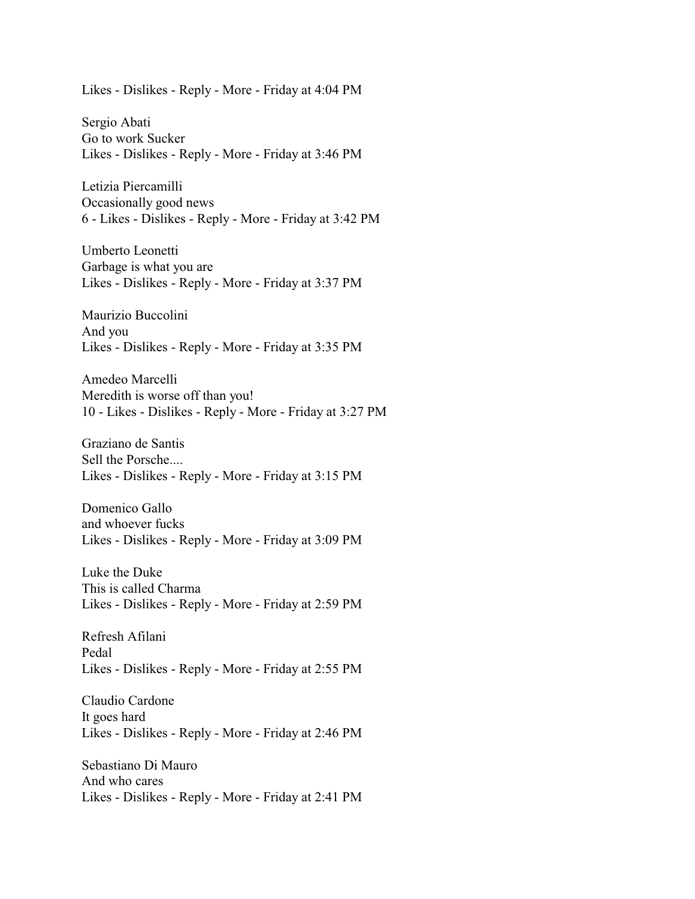Likes - Dislikes - Reply - More - Friday at 4:04 PM

Sergio Abati Go to work Sucker Likes - Dislikes - Reply - More - Friday at 3:46 PM

Letizia Piercamilli Occasionally good news 6 - Likes - Dislikes - Reply - More - Friday at 3:42 PM

Umberto Leonetti Garbage is what you are Likes - Dislikes - Reply - More - Friday at 3:37 PM

Maurizio Buccolini And you Likes - Dislikes - Reply - More - Friday at 3:35 PM

Amedeo Marcelli Meredith is worse off than you! 10 - Likes - Dislikes - Reply - More - Friday at 3:27 PM

Graziano de Santis Sell the Porsche.... Likes - Dislikes - Reply - More - Friday at 3:15 PM

Domenico Gallo and whoever fucks Likes - Dislikes - Reply - More - Friday at 3:09 PM

Luke the Duke This is called Charma Likes - Dislikes - Reply - More - Friday at 2:59 PM

Refresh Afilani Pedal Likes - Dislikes - Reply - More - Friday at 2:55 PM

Claudio Cardone It goes hard Likes - Dislikes - Reply - More - Friday at 2:46 PM

Sebastiano Di Mauro And who cares Likes - Dislikes - Reply - More - Friday at 2:41 PM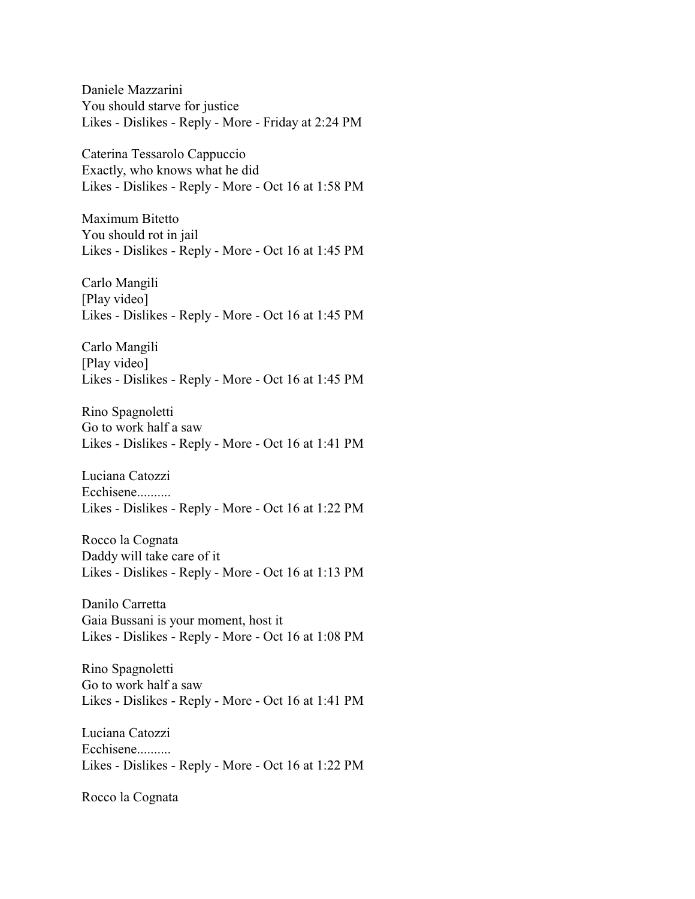Daniele Mazzarini You should starve for justice Likes - Dislikes - Reply - More - Friday at 2:24 PM

Caterina Tessarolo Cappuccio Exactly, who knows what he did Likes - Dislikes - Reply - More - Oct 16 at 1:58 PM

Maximum Bitetto You should rot in jail Likes - Dislikes - Reply - More - Oct 16 at 1:45 PM

Carlo Mangili [Play video] Likes - Dislikes - Reply - More - Oct 16 at 1:45 PM

Carlo Mangili [Play video] Likes - Dislikes - Reply - More - Oct 16 at 1:45 PM

Rino Spagnoletti Go to work half a saw Likes - Dislikes - Reply - More - Oct 16 at 1:41 PM

Luciana Catozzi Ecchisene.......... Likes - Dislikes - Reply - More - Oct 16 at 1:22 PM

Rocco la Cognata Daddy will take care of it Likes - Dislikes - Reply - More - Oct 16 at 1:13 PM

Danilo Carretta Gaia Bussani is your moment, host it Likes - Dislikes - Reply - More - Oct 16 at 1:08 PM

Rino Spagnoletti Go to work half a saw Likes - Dislikes - Reply - More - Oct 16 at 1:41 PM

Luciana Catozzi Ecchisene.......... Likes - Dislikes - Reply - More - Oct 16 at 1:22 PM

Rocco la Cognata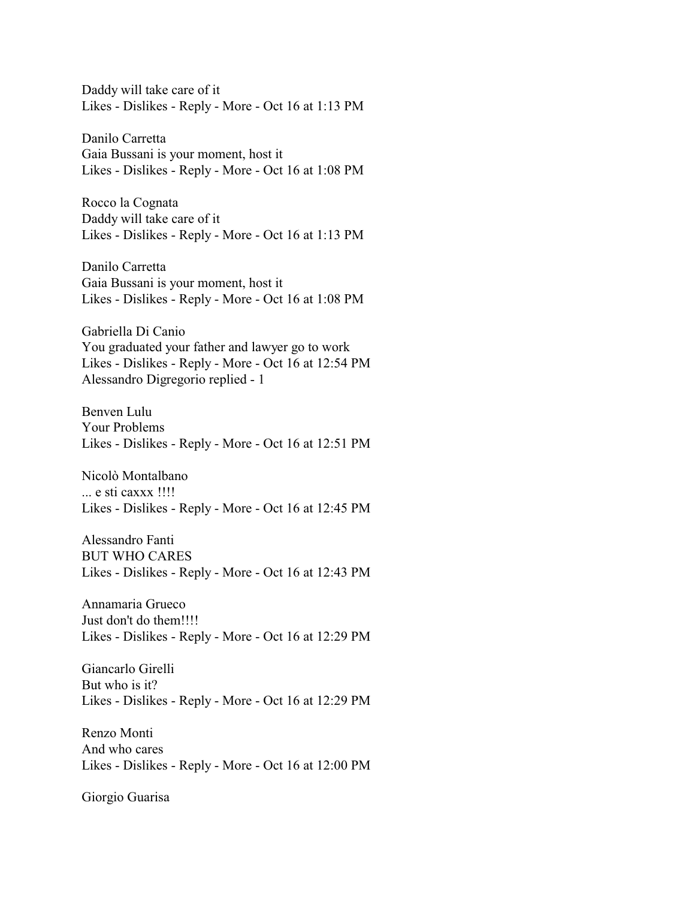Daddy will take care of it Likes - Dislikes - Reply - More - Oct 16 at 1:13 PM

Danilo Carretta Gaia Bussani is your moment, host it Likes - Dislikes - Reply - More - Oct 16 at 1:08 PM

Rocco la Cognata Daddy will take care of it Likes - Dislikes - Reply - More - Oct 16 at 1:13 PM

Danilo Carretta Gaia Bussani is your moment, host it Likes - Dislikes - Reply - More - Oct 16 at 1:08 PM

Gabriella Di Canio You graduated your father and lawyer go to work Likes - Dislikes - Reply - More - Oct 16 at 12:54 PM Alessandro Digregorio replied - 1

Benven Lulu Your Problems Likes - Dislikes - Reply - More - Oct 16 at 12:51 PM

Nicolò Montalbano ... e sti caxxx !!!! Likes - Dislikes - Reply - More - Oct 16 at 12:45 PM

Alessandro Fanti BUT WHO CARES Likes - Dislikes - Reply - More - Oct 16 at 12:43 PM

Annamaria Grueco Just don't do them!!!! Likes - Dislikes - Reply - More - Oct 16 at 12:29 PM

Giancarlo Girelli But who is it? Likes - Dislikes - Reply - More - Oct 16 at 12:29 PM

Renzo Monti And who cares Likes - Dislikes - Reply - More - Oct 16 at 12:00 PM

Giorgio Guarisa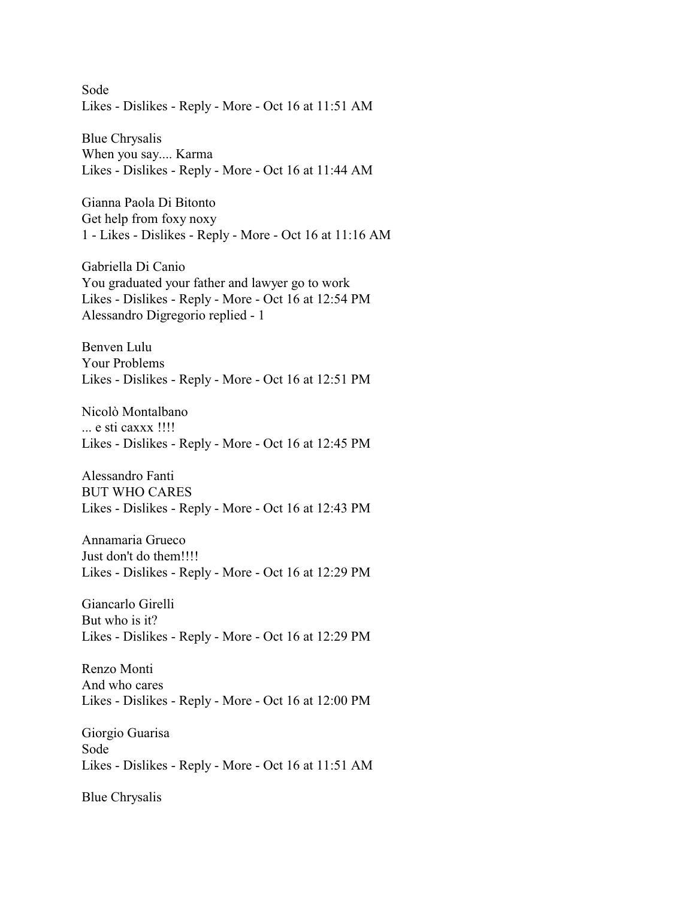Sode Likes - Dislikes - Reply - More - Oct 16 at 11:51 AM

Blue Chrysalis When you say.... Karma Likes - Dislikes - Reply - More - Oct 16 at 11:44 AM

Gianna Paola Di Bitonto Get help from foxy noxy 1 - Likes - Dislikes - Reply - More - Oct 16 at 11:16 AM

Gabriella Di Canio You graduated your father and lawyer go to work Likes - Dislikes - Reply - More - Oct 16 at 12:54 PM Alessandro Digregorio replied - 1

Benven Lulu Your Problems Likes - Dislikes - Reply - More - Oct 16 at 12:51 PM

Nicolò Montalbano ... e sti caxxx !!!! Likes - Dislikes - Reply - More - Oct 16 at 12:45 PM

Alessandro Fanti BUT WHO CARES Likes - Dislikes - Reply - More - Oct 16 at 12:43 PM

Annamaria Grueco Just don't do them!!!! Likes - Dislikes - Reply - More - Oct 16 at 12:29 PM

Giancarlo Girelli But who is it? Likes - Dislikes - Reply - More - Oct 16 at 12:29 PM

Renzo Monti And who cares Likes - Dislikes - Reply - More - Oct 16 at 12:00 PM

Giorgio Guarisa Sode Likes - Dislikes - Reply - More - Oct 16 at 11:51 AM

Blue Chrysalis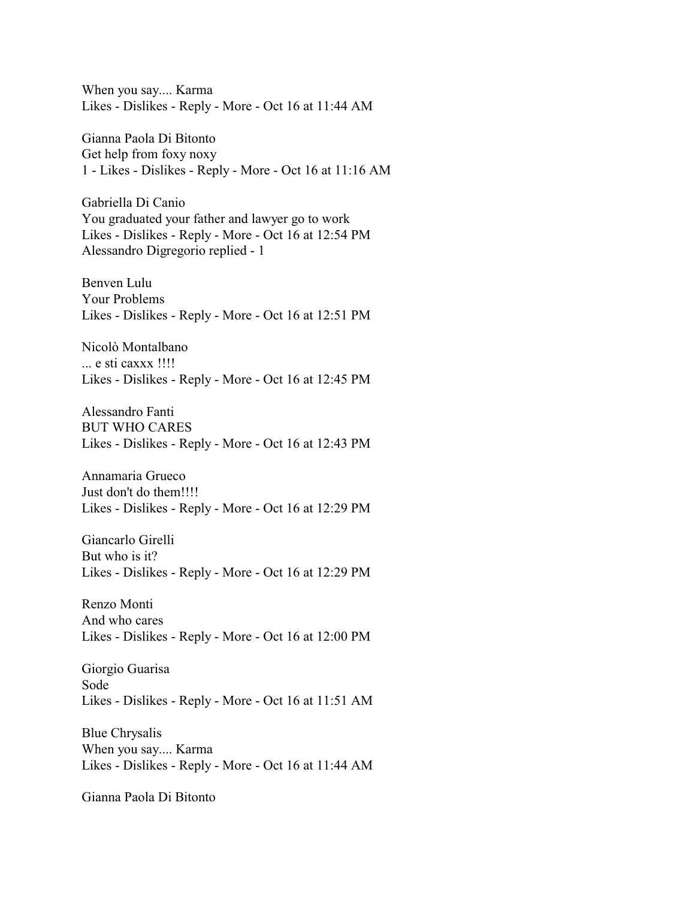When you say.... Karma Likes - Dislikes - Reply - More - Oct 16 at 11:44 AM

Gianna Paola Di Bitonto Get help from foxy noxy 1 - Likes - Dislikes - Reply - More - Oct 16 at 11:16 AM

Gabriella Di Canio You graduated your father and lawyer go to work Likes - Dislikes - Reply - More - Oct 16 at 12:54 PM Alessandro Digregorio replied - 1

Benven Lulu Your Problems Likes - Dislikes - Reply - More - Oct 16 at 12:51 PM

Nicolò Montalbano ... e sti caxxx !!!! Likes - Dislikes - Reply - More - Oct 16 at 12:45 PM

Alessandro Fanti BUT WHO CARES Likes - Dislikes - Reply - More - Oct 16 at 12:43 PM

Annamaria Grueco Just don't do them!!!! Likes - Dislikes - Reply - More - Oct 16 at 12:29 PM

Giancarlo Girelli But who is it? Likes - Dislikes - Reply - More - Oct 16 at 12:29 PM

Renzo Monti And who cares Likes - Dislikes - Reply - More - Oct 16 at 12:00 PM

Giorgio Guarisa Sode Likes - Dislikes - Reply - More - Oct 16 at 11:51 AM

Blue Chrysalis When you say.... Karma Likes - Dislikes - Reply - More - Oct 16 at 11:44 AM

Gianna Paola Di Bitonto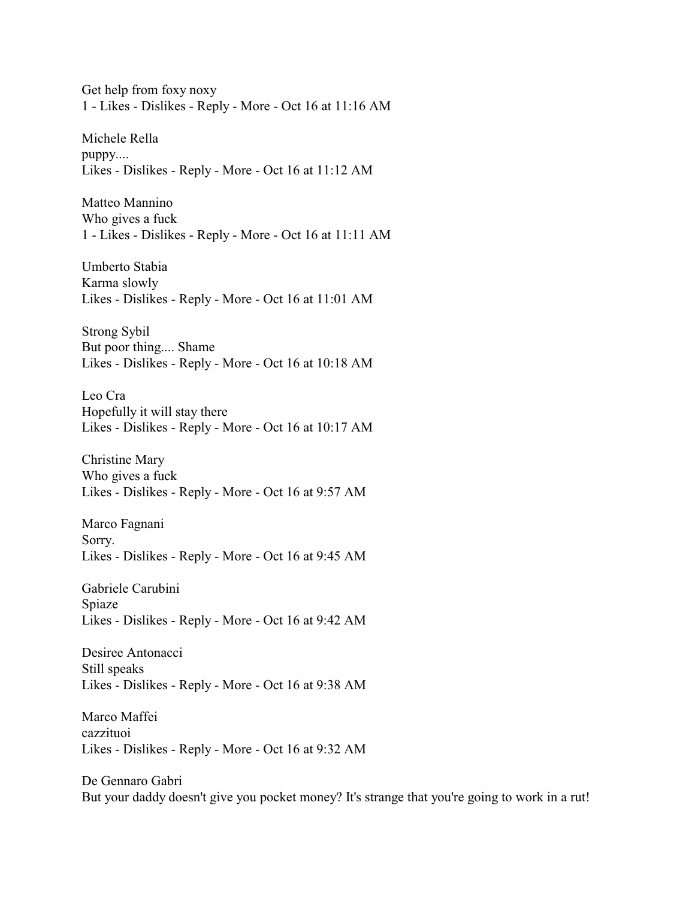Get help from foxy noxy 1 - Likes - Dislikes - Reply - More - Oct 16 at 11:16 AM

Michele Rella puppy.... Likes - Dislikes - Reply - More - Oct 16 at 11:12 AM

Matteo Mannino Who gives a fuck 1 - Likes - Dislikes - Reply - More - Oct 16 at 11:11 AM

Umberto Stabia Karma slowly Likes - Dislikes - Reply - More - Oct 16 at 11:01 AM

Strong Sybil But poor thing.... Shame Likes - Dislikes - Reply - More - Oct 16 at 10:18 AM

Leo Cra Hopefully it will stay there Likes - Dislikes - Reply - More - Oct 16 at 10:17 AM

Christine Mary Who gives a fuck Likes - Dislikes - Reply - More - Oct 16 at 9:57 AM

Marco Fagnani Sorry. Likes - Dislikes - Reply - More - Oct 16 at 9:45 AM

Gabriele Carubini Spiaze Likes - Dislikes - Reply - More - Oct 16 at 9:42 AM

Desiree Antonacci Still speaks Likes - Dislikes - Reply - More - Oct 16 at 9:38 AM

Marco Maffei cazzituoi Likes - Dislikes - Reply - More - Oct 16 at 9:32 AM

De Gennaro Gabri But your daddy doesn't give you pocket money? It's strange that you're going to work in a rut!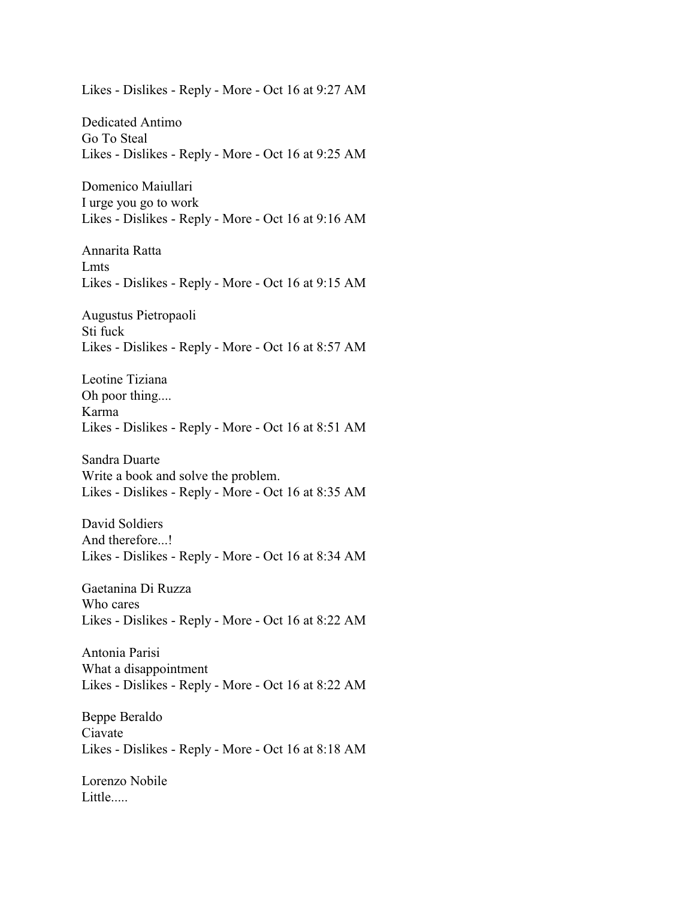Likes - Dislikes - Reply - More - Oct 16 at 9:27 AM

Dedicated Antimo Go To Steal Likes - Dislikes - Reply - More - Oct 16 at 9:25 AM

Domenico Maiullari I urge you go to work Likes - Dislikes - Reply - More - Oct 16 at 9:16 AM

Annarita Ratta Lmts Likes - Dislikes - Reply - More - Oct 16 at 9:15 AM

Augustus Pietropaoli Sti fuck Likes - Dislikes - Reply - More - Oct 16 at 8:57 AM

Leotine Tiziana Oh poor thing.... Karma Likes - Dislikes - Reply - More - Oct 16 at 8:51 AM

Sandra Duarte Write a book and solve the problem. Likes - Dislikes - Reply - More - Oct 16 at 8:35 AM

David Soldiers And therefore...! Likes - Dislikes - Reply - More - Oct 16 at 8:34 AM

Gaetanina Di Ruzza Who cares Likes - Dislikes - Reply - More - Oct 16 at 8:22 AM

Antonia Parisi What a disappointment Likes - Dislikes - Reply - More - Oct 16 at 8:22 AM

Beppe Beraldo Ciavate Likes - Dislikes - Reply - More - Oct 16 at 8:18 AM

Lorenzo Nobile Little.....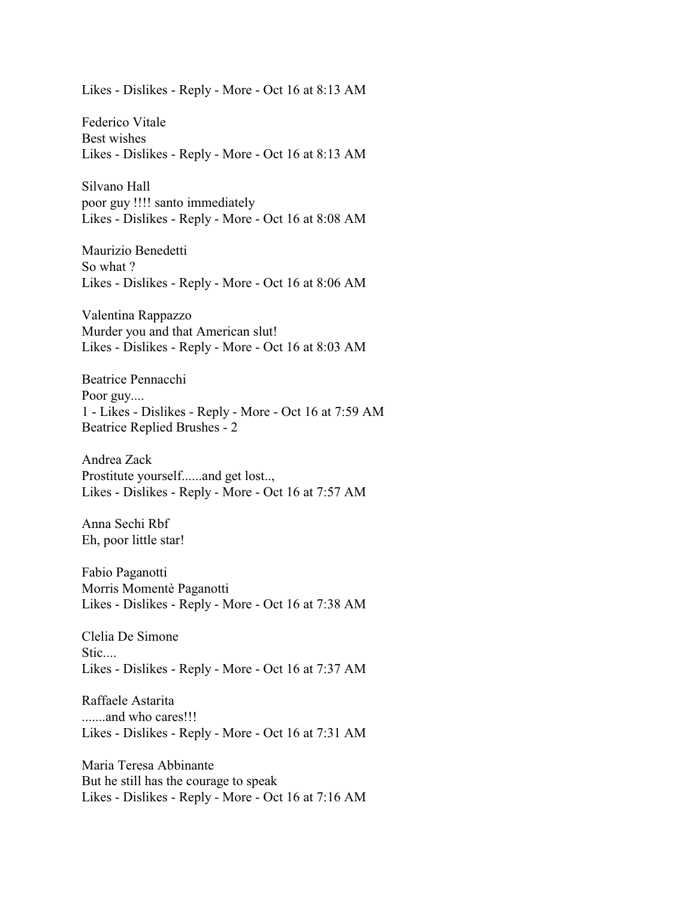Likes - Dislikes - Reply - More - Oct 16 at 8:13 AM

Federico Vitale Best wishes Likes - Dislikes - Reply - More - Oct 16 at 8:13 AM

Silvano Hall poor guy !!!! santo immediately Likes - Dislikes - Reply - More - Oct 16 at 8:08 AM

Maurizio Benedetti So what ? Likes - Dislikes - Reply - More - Oct 16 at 8:06 AM

Valentina Rappazzo Murder you and that American slut! Likes - Dislikes - Reply - More - Oct 16 at 8:03 AM

Beatrice Pennacchi Poor guy.... 1 - Likes - Dislikes - Reply - More - Oct 16 at 7:59 AM Beatrice Replied Brushes - 2

Andrea Zack Prostitute yourself......and get lost.., Likes - Dislikes - Reply - More - Oct 16 at 7:57 AM

Anna Sechi Rbf Eh, poor little star!

Fabio Paganotti Morris Momentè Paganotti Likes - Dislikes - Reply - More - Oct 16 at 7:38 AM

Clelia De Simone Stic.... Likes - Dislikes - Reply - More - Oct 16 at 7:37 AM

Raffaele Astarita .......and who cares!!! Likes - Dislikes - Reply - More - Oct 16 at 7:31 AM

Maria Teresa Abbinante But he still has the courage to speak Likes - Dislikes - Reply - More - Oct 16 at 7:16 AM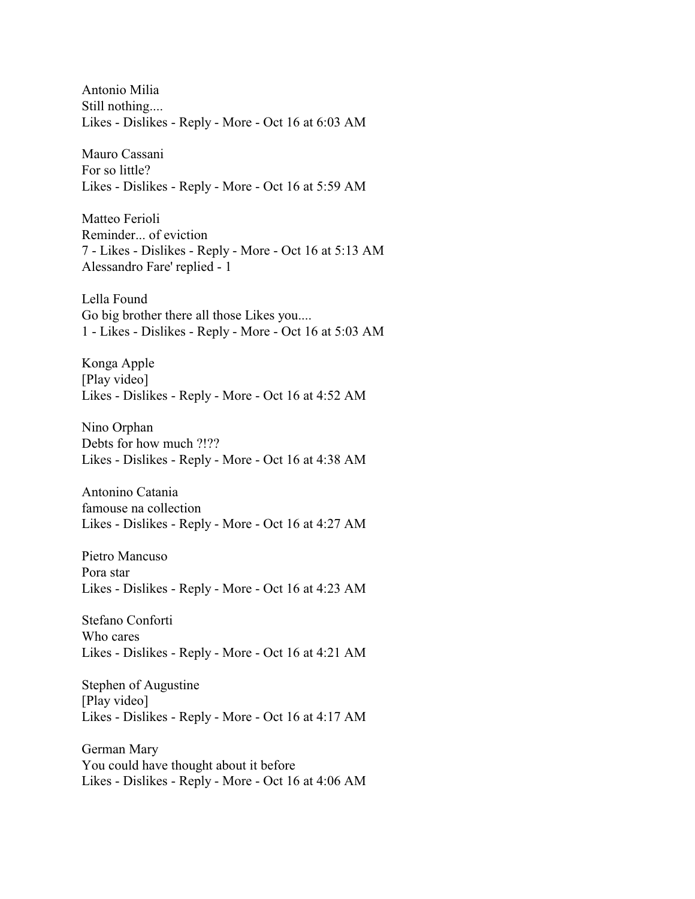Antonio Milia Still nothing.... Likes - Dislikes - Reply - More - Oct 16 at 6:03 AM

Mauro Cassani For so little? Likes - Dislikes - Reply - More - Oct 16 at 5:59 AM

Matteo Ferioli Reminder... of eviction 7 - Likes - Dislikes - Reply - More - Oct 16 at 5:13 AM Alessandro Fare' replied - 1

Lella Found Go big brother there all those Likes you.... 1 - Likes - Dislikes - Reply - More - Oct 16 at 5:03 AM

Konga Apple [Play video] Likes - Dislikes - Reply - More - Oct 16 at 4:52 AM

Nino Orphan Debts for how much ?!?? Likes - Dislikes - Reply - More - Oct 16 at 4:38 AM

Antonino Catania famouse na collection Likes - Dislikes - Reply - More - Oct 16 at 4:27 AM

Pietro Mancuso Pora star Likes - Dislikes - Reply - More - Oct 16 at 4:23 AM

Stefano Conforti Who cares Likes - Dislikes - Reply - More - Oct 16 at 4:21 AM

Stephen of Augustine [Play video] Likes - Dislikes - Reply - More - Oct 16 at 4:17 AM

German Mary You could have thought about it before Likes - Dislikes - Reply - More - Oct 16 at 4:06 AM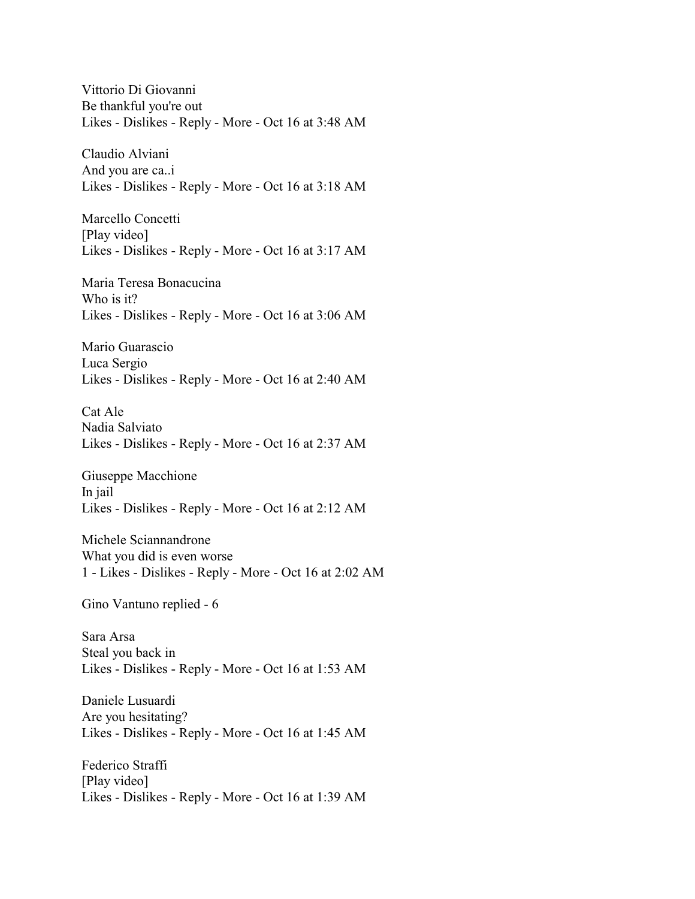Vittorio Di Giovanni Be thankful you're out Likes - Dislikes - Reply - More - Oct 16 at 3:48 AM

Claudio Alviani And you are ca..i Likes - Dislikes - Reply - More - Oct 16 at 3:18 AM

Marcello Concetti [Play video] Likes - Dislikes - Reply - More - Oct 16 at 3:17 AM

Maria Teresa Bonacucina Who is it? Likes - Dislikes - Reply - More - Oct 16 at 3:06 AM

Mario Guarascio Luca Sergio Likes - Dislikes - Reply - More - Oct 16 at 2:40 AM

Cat Ale Nadia Salviato Likes - Dislikes - Reply - More - Oct 16 at 2:37 AM

Giuseppe Macchione In jail Likes - Dislikes - Reply - More - Oct 16 at 2:12 AM

Michele Sciannandrone What you did is even worse 1 - Likes - Dislikes - Reply - More - Oct 16 at 2:02 AM

Gino Vantuno replied - 6

Sara Arsa Steal you back in Likes - Dislikes - Reply - More - Oct 16 at 1:53 AM

Daniele Lusuardi Are you hesitating? Likes - Dislikes - Reply - More - Oct 16 at 1:45 AM

Federico Straffi [Play video] Likes - Dislikes - Reply - More - Oct 16 at 1:39 AM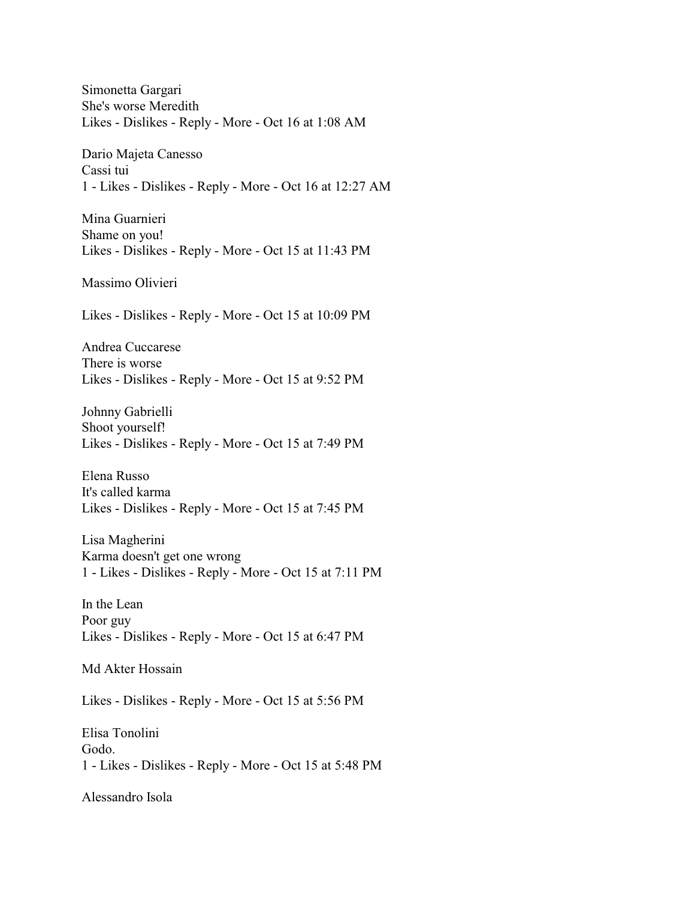Simonetta Gargari She's worse Meredith Likes - Dislikes - Reply - More - Oct 16 at 1:08 AM Dario Majeta Canesso Cassi tui 1 - Likes - Dislikes - Reply - More - Oct 16 at 12:27 AM Mina Guarnieri Shame on you! Likes - Dislikes - Reply - More - Oct 15 at 11:43 PM Massimo Olivieri Likes - Dislikes - Reply - More - Oct 15 at 10:09 PM Andrea Cuccarese There is worse Likes - Dislikes - Reply - More - Oct 15 at 9:52 PM Johnny Gabrielli Shoot yourself! Likes - Dislikes - Reply - More - Oct 15 at 7:49 PM Elena Russo It's called karma Likes - Dislikes - Reply - More - Oct 15 at 7:45 PM Lisa Magherini Karma doesn't get one wrong 1 - Likes - Dislikes - Reply - More - Oct 15 at 7:11 PM In the Lean Poor guy Likes - Dislikes - Reply - More - Oct 15 at 6:47 PM Md Akter Hossain Likes - Dislikes - Reply - More - Oct 15 at 5:56 PM Elisa Tonolini Godo. 1 - Likes - Dislikes - Reply - More - Oct 15 at 5:48 PM Alessandro Isola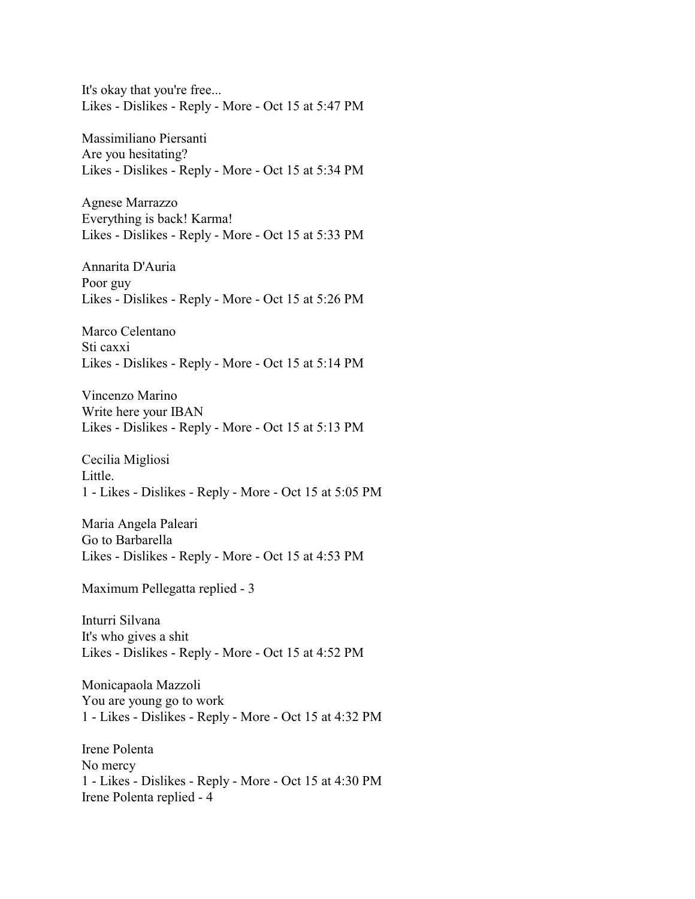It's okay that you're free... Likes - Dislikes - Reply - More - Oct 15 at 5:47 PM

Massimiliano Piersanti Are you hesitating? Likes - Dislikes - Reply - More - Oct 15 at 5:34 PM

Agnese Marrazzo Everything is back! Karma! Likes - Dislikes - Reply - More - Oct 15 at 5:33 PM

Annarita D'Auria Poor guy Likes - Dislikes - Reply - More - Oct 15 at 5:26 PM

Marco Celentano Sti caxxi Likes - Dislikes - Reply - More - Oct 15 at 5:14 PM

Vincenzo Marino Write here your IBAN Likes - Dislikes - Reply - More - Oct 15 at 5:13 PM

Cecilia Migliosi Little. 1 - Likes - Dislikes - Reply - More - Oct 15 at 5:05 PM

Maria Angela Paleari Go to Barbarella Likes - Dislikes - Reply - More - Oct 15 at 4:53 PM

Maximum Pellegatta replied - 3

Inturri Silvana It's who gives a shit Likes - Dislikes - Reply - More - Oct 15 at 4:52 PM

Monicapaola Mazzoli You are young go to work 1 - Likes - Dislikes - Reply - More - Oct 15 at 4:32 PM

Irene Polenta No mercy 1 - Likes - Dislikes - Reply - More - Oct 15 at 4:30 PM Irene Polenta replied - 4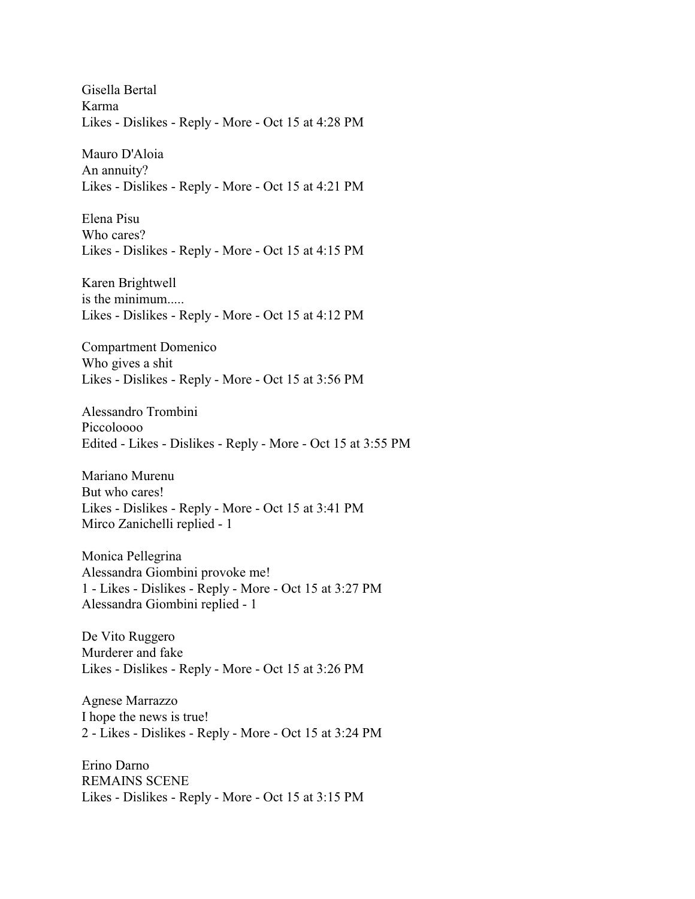Gisella Bertal Karma Likes - Dislikes - Reply - More - Oct 15 at 4:28 PM

Mauro D'Aloia An annuity? Likes - Dislikes - Reply - More - Oct 15 at 4:21 PM

Elena Pisu Who cares? Likes - Dislikes - Reply - More - Oct 15 at 4:15 PM

Karen Brightwell is the minimum..... Likes - Dislikes - Reply - More - Oct 15 at 4:12 PM

Compartment Domenico Who gives a shit Likes - Dislikes - Reply - More - Oct 15 at 3:56 PM

Alessandro Trombini Piccoloooo Edited - Likes - Dislikes - Reply - More - Oct 15 at 3:55 PM

Mariano Murenu But who cares! Likes - Dislikes - Reply - More - Oct 15 at 3:41 PM Mirco Zanichelli replied - 1

Monica Pellegrina Alessandra Giombini provoke me! 1 - Likes - Dislikes - Reply - More - Oct 15 at 3:27 PM Alessandra Giombini replied - 1

De Vito Ruggero Murderer and fake Likes - Dislikes - Reply - More - Oct 15 at 3:26 PM

Agnese Marrazzo I hope the news is true! 2 - Likes - Dislikes - Reply - More - Oct 15 at 3:24 PM

Erino Darno REMAINS SCENE Likes - Dislikes - Reply - More - Oct 15 at 3:15 PM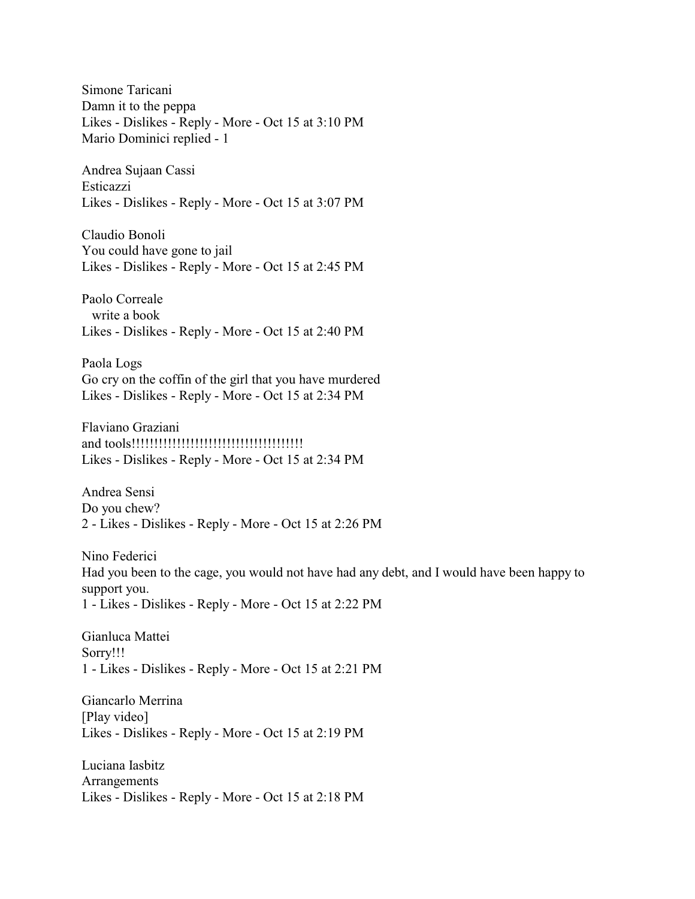Simone Taricani Damn it to the peppa Likes - Dislikes - Reply - More - Oct 15 at 3:10 PM Mario Dominici replied - 1

Andrea Sujaan Cassi Esticazzi Likes - Dislikes - Reply - More - Oct 15 at 3:07 PM

Claudio Bonoli You could have gone to jail Likes - Dislikes - Reply - More - Oct 15 at 2:45 PM

Paolo Correale write a book Likes - Dislikes - Reply - More - Oct 15 at 2:40 PM

Paola Logs Go cry on the coffin of the girl that you have murdered Likes - Dislikes - Reply - More - Oct 15 at 2:34 PM

Flaviano Graziani and tools!!!!!!!!!!!!!!!!!!!!!!!!!!!!!!!!!!!!!! Likes - Dislikes - Reply - More - Oct 15 at 2:34 PM

Andrea Sensi Do you chew? 2 - Likes - Dislikes - Reply - More - Oct 15 at 2:26 PM

Nino Federici Had you been to the cage, you would not have had any debt, and I would have been happy to support you. 1 - Likes - Dislikes - Reply - More - Oct 15 at 2:22 PM

Gianluca Mattei Sorry!!! 1 - Likes - Dislikes - Reply - More - Oct 15 at 2:21 PM

Giancarlo Merrina [Play video] Likes - Dislikes - Reply - More - Oct 15 at 2:19 PM

Luciana Iasbitz Arrangements Likes - Dislikes - Reply - More - Oct 15 at 2:18 PM